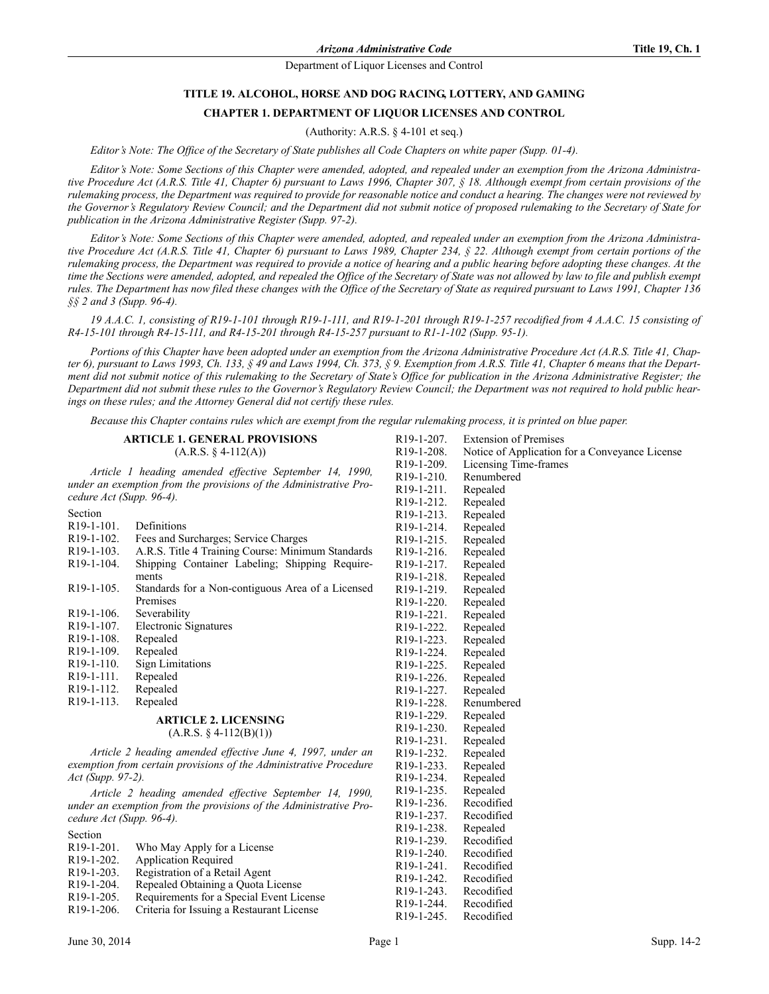# **TITLE 19. ALCOHOL, HORSE AND DOG RACING, LOTTERY, AND GAMING CHAPTER 1. DEPARTMENT OF LIQUOR LICENSES AND CONTROL**

(Authority: A.R.S. § 4-101 et seq.)

*Editor's Note: The Office of the Secretary of State publishes all Code Chapters on white paper (Supp. 01-4).*

*Editor's Note: Some Sections of this Chapter were amended, adopted, and repealed under an exemption from the Arizona Administrative Procedure Act (A.R.S. Title 41, Chapter 6) pursuant to Laws 1996, Chapter 307, § 18. Although exempt from certain provisions of the rulemaking process, the Department was required to provide for reasonable notice and conduct a hearing. The changes were not reviewed by the Governor's Regulatory Review Council; and the Department did not submit notice of proposed rulemaking to the Secretary of State for publication in the Arizona Administrative Register (Supp. 97-2).*

*Editor's Note: Some Sections of this Chapter were amended, adopted, and repealed under an exemption from the Arizona Administrative Procedure Act (A.R.S. Title 41, Chapter 6) pursuant to Laws 1989, Chapter 234, § 22. Although exempt from certain portions of the rulemaking process, the Department was required to provide a notice of hearing and a public hearing before adopting these changes. At the time the Sections were amended, adopted, and repealed the Office of the Secretary of State was not allowed by law to file and publish exempt rules. The Department has now filed these changes with the Office of the Secretary of State as required pursuant to Laws 1991, Chapter 136 §§ 2 and 3 (Supp. 96-4).*

*19 A.A.C. 1, consisting of R19-1-101 through R19-1-111, and R19-1-201 through R19-1-257 recodified from 4 A.A.C. 15 consisting of R4-15-101 through R4-15-111, and R4-15-201 through R4-15-257 pursuant to R1-1-102 (Supp. 95-1).*

*Portions of this Chapter have been adopted under an exemption from the Arizona Administrative Procedure Act (A.R.S. Title 41, Chapter 6), pursuant to Laws 1993, Ch. 133, § 49 and Laws 1994, Ch. 373, § 9. Exemption from A.R.S. Title 41, Chapter 6 means that the Department did not submit notice of this rulemaking to the Secretary of State's Office for publication in the Arizona Administrative Register; the Department did not submit these rules to the Governor's Regulatory Review Council; the Department was not required to hold public hearings on these rules; and the Attorney General did not certify these rules.*

*Because this Chapter contains rules which are exempt from the regular rulemaking process, it is printed on blue paper.*

### **ARTICLE 1. GENERAL PROVISIONS**  $(A.R.S. § 4-112(A))$

*Article 1 heading amended effective September 14, 1990, under an exemption from the provisions of the Administrative Procedure Act (Supp. 96-4).*

| Section                                                           |                                                            | R <sub>19</sub> -1-2 <sub>13</sub> . | Repealed  |
|-------------------------------------------------------------------|------------------------------------------------------------|--------------------------------------|-----------|
| R <sub>19</sub> -1-101.                                           | Definitions                                                | R <sub>19</sub> -1-214.              | Repealed  |
| R <sub>19</sub> -1-102.                                           | Fees and Surcharges; Service Charges                       | R <sub>19</sub> -1-2 <sub>15</sub> . | Repealed  |
| R <sub>19</sub> -1-103.                                           | A.R.S. Title 4 Training Course: Minimum Standards          | R <sub>19</sub> -1-2 <sub>16</sub> . | Repealed  |
| R <sub>19</sub> -1-104.                                           | Shipping Container Labeling; Shipping Require-             | R <sub>19</sub> -1-2 <sub>17</sub> . | Repealed  |
|                                                                   | ments                                                      | R <sub>19</sub> -1-218.              | Repealed  |
| R <sub>19</sub> -1-105.                                           | Standards for a Non-contiguous Area of a Licensed          | R <sub>19</sub> -1-2 <sub>19</sub> . | Repealed  |
|                                                                   | Premises                                                   | R <sub>19</sub> -1-220.              | Repealed  |
| R <sub>19</sub> -1-106.                                           | Severability                                               | R <sub>19</sub> -1-22 <sub>1</sub> . | Repealed  |
| R <sub>19</sub> -1-107.                                           | Electronic Signatures                                      | R <sub>19</sub> -1-222.              | Repealed  |
| R <sub>19</sub> -1-108.                                           | Repealed                                                   | R <sub>19</sub> -1-223.              | Repealed  |
| R <sub>19</sub> -1-109.                                           | Repealed                                                   | R <sub>19</sub> -1-224.              | Repealed  |
| $R19-1-110.$                                                      | <b>Sign Limitations</b>                                    | R <sub>19</sub> -1-225.              | Repealed  |
| R <sub>19</sub> -1-111.                                           | Repealed                                                   | R <sub>19</sub> -1-226.              | Repealed  |
| R <sub>19</sub> -1-112.                                           | Repealed                                                   | R <sub>19</sub> -1-227.              | Repealed  |
| R <sub>19</sub> -1-113.                                           | Repealed                                                   | R <sub>19</sub> -1-228.              | Renumbe   |
|                                                                   | <b>ARTICLE 2. LICENSING</b>                                | R <sub>19</sub> -1-229.              | Repealed  |
|                                                                   | $(A.R.S. § 4-112(B)(1))$                                   | R <sub>19</sub> -1-230.              | Repealed  |
|                                                                   |                                                            | R <sub>19</sub> -1-231.              | Repealed  |
|                                                                   | Article 2 heading amended effective June 4, 1997, under an | R <sub>19</sub> -1-232.              | Repealed  |
| exemption from certain provisions of the Administrative Procedure |                                                            | R <sub>19</sub> -1-233.              | Repealed  |
| Act (Supp. 97-2).                                                 |                                                            | R <sub>19</sub> -1-234.              | Repealed  |
| Article 2 heading amended effective September 14, 1990,           |                                                            | R <sub>19</sub> -1-235.              | Repealed  |
| under an exemption from the provisions of the Administrative Pro- |                                                            | R <sub>19</sub> -1-236.              | Recodifie |
| cedure Act (Supp. 96-4).                                          |                                                            | R <sub>19</sub> -1-237.              | Recodifie |
|                                                                   |                                                            | B 10 100                             |           |

| Section                 |                                           | R <sub>19</sub> -1-238. | Repealed   |
|-------------------------|-------------------------------------------|-------------------------|------------|
|                         |                                           | R <sub>19</sub> -1-239. | Recodified |
| R <sub>19</sub> -1-201. | Who May Apply for a License               | R <sub>19</sub> -1-240. | Recodified |
| R <sub>19</sub> -1-202. | <b>Application Required</b>               | $R19-1-241$ .           | Recodified |
| R <sub>19</sub> -1-203. | Registration of a Retail Agent            | $R19-1-242$ .           | Recodified |
| R <sub>19</sub> -1-204. | Repealed Obtaining a Quota License        | R <sub>19</sub> -1-243. | Recodified |
| $R19-1-205$ .           | Requirements for a Special Event License  |                         |            |
| R <sub>19</sub> -1-206. | Criteria for Issuing a Restaurant License | $R19-1-244$ .           | Recodified |
|                         |                                           | $R19 - 1 - 245$         | Recodified |

| nsed | R19-1-219.              | Repealed   |
|------|-------------------------|------------|
|      | R <sub>19</sub> -1-220. | Repealed   |
|      | R <sub>19</sub> -1-221. | Repealed   |
|      | R <sub>19</sub> -1-222. | Repealed   |
|      | R <sub>19</sub> -1-223. | Repealed   |
|      | R <sub>19</sub> -1-224. | Repealed   |
|      | R <sub>19</sub> -1-225. | Repealed   |
|      | R <sub>19</sub> -1-226. | Repealed   |
|      | R <sub>19</sub> -1-227. | Repealed   |
|      | R <sub>19</sub> -1-228. | Renumbered |
|      | R <sub>19</sub> -1-229. | Repealed   |
|      | R <sub>19</sub> -1-230. | Repealed   |
|      | R <sub>19</sub> -1-231. | Repealed   |
| r an | R <sub>19</sub> -1-232. | Repealed   |
| dure | R <sub>19</sub> -1-233. | Repealed   |
|      | R <sub>19</sub> -1-234. | Repealed   |
| 990, | R <sub>19</sub> -1-235. | Repealed   |
| Pro- | R <sub>19</sub> -1-236. | Recodified |
|      | R <sub>19</sub> -1-237. | Recodified |
|      | R <sub>19</sub> -1-238. | Repealed   |
|      | R <sub>19</sub> -1-239. | Recodified |
|      | R <sub>19</sub> -1-240. | Recodified |
|      | R <sub>19</sub> -1-241. | Recodified |
|      | R <sub>19</sub> -1-242. | Recodified |
|      | R <sub>19</sub> -1-243. | Recodified |
|      | R <sub>19</sub> -1-244. | Recodified |
|      | R <sub>19</sub> -1-245. | Recodified |
|      |                         |            |
|      |                         |            |

R19-1-207. Extension of Premises

R19-1-210. Renumbered R19-1-211. Repealed R19-1-212. Repealed

R19-1-208. Notice of Application for a Conveyance License<br>R19-1-209. Licensing Time-frames Licensing Time-frames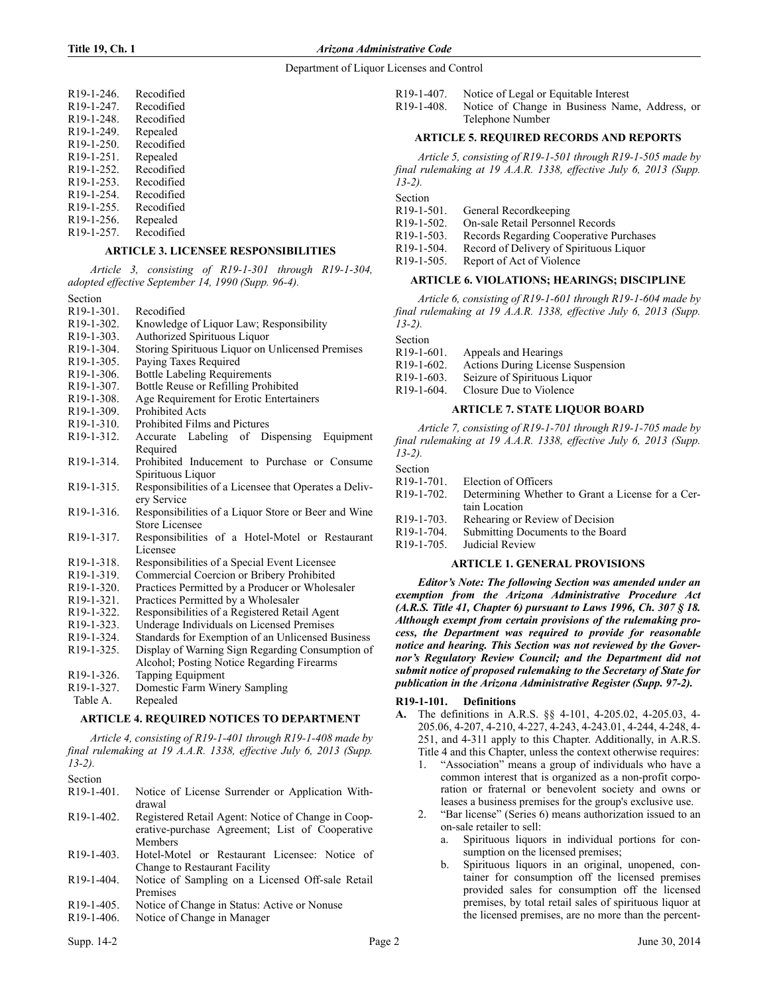| R19-1-246.              | Recodified |
|-------------------------|------------|
| R <sub>19</sub> -1-247. | Recodified |
| R19-1-248.              | Recodified |
| R <sub>19</sub> -1-249. | Repealed   |
| R <sub>19</sub> -1-250. | Recodified |
| R19-1-251.              | Repealed   |
| R19-1-252.              | Recodified |
| R19-1-253.              | Recodified |
| R <sub>19</sub> -1-254. | Recodified |
| R <sub>19</sub> -1-255. | Recodified |
| R <sub>19</sub> -1-256. | Repealed   |
| R <sub>19</sub> -1-257. | Recodified |

## **ARTICLE 3. LICENSEE RESPONSIBILITIES**

*Article 3, consisting of R19-1-301 through R19-1-304, adopted effective September 14, 1990 (Supp. 96-4).*

Section

- R19-1-301. Recodified
- R19-1-302. Knowledge of Liquor Law; Responsibility
- R19-1-303. Authorized Spirituous Liquor
- R19-1-304. Storing Spirituous Liquor on Unlicensed Premises
- R19-1-305. Paying Taxes Required
- R19-1-306. Bottle Labeling Requirements
- R19-1-307. Bottle Reuse or Refilling Prohibited
- R19-1-308. Age Requirement for Erotic Entertainers
- R19-1-309. Prohibited Acts
- R19-1-310. Prohibited Films and Pictures
- R19-1-312. Accurate Labeling of Dispensing Equipment Required
- R19-1-314. Prohibited Inducement to Purchase or Consume Spirituous Liquor
- R19-1-315. Responsibilities of a Licensee that Operates a Delivery Service
- R19-1-316. Responsibilities of a Liquor Store or Beer and Wine Store Licensee
- R19-1-317. Responsibilities of a Hotel-Motel or Restaurant Licensee
- R19-1-318. Responsibilities of a Special Event Licensee
- R19-1-319. Commercial Coercion or Bribery Prohibited
- R19-1-320. Practices Permitted by a Producer or Wholesaler
- R19-1-321. Practices Permitted by a Wholesaler
- R19-1-322. Responsibilities of a Registered Retail Agent
- R19-1-323. Underage Individuals on Licensed Premises<br>R19-1-324. Standards for Exemption of an Unlicensed B
- Standards for Exemption of an Unlicensed Business
- R19-1-325. Display of Warning Sign Regarding Consumption of Alcohol; Posting Notice Regarding Firearms
- R19-1-326. Tapping Equipment
- R19-1-327. Domestic Farm Winery Sampling
- Table A. Repealed

# **ARTICLE 4. REQUIRED NOTICES TO DEPARTMENT**

*Article 4, consisting of R19-1-401 through R19-1-408 made by final rulemaking at 19 A.A.R. 1338, effective July 6, 2013 (Supp. 13-2).*

Section

- R19-1-401. Notice of License Surrender or Application Withdrawal
- R19-1-402. Registered Retail Agent: Notice of Change in Cooperative-purchase Agreement; List of Cooperative Members
- R19-1-403. Hotel-Motel or Restaurant Licensee: Notice of Change to Restaurant Facility
- R19-1-404. Notice of Sampling on a Licensed Off-sale Retail Premises
- R19-1-405. Notice of Change in Status: Active or Nonuse
- R19-1-406. Notice of Change in Manager
	-
- R19-1-407. Notice of Legal or Equitable Interest
- R19-1-408. Notice of Change in Business Name, Address, or Telephone Number

### **ARTICLE 5. REQUIRED RECORDS AND REPORTS**

*Article 5, consisting of R19-1-501 through R19-1-505 made by final rulemaking at 19 A.A.R. 1338, effective July 6, 2013 (Supp. 13-2).*

Section

| R <sub>19</sub> -1-501. | General Record keeping                  |
|-------------------------|-----------------------------------------|
| R <sub>19</sub> -1-502. | On-sale Retail Personnel Records        |
| $R19-1-503$ .           | Records Regarding Cooperative Purchases |
| R <sub>19</sub> -1-504. | Record of Delivery of Spirituous Liquor |
| R <sub>19</sub> -1-505. | Report of Act of Violence               |
|                         |                                         |

### **ARTICLE 6. VIOLATIONS; HEARINGS; DISCIPLINE**

*Article 6, consisting of R19-1-601 through R19-1-604 made by final rulemaking at 19 A.A.R. 1338, effective July 6, 2013 (Supp. 13-2).*

Section

| R19-1-601. | Appeals and Hearings              |
|------------|-----------------------------------|
| R19-1-602. | Actions During License Suspension |
| R19-1-603. | Seizure of Spirituous Liquor      |
| R19-1-604. | Closure Due to Violence           |

#### **ARTICLE 7. STATE LIQUOR BOARD**

*Article 7, consisting of R19-1-701 through R19-1-705 made by final rulemaking at 19 A.A.R. 1338, effective July 6, 2013 (Supp. 13-2).*

| Section                 |                                                   |
|-------------------------|---------------------------------------------------|
| R <sub>19</sub> -1-701. | Election of Officers                              |
| R <sub>19</sub> -1-702. | Determining Whether to Grant a License for a Cer- |
|                         | tain Location                                     |
| R <sub>19</sub> -1-703. | Rehearing or Review of Decision                   |
| R <sub>19</sub> -1-704. | Submitting Documents to the Board                 |
| R <sub>19</sub> -1-705. | Judicial Review                                   |
|                         |                                                   |

## **ARTICLE 1. GENERAL PROVISIONS**

*Editor's Note: The following Section was amended under an exemption from the Arizona Administrative Procedure Act (A.R.S. Title 41, Chapter 6) pursuant to Laws 1996, Ch. 307 § 18. Although exempt from certain provisions of the rulemaking process, the Department was required to provide for reasonable notice and hearing. This Section was not reviewed by the Governor's Regulatory Review Council; and the Department did not submit notice of proposed rulemaking to the Secretary of State for publication in the Arizona Administrative Register (Supp. 97-2).*

## **R19-1-101. Definitions**

- **A.** The definitions in A.R.S. §§ 4-101, 4-205.02, 4-205.03, 4- 205.06, 4-207, 4-210, 4-227, 4-243, 4-243.01, 4-244, 4-248, 4- 251, and 4-311 apply to this Chapter. Additionally, in A.R.S. Title 4 and this Chapter, unless the context otherwise requires:
	- 1. "Association" means a group of individuals who have a common interest that is organized as a non-profit corporation or fraternal or benevolent society and owns or leases a business premises for the group's exclusive use.
	- "Bar license" (Series 6) means authorization issued to an on-sale retailer to sell:
		- a. Spirituous liquors in individual portions for consumption on the licensed premises;
		- b. Spirituous liquors in an original, unopened, container for consumption off the licensed premises provided sales for consumption off the licensed premises, by total retail sales of spirituous liquor at the licensed premises, are no more than the percent-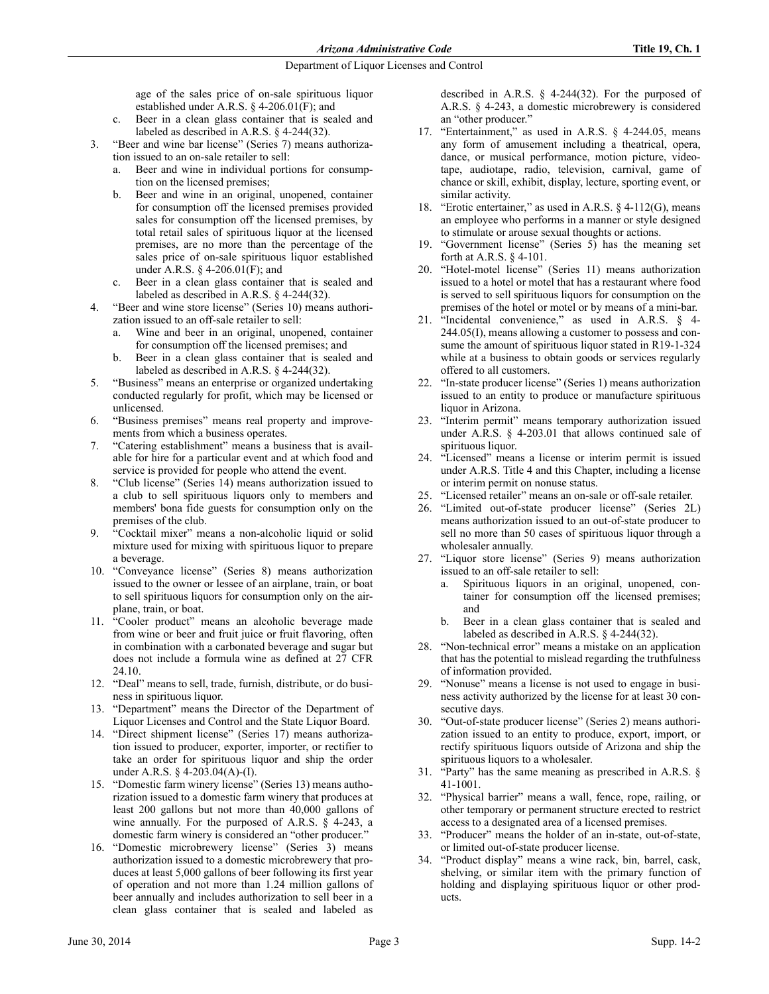age of the sales price of on-sale spirituous liquor established under A.R.S. § 4-206.01(F); and

- c. Beer in a clean glass container that is sealed and labeled as described in A.R.S. § 4-244(32).
- 3. "Beer and wine bar license" (Series 7) means authorization issued to an on-sale retailer to sell:
	- Beer and wine in individual portions for consumption on the licensed premises;
	- b. Beer and wine in an original, unopened, container for consumption off the licensed premises provided sales for consumption off the licensed premises, by total retail sales of spirituous liquor at the licensed premises, are no more than the percentage of the sales price of on-sale spirituous liquor established under A.R.S. § 4-206.01(F); and
	- c. Beer in a clean glass container that is sealed and labeled as described in A.R.S. § 4-244(32).
- 4. "Beer and wine store license" (Series 10) means authorization issued to an off-sale retailer to sell:
	- a. Wine and beer in an original, unopened, container for consumption off the licensed premises; and
	- b. Beer in a clean glass container that is sealed and labeled as described in A.R.S. § 4-244(32).
- 5. "Business" means an enterprise or organized undertaking conducted regularly for profit, which may be licensed or unlicensed.
- 6. "Business premises" means real property and improvements from which a business operates.
- 7. "Catering establishment" means a business that is available for hire for a particular event and at which food and service is provided for people who attend the event.
- 8. "Club license" (Series 14) means authorization issued to a club to sell spirituous liquors only to members and members' bona fide guests for consumption only on the premises of the club.
- 9. "Cocktail mixer" means a non-alcoholic liquid or solid mixture used for mixing with spirituous liquor to prepare a beverage.
- 10. "Conveyance license" (Series 8) means authorization issued to the owner or lessee of an airplane, train, or boat to sell spirituous liquors for consumption only on the airplane, train, or boat.
- 11. "Cooler product" means an alcoholic beverage made from wine or beer and fruit juice or fruit flavoring, often in combination with a carbonated beverage and sugar but does not include a formula wine as defined at 27 CFR 24.10.
- 12. "Deal" means to sell, trade, furnish, distribute, or do business in spirituous liquor.
- 13. "Department" means the Director of the Department of Liquor Licenses and Control and the State Liquor Board.
- 14. "Direct shipment license" (Series 17) means authorization issued to producer, exporter, importer, or rectifier to take an order for spirituous liquor and ship the order under A.R.S. § 4-203.04(A)-(I).
- 15. "Domestic farm winery license" (Series 13) means authorization issued to a domestic farm winery that produces at least 200 gallons but not more than 40,000 gallons of wine annually. For the purposed of A.R.S. § 4-243, a domestic farm winery is considered an "other producer."
- 16. "Domestic microbrewery license" (Series 3) means authorization issued to a domestic microbrewery that produces at least 5,000 gallons of beer following its first year of operation and not more than 1.24 million gallons of beer annually and includes authorization to sell beer in a clean glass container that is sealed and labeled as

described in A.R.S. § 4-244(32). For the purposed of A.R.S. § 4-243, a domestic microbrewery is considered an "other producer."

- 17. "Entertainment," as used in A.R.S. § 4-244.05, means any form of amusement including a theatrical, opera, dance, or musical performance, motion picture, videotape, audiotape, radio, television, carnival, game of chance or skill, exhibit, display, lecture, sporting event, or similar activity.
- 18. "Erotic entertainer," as used in A.R.S. § 4-112(G), means an employee who performs in a manner or style designed to stimulate or arouse sexual thoughts or actions.
- 19. "Government license" (Series 5) has the meaning set forth at A.R.S. § 4-101.
- 20. "Hotel-motel license" (Series 11) means authorization issued to a hotel or motel that has a restaurant where food is served to sell spirituous liquors for consumption on the premises of the hotel or motel or by means of a mini-bar.
- 21. "Incidental convenience," as used in A.R.S. § 4- 244.05(I), means allowing a customer to possess and consume the amount of spirituous liquor stated in R19-1-324 while at a business to obtain goods or services regularly offered to all customers.
- 22. "In-state producer license" (Series 1) means authorization issued to an entity to produce or manufacture spirituous liquor in Arizona.
- 23. "Interim permit" means temporary authorization issued under A.R.S. § 4-203.01 that allows continued sale of spirituous liquor.
- 24. "Licensed" means a license or interim permit is issued under A.R.S. Title 4 and this Chapter, including a license or interim permit on nonuse status.
- 25. "Licensed retailer" means an on-sale or off-sale retailer.
- 26. "Limited out-of-state producer license" (Series 2L) means authorization issued to an out-of-state producer to sell no more than 50 cases of spirituous liquor through a wholesaler annually.
- 27. "Liquor store license" (Series 9) means authorization issued to an off-sale retailer to sell:
	- a. Spirituous liquors in an original, unopened, container for consumption off the licensed premises; and
	- b. Beer in a clean glass container that is sealed and labeled as described in A.R.S. § 4-244(32).
- 28. "Non-technical error" means a mistake on an application that has the potential to mislead regarding the truthfulness of information provided.
- 29. "Nonuse" means a license is not used to engage in business activity authorized by the license for at least 30 consecutive days.
- 30. "Out-of-state producer license" (Series 2) means authorization issued to an entity to produce, export, import, or rectify spirituous liquors outside of Arizona and ship the spirituous liquors to a wholesaler.
- 31. "Party" has the same meaning as prescribed in A.R.S. § 41-1001.
- 32. "Physical barrier" means a wall, fence, rope, railing, or other temporary or permanent structure erected to restrict access to a designated area of a licensed premises.
- 33. "Producer" means the holder of an in-state, out-of-state, or limited out-of-state producer license.
- 34. "Product display" means a wine rack, bin, barrel, cask, shelving, or similar item with the primary function of holding and displaying spirituous liquor or other products.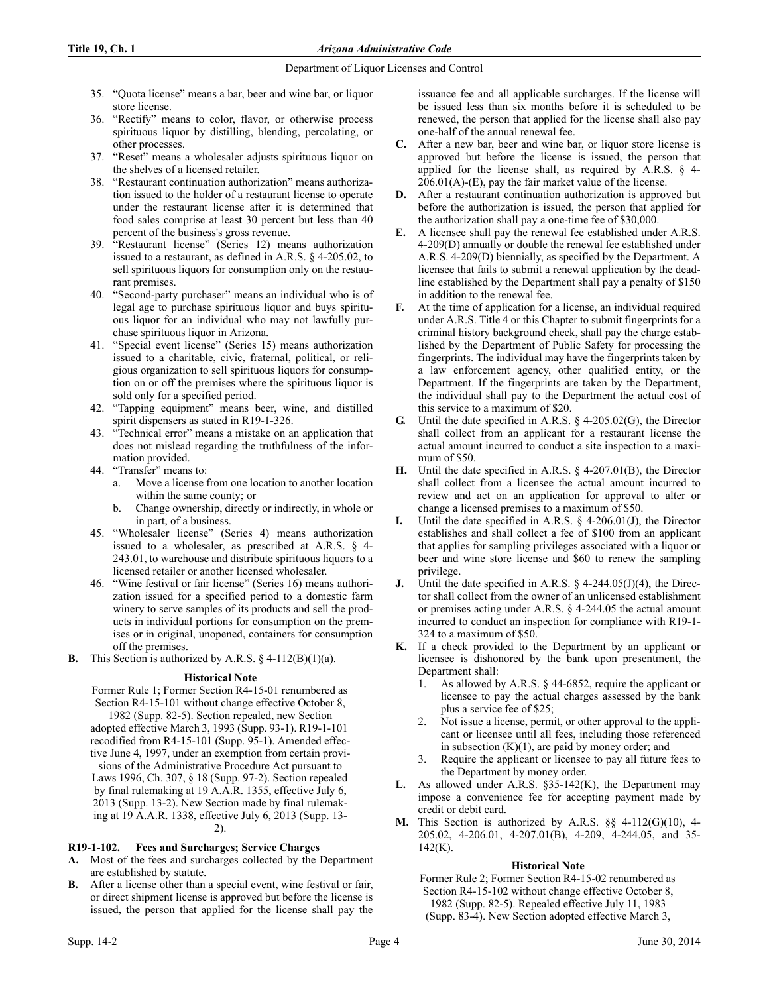- 35. "Quota license" means a bar, beer and wine bar, or liquor store license.
- 36. "Rectify" means to color, flavor, or otherwise process spirituous liquor by distilling, blending, percolating, or other processes.
- 37. "Reset" means a wholesaler adjusts spirituous liquor on the shelves of a licensed retailer.
- 38. "Restaurant continuation authorization" means authorization issued to the holder of a restaurant license to operate under the restaurant license after it is determined that food sales comprise at least 30 percent but less than 40 percent of the business's gross revenue.
- 39. "Restaurant license" (Series 12) means authorization issued to a restaurant, as defined in A.R.S. § 4-205.02, to sell spirituous liquors for consumption only on the restaurant premises.
- 40. "Second-party purchaser" means an individual who is of legal age to purchase spirituous liquor and buys spirituous liquor for an individual who may not lawfully purchase spirituous liquor in Arizona.
- 41. "Special event license" (Series 15) means authorization issued to a charitable, civic, fraternal, political, or religious organization to sell spirituous liquors for consumption on or off the premises where the spirituous liquor is sold only for a specified period.
- 42. "Tapping equipment" means beer, wine, and distilled spirit dispensers as stated in R19-1-326.
- 43. "Technical error" means a mistake on an application that does not mislead regarding the truthfulness of the information provided.
- 44. "Transfer" means to:
	- Move a license from one location to another location within the same county; or
	- b. Change ownership, directly or indirectly, in whole or in part, of a business.
- 45. "Wholesaler license" (Series 4) means authorization issued to a wholesaler, as prescribed at A.R.S. § 4- 243.01, to warehouse and distribute spirituous liquors to a licensed retailer or another licensed wholesaler.
- 46. "Wine festival or fair license" (Series 16) means authorization issued for a specified period to a domestic farm winery to serve samples of its products and sell the products in individual portions for consumption on the premises or in original, unopened, containers for consumption off the premises.
- **B.** This Section is authorized by A.R.S.  $\S$  4-112(B)(1)(a).

## **Historical Note**

Former Rule 1; Former Section R4-15-01 renumbered as Section R4-15-101 without change effective October 8, 1982 (Supp. 82-5). Section repealed, new Section adopted effective March 3, 1993 (Supp. 93-1). R19-1-101 recodified from R4-15-101 (Supp. 95-1). Amended effective June 4, 1997, under an exemption from certain provisions of the Administrative Procedure Act pursuant to Laws 1996, Ch. 307, § 18 (Supp. 97-2). Section repealed by final rulemaking at 19 A.A.R. 1355, effective July 6, 2013 (Supp. 13-2). New Section made by final rulemaking at 19 A.A.R. 1338, effective July 6, 2013 (Supp. 13- 2).

# **R19-1-102. Fees and Surcharges; Service Charges**

- **A.** Most of the fees and surcharges collected by the Department are established by statute.
- **B.** After a license other than a special event, wine festival or fair, or direct shipment license is approved but before the license is issued, the person that applied for the license shall pay the

issuance fee and all applicable surcharges. If the license will be issued less than six months before it is scheduled to be renewed, the person that applied for the license shall also pay one-half of the annual renewal fee.

- **C.** After a new bar, beer and wine bar, or liquor store license is approved but before the license is issued, the person that applied for the license shall, as required by A.R.S. § 4-  $206.01(A)$ -(E), pay the fair market value of the license.
- **D.** After a restaurant continuation authorization is approved but before the authorization is issued, the person that applied for the authorization shall pay a one-time fee of \$30,000.
- **E.** A licensee shall pay the renewal fee established under A.R.S. 4-209(D) annually or double the renewal fee established under A.R.S. 4-209(D) biennially, as specified by the Department. A licensee that fails to submit a renewal application by the deadline established by the Department shall pay a penalty of \$150 in addition to the renewal fee.
- **F.** At the time of application for a license, an individual required under A.R.S. Title 4 or this Chapter to submit fingerprints for a criminal history background check, shall pay the charge established by the Department of Public Safety for processing the fingerprints. The individual may have the fingerprints taken by a law enforcement agency, other qualified entity, or the Department. If the fingerprints are taken by the Department, the individual shall pay to the Department the actual cost of this service to a maximum of \$20.
- **G.** Until the date specified in A.R.S. § 4-205.02(G), the Director shall collect from an applicant for a restaurant license the actual amount incurred to conduct a site inspection to a maximum of \$50.
- **H.** Until the date specified in A.R.S. § 4-207.01(B), the Director shall collect from a licensee the actual amount incurred to review and act on an application for approval to alter or change a licensed premises to a maximum of \$50.
- Until the date specified in A.R.S. § 4-206.01(J), the Director establishes and shall collect a fee of \$100 from an applicant that applies for sampling privileges associated with a liquor or beer and wine store license and \$60 to renew the sampling privilege.
- **J.** Until the date specified in A.R.S. § 4-244.05(J)(4), the Director shall collect from the owner of an unlicensed establishment or premises acting under A.R.S. § 4-244.05 the actual amount incurred to conduct an inspection for compliance with R19-1- 324 to a maximum of \$50.
- **K.** If a check provided to the Department by an applicant or licensee is dishonored by the bank upon presentment, the Department shall:
	- 1. As allowed by A.R.S. § 44-6852, require the applicant or licensee to pay the actual charges assessed by the bank plus a service fee of \$25;
	- Not issue a license, permit, or other approval to the applicant or licensee until all fees, including those referenced in subsection  $(K)(1)$ , are paid by money order; and
	- Require the applicant or licensee to pay all future fees to the Department by money order.
- **L.** As allowed under A.R.S. §35-142(K), the Department may impose a convenience fee for accepting payment made by credit or debit card.
- **M.** This Section is authorized by A.R.S. §§ 4-112(G)(10), 4- 205.02, 4-206.01, 4-207.01(B), 4-209, 4-244.05, and 35- 142(K).

# **Historical Note**

Former Rule 2; Former Section R4-15-02 renumbered as Section R4-15-102 without change effective October 8, 1982 (Supp. 82-5). Repealed effective July 11, 1983

(Supp. 83-4). New Section adopted effective March 3,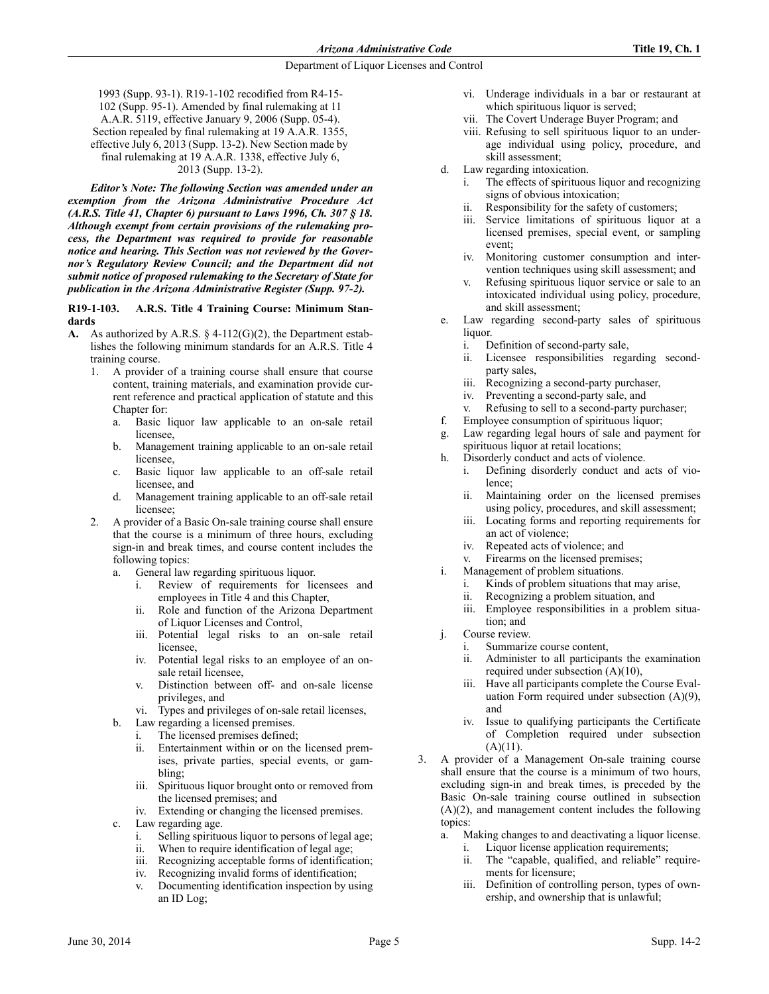1993 (Supp. 93-1). R19-1-102 recodified from R4-15- 102 (Supp. 95-1). Amended by final rulemaking at 11 A.A.R. 5119, effective January 9, 2006 (Supp. 05-4). Section repealed by final rulemaking at 19 A.A.R. 1355, effective July 6, 2013 (Supp. 13-2). New Section made by final rulemaking at 19 A.A.R. 1338, effective July 6, 2013 (Supp. 13-2).

*Editor's Note: The following Section was amended under an exemption from the Arizona Administrative Procedure Act (A.R.S. Title 41, Chapter 6) pursuant to Laws 1996, Ch. 307 § 18. Although exempt from certain provisions of the rulemaking process, the Department was required to provide for reasonable notice and hearing. This Section was not reviewed by the Governor's Regulatory Review Council; and the Department did not submit notice of proposed rulemaking to the Secretary of State for publication in the Arizona Administrative Register (Supp. 97-2).*

**R19-1-103. A.R.S. Title 4 Training Course: Minimum Standards**

- **A.** As authorized by A.R.S. § 4-112(G)(2), the Department establishes the following minimum standards for an A.R.S. Title 4 training course.
	- 1. A provider of a training course shall ensure that course content, training materials, and examination provide current reference and practical application of statute and this Chapter for:
		- a. Basic liquor law applicable to an on-sale retail licensee,
		- b. Management training applicable to an on-sale retail licensee,
		- c. Basic liquor law applicable to an off-sale retail licensee, and
		- d. Management training applicable to an off-sale retail licensee;
	- 2. A provider of a Basic On-sale training course shall ensure that the course is a minimum of three hours, excluding sign-in and break times, and course content includes the following topics:
		- a. General law regarding spirituous liquor.
			- i. Review of requirements for licensees and employees in Title 4 and this Chapter,
			- ii. Role and function of the Arizona Department of Liquor Licenses and Control,
			- iii. Potential legal risks to an on-sale retail licensee,
			- iv. Potential legal risks to an employee of an onsale retail licensee,
			- v. Distinction between off- and on-sale license privileges, and
			- vi. Types and privileges of on-sale retail licenses,
		- b. Law regarding a licensed premises.
			- i. The licensed premises defined;
			- ii. Entertainment within or on the licensed premises, private parties, special events, or gambling;
			- iii. Spirituous liquor brought onto or removed from the licensed premises; and
			- iv. Extending or changing the licensed premises.
		- c. Law regarding age.
			- i. Selling spirituous liquor to persons of legal age;
			- ii. When to require identification of legal age;<br>iii. Recognizing acceptable forms of identificat
			- Recognizing acceptable forms of identification;
			- iv. Recognizing invalid forms of identification;
			- v. Documenting identification inspection by using an ID Log;
- vi. Underage individuals in a bar or restaurant at which spirituous liquor is served;
- vii. The Covert Underage Buyer Program; and
- viii. Refusing to sell spirituous liquor to an underage individual using policy, procedure, and skill assessment;
- d. Law regarding intoxication.
	- The effects of spirituous liquor and recognizing signs of obvious intoxication;
	- ii. Responsibility for the safety of customers;
	- iii. Service limitations of spirituous liquor at a licensed premises, special event, or sampling event;
	- iv. Monitoring customer consumption and intervention techniques using skill assessment; and
	- v. Refusing spirituous liquor service or sale to an intoxicated individual using policy, procedure, and skill assessment;
- e. Law regarding second-party sales of spirituous liquor.
	- i. Definition of second-party sale,
	- ii. Licensee responsibilities regarding secondparty sales,
	- iii. Recognizing a second-party purchaser,
	- iv. Preventing a second-party sale, and
	- v. Refusing to sell to a second-party purchaser;
- f. Employee consumption of spirituous liquor;
- g. Law regarding legal hours of sale and payment for spirituous liquor at retail locations;
- h. Disorderly conduct and acts of violence.
	- i. Defining disorderly conduct and acts of violence;
	- ii. Maintaining order on the licensed premises using policy, procedures, and skill assessment;
	- iii. Locating forms and reporting requirements for an act of violence;
	- iv. Repeated acts of violence; and
	- v. Firearms on the licensed premises;
- i. Management of problem situations.
	- i. Kinds of problem situations that may arise,
	- ii. Recognizing a problem situation, and
	- iii. Employee responsibilities in a problem situation; and
- j. Course review.
	- i. Summarize course content,
	- ii. Administer to all participants the examination required under subsection (A)(10),
	- iii. Have all participants complete the Course Evaluation Form required under subsection (A)(9), and
	- iv. Issue to qualifying participants the Certificate of Completion required under subsection  $(A)(11)$ .
- 3. A provider of a Management On-sale training course shall ensure that the course is a minimum of two hours, excluding sign-in and break times, is preceded by the Basic On-sale training course outlined in subsection (A)(2), and management content includes the following topics:
	- a. Making changes to and deactivating a liquor license.
		- Liquor license application requirements;
		- ii. The "capable, qualified, and reliable" requirements for licensure;
		- iii. Definition of controlling person, types of ownership, and ownership that is unlawful;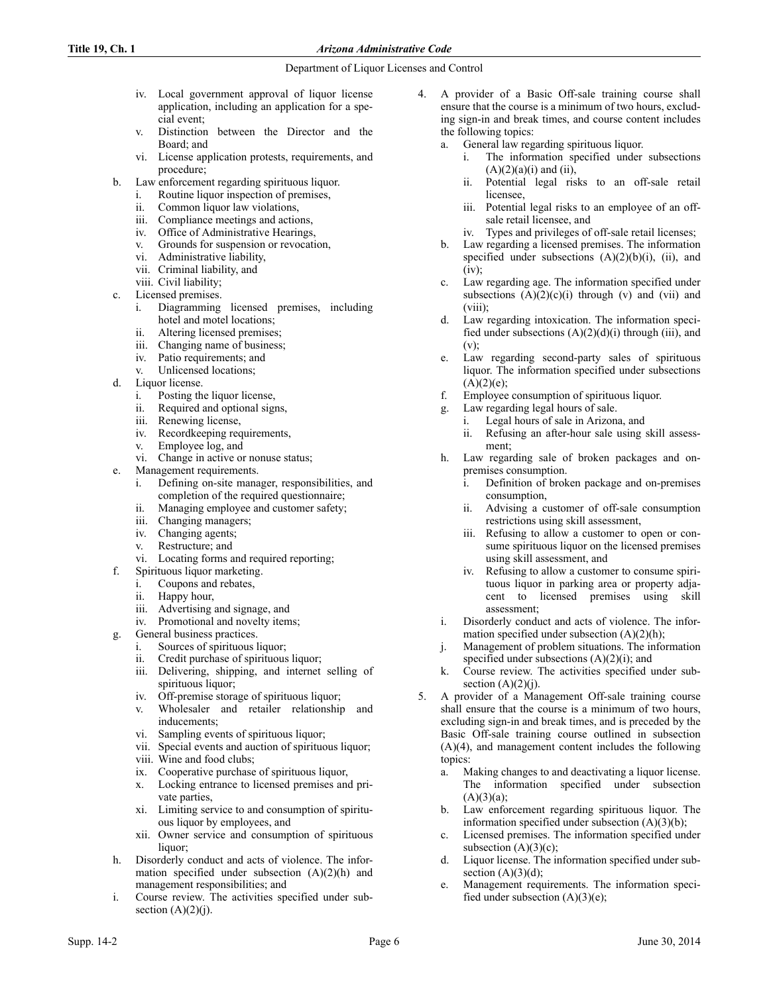- iv. Local government approval of liquor license application, including an application for a special event;
- v. Distinction between the Director and the Board; and
- vi. License application protests, requirements, and procedure;
- b. Law enforcement regarding spirituous liquor.
	- i. Routine liquor inspection of premises,
	- ii. Common liquor law violations,
	- iii. Compliance meetings and actions,
	- iv. Office of Administrative Hearings,
	- v. Grounds for suspension or revocation,
	- vi. Administrative liability,
	- vii. Criminal liability, and
	- viii. Civil liability;
- c. Licensed premises.
	- i. Diagramming licensed premises, including hotel and motel locations;
	- ii. Altering licensed premises;
	- iii. Changing name of business;
	- iv. Patio requirements; and<br>v. Unlicensed locations:
	- v. Unlicensed locations;
- d. Liquor license.
	- i. Posting the liquor license,
	- ii. Required and optional signs,
	- iii. Renewing license,
	- iv. Recordkeeping requirements,
	- v. Employee log, and
	- vi. Change in active or nonuse status;
- e. Management requirements.
	- i. Defining on-site manager, responsibilities, and completion of the required questionnaire;
	- ii. Managing employee and customer safety;
	- iii. Changing managers;
	- iv. Changing agents;
	- v. Restructure; and
	- vi. Locating forms and required reporting;
- f. Spirituous liquor marketing.
	- i. Coupons and rebates,
	- ii. Happy hour,
	- iii. Advertising and signage, and
	- iv. Promotional and novelty items;
- g. General business practices.
	- i. Sources of spirituous liquor;
	- ii. Credit purchase of spirituous liquor; iii. Delivering, shipping, and internet selling of
	- spirituous liquor;
	- iv. Off-premise storage of spirituous liquor;
	- v. Wholesaler and retailer relationship and inducements;
	- vi. Sampling events of spirituous liquor;
	- vii. Special events and auction of spirituous liquor;
	- viii. Wine and food clubs;
	- ix. Cooperative purchase of spirituous liquor,
	- x. Locking entrance to licensed premises and private parties,
	- xi. Limiting service to and consumption of spirituous liquor by employees, and
	- xii. Owner service and consumption of spirituous liquor;
- h. Disorderly conduct and acts of violence. The information specified under subsection (A)(2)(h) and management responsibilities; and
- i. Course review. The activities specified under subsection  $(A)(2)(j)$ .
- 4. A provider of a Basic Off-sale training course shall ensure that the course is a minimum of two hours, excluding sign-in and break times, and course content includes the following topics:
	- a. General law regarding spirituous liquor.
		- i. The information specified under subsections  $(A)(2)(a)(i)$  and  $(ii)$ ,
		- ii. Potential legal risks to an off-sale retail licensee,
		- iii. Potential legal risks to an employee of an offsale retail licensee, and
		- iv. Types and privileges of off-sale retail licenses;
	- b. Law regarding a licensed premises. The information specified under subsections  $(A)(2)(b)(i)$ ,  $(ii)$ , and (iv);
	- c. Law regarding age. The information specified under subsections  $(A)(2)(c)(i)$  through  $(v)$  and  $(vii)$  and (viii);
	- d. Law regarding intoxication. The information specified under subsections  $(A)(2)(d)(i)$  through (iii), and  $(v)$ ;
	- e. Law regarding second-party sales of spirituous liquor. The information specified under subsections  $(A)(2)(e);$
	- f. Employee consumption of spirituous liquor.
	- g. Law regarding legal hours of sale.
		- i. Legal hours of sale in Arizona, and
		- ii. Refusing an after-hour sale using skill assessment;
	- h. Law regarding sale of broken packages and onpremises consumption.
		- i. Definition of broken package and on-premises consumption,
		- ii. Advising a customer of off-sale consumption restrictions using skill assessment,
		- iii. Refusing to allow a customer to open or consume spirituous liquor on the licensed premises using skill assessment, and
		- iv. Refusing to allow a customer to consume spirituous liquor in parking area or property adjacent to licensed premises using skill assessment;
	- i. Disorderly conduct and acts of violence. The information specified under subsection  $(A)(2)(h)$ ;
	- j. Management of problem situations. The information specified under subsections  $(A)(2)(i)$ ; and
	- k. Course review. The activities specified under subsection  $(A)(2)(j)$ .
- 5. A provider of a Management Off-sale training course shall ensure that the course is a minimum of two hours, excluding sign-in and break times, and is preceded by the Basic Off-sale training course outlined in subsection (A)(4), and management content includes the following topics:
	- a. Making changes to and deactivating a liquor license. The information specified under subsection  $(A)(3)(a);$
	- b. Law enforcement regarding spirituous liquor. The information specified under subsection  $(A)(3)(b)$ ;
	- c. Licensed premises. The information specified under subsection  $(A)(3)(c)$ ;
	- d. Liquor license. The information specified under subsection  $(A)(3)(d)$ ;
	- e. Management requirements. The information specified under subsection  $(A)(3)(e)$ ;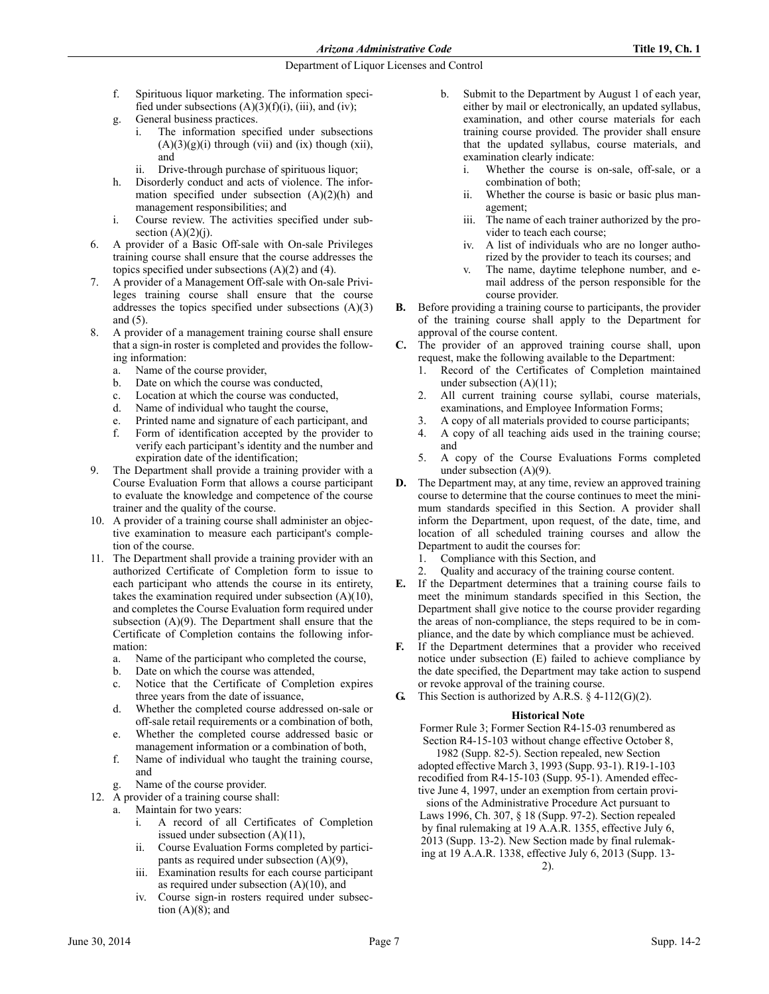- f. Spirituous liquor marketing. The information specified under subsections  $(A)(3)(f)(i)$ , (iii), and (iv);
- g. General business practices.
	- The information specified under subsections  $(A)(3)(g)(i)$  through (vii) and (ix) though (xii), and
	- ii. Drive-through purchase of spirituous liquor;
- h. Disorderly conduct and acts of violence. The information specified under subsection  $(A)(2)(h)$  and management responsibilities; and
- i. Course review. The activities specified under subsection  $(A)(2)(j)$ .
- 6. A provider of a Basic Off-sale with On-sale Privileges training course shall ensure that the course addresses the topics specified under subsections  $(A)(2)$  and  $(4)$ .
- 7. A provider of a Management Off-sale with On-sale Privileges training course shall ensure that the course addresses the topics specified under subsections (A)(3) and (5).
- 8. A provider of a management training course shall ensure that a sign-in roster is completed and provides the following information:
	- a. Name of the course provider,
	- b. Date on which the course was conducted,
	- c. Location at which the course was conducted,
	- d. Name of individual who taught the course,
	- e. Printed name and signature of each participant, and
	- f. Form of identification accepted by the provider to verify each participant's identity and the number and expiration date of the identification;
- 9. The Department shall provide a training provider with a Course Evaluation Form that allows a course participant to evaluate the knowledge and competence of the course trainer and the quality of the course.
- 10. A provider of a training course shall administer an objective examination to measure each participant's completion of the course.
- 11. The Department shall provide a training provider with an authorized Certificate of Completion form to issue to each participant who attends the course in its entirety, takes the examination required under subsection (A)(10), and completes the Course Evaluation form required under subsection (A)(9). The Department shall ensure that the Certificate of Completion contains the following information:
	- a. Name of the participant who completed the course,
	- b. Date on which the course was attended,
	- c. Notice that the Certificate of Completion expires three years from the date of issuance,
	- d. Whether the completed course addressed on-sale or off-sale retail requirements or a combination of both,
	- e. Whether the completed course addressed basic or management information or a combination of both,
	- f. Name of individual who taught the training course, and
	- g. Name of the course provider.
- 12. A provider of a training course shall:
	- a. Maintain for two years:
		- i. A record of all Certificates of Completion issued under subsection (A)(11),
		- ii. Course Evaluation Forms completed by participants as required under subsection (A)(9),
		- iii. Examination results for each course participant as required under subsection  $(A)(10)$ , and
		- iv. Course sign-in rosters required under subsection  $(A)(8)$ ; and
- b. Submit to the Department by August 1 of each year, either by mail or electronically, an updated syllabus, examination, and other course materials for each training course provided. The provider shall ensure that the updated syllabus, course materials, and examination clearly indicate:
	- i. Whether the course is on-sale, off-sale, or a combination of both;
	- ii. Whether the course is basic or basic plus management;
	- iii. The name of each trainer authorized by the provider to teach each course;
	- iv. A list of individuals who are no longer authorized by the provider to teach its courses; and
	- v. The name, daytime telephone number, and email address of the person responsible for the course provider.
- **B.** Before providing a training course to participants, the provider of the training course shall apply to the Department for approval of the course content.
- **C.** The provider of an approved training course shall, upon request, make the following available to the Department:
	- 1. Record of the Certificates of Completion maintained under subsection  $(A)(11)$ ;
	- 2. All current training course syllabi, course materials, examinations, and Employee Information Forms;
	- 3. A copy of all materials provided to course participants;
	- 4. A copy of all teaching aids used in the training course; and
	- 5. A copy of the Course Evaluations Forms completed under subsection (A)(9).
- **D.** The Department may, at any time, review an approved training course to determine that the course continues to meet the minimum standards specified in this Section. A provider shall inform the Department, upon request, of the date, time, and location of all scheduled training courses and allow the Department to audit the courses for:
	- 1. Compliance with this Section, and
	- 2. Quality and accuracy of the training course content.
- **E.** If the Department determines that a training course fails to meet the minimum standards specified in this Section, the Department shall give notice to the course provider regarding the areas of non-compliance, the steps required to be in compliance, and the date by which compliance must be achieved.
- **F.** If the Department determines that a provider who received notice under subsection (E) failed to achieve compliance by the date specified, the Department may take action to suspend or revoke approval of the training course.
- **G.** This Section is authorized by A.R.S. § 4-112(G)(2).

#### **Historical Note**

Former Rule 3; Former Section R4-15-03 renumbered as Section R4-15-103 without change effective October 8,

1982 (Supp. 82-5). Section repealed, new Section adopted effective March 3, 1993 (Supp. 93-1). R19-1-103 recodified from R4-15-103 (Supp. 95-1). Amended effective June 4, 1997, under an exemption from certain provi-

sions of the Administrative Procedure Act pursuant to Laws 1996, Ch. 307, § 18 (Supp. 97-2). Section repealed by final rulemaking at 19 A.A.R. 1355, effective July 6, 2013 (Supp. 13-2). New Section made by final rulemaking at 19 A.A.R. 1338, effective July 6, 2013 (Supp. 13- 2).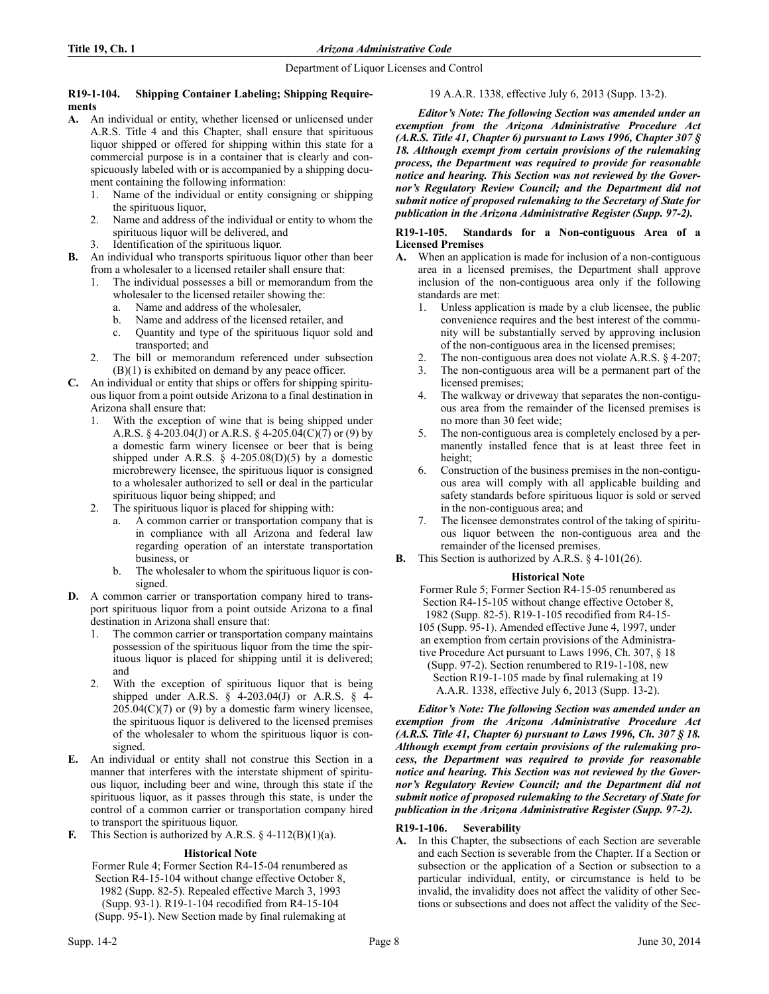## **R19-1-104. Shipping Container Labeling; Shipping Requirements**

- **A.** An individual or entity, whether licensed or unlicensed under A.R.S. Title 4 and this Chapter, shall ensure that spirituous liquor shipped or offered for shipping within this state for a commercial purpose is in a container that is clearly and conspicuously labeled with or is accompanied by a shipping document containing the following information:
	- Name of the individual or entity consigning or shipping the spirituous liquor,
	- 2. Name and address of the individual or entity to whom the spirituous liquor will be delivered, and
	- Identification of the spirituous liquor.
- **B.** An individual who transports spirituous liquor other than beer from a wholesaler to a licensed retailer shall ensure that:
	- The individual possesses a bill or memorandum from the wholesaler to the licensed retailer showing the:
		- a. Name and address of the wholesaler,
		- b. Name and address of the licensed retailer, and
		- c. Quantity and type of the spirituous liquor sold and transported; and
	- 2. The bill or memorandum referenced under subsection (B)(1) is exhibited on demand by any peace officer.
- **C.** An individual or entity that ships or offers for shipping spirituous liquor from a point outside Arizona to a final destination in Arizona shall ensure that:
	- With the exception of wine that is being shipped under A.R.S. § 4-203.04(J) or A.R.S. § 4-205.04(C)(7) or (9) by a domestic farm winery licensee or beer that is being shipped under A.R.S.  $\S$  4-205.08(D)(5) by a domestic microbrewery licensee, the spirituous liquor is consigned to a wholesaler authorized to sell or deal in the particular spirituous liquor being shipped; and
	- 2. The spirituous liquor is placed for shipping with:
		- a. A common carrier or transportation company that is in compliance with all Arizona and federal law regarding operation of an interstate transportation business, or
		- b. The wholesaler to whom the spirituous liquor is consigned.
- **D.** A common carrier or transportation company hired to transport spirituous liquor from a point outside Arizona to a final destination in Arizona shall ensure that:
	- 1. The common carrier or transportation company maintains possession of the spirituous liquor from the time the spirituous liquor is placed for shipping until it is delivered; and
	- 2. With the exception of spirituous liquor that is being shipped under A.R.S.  $\S$  4-203.04(J) or A.R.S.  $\S$  4- $205.04(C)(7)$  or  $(9)$  by a domestic farm winery licensee, the spirituous liquor is delivered to the licensed premises of the wholesaler to whom the spirituous liquor is consigned.
- **E.** An individual or entity shall not construe this Section in a manner that interferes with the interstate shipment of spirituous liquor, including beer and wine, through this state if the spirituous liquor, as it passes through this state, is under the control of a common carrier or transportation company hired to transport the spirituous liquor.
- **F.** This Section is authorized by A.R.S.  $\S$  4-112(B)(1)(a).

# **Historical Note**

Former Rule 4; Former Section R4-15-04 renumbered as Section R4-15-104 without change effective October 8, 1982 (Supp. 82-5). Repealed effective March 3, 1993 (Supp. 93-1). R19-1-104 recodified from R4-15-104 (Supp. 95-1). New Section made by final rulemaking at

# 19 A.A.R. 1338, effective July 6, 2013 (Supp. 13-2).

*Editor's Note: The following Section was amended under an exemption from the Arizona Administrative Procedure Act (A.R.S. Title 41, Chapter 6) pursuant to Laws 1996, Chapter 307 § 18. Although exempt from certain provisions of the rulemaking process, the Department was required to provide for reasonable notice and hearing. This Section was not reviewed by the Governor's Regulatory Review Council; and the Department did not submit notice of proposed rulemaking to the Secretary of State for publication in the Arizona Administrative Register (Supp. 97-2).*

## **R19-1-105. Standards for a Non-contiguous Area of a Licensed Premises**

- **A.** When an application is made for inclusion of a non-contiguous area in a licensed premises, the Department shall approve inclusion of the non-contiguous area only if the following standards are met:
	- 1. Unless application is made by a club licensee, the public convenience requires and the best interest of the community will be substantially served by approving inclusion of the non-contiguous area in the licensed premises;
	- 2. The non-contiguous area does not violate A.R.S. § 4-207;
	- 3. The non-contiguous area will be a permanent part of the licensed premises;
	- 4. The walkway or driveway that separates the non-contiguous area from the remainder of the licensed premises is no more than 30 feet wide;
	- 5. The non-contiguous area is completely enclosed by a permanently installed fence that is at least three feet in height;
	- 6. Construction of the business premises in the non-contiguous area will comply with all applicable building and safety standards before spirituous liquor is sold or served in the non-contiguous area; and
	- 7. The licensee demonstrates control of the taking of spirituous liquor between the non-contiguous area and the remainder of the licensed premises.
- **B.** This Section is authorized by A.R.S. § 4-101(26).

# **Historical Note**

Former Rule 5; Former Section R4-15-05 renumbered as Section R4-15-105 without change effective October 8, 1982 (Supp. 82-5). R19-1-105 recodified from R4-15- 105 (Supp. 95-1). Amended effective June 4, 1997, under an exemption from certain provisions of the Administrative Procedure Act pursuant to Laws 1996, Ch. 307, § 18 (Supp. 97-2). Section renumbered to R19-1-108, new Section R19-1-105 made by final rulemaking at 19 A.A.R. 1338, effective July 6, 2013 (Supp. 13-2).

*Editor's Note: The following Section was amended under an exemption from the Arizona Administrative Procedure Act (A.R.S. Title 41, Chapter 6) pursuant to Laws 1996, Ch. 307 § 18. Although exempt from certain provisions of the rulemaking process, the Department was required to provide for reasonable notice and hearing. This Section was not reviewed by the Governor's Regulatory Review Council; and the Department did not submit notice of proposed rulemaking to the Secretary of State for publication in the Arizona Administrative Register (Supp. 97-2).*

# **R19-1-106. Severability**

**A.** In this Chapter, the subsections of each Section are severable and each Section is severable from the Chapter. If a Section or subsection or the application of a Section or subsection to a particular individual, entity, or circumstance is held to be invalid, the invalidity does not affect the validity of other Sections or subsections and does not affect the validity of the Sec-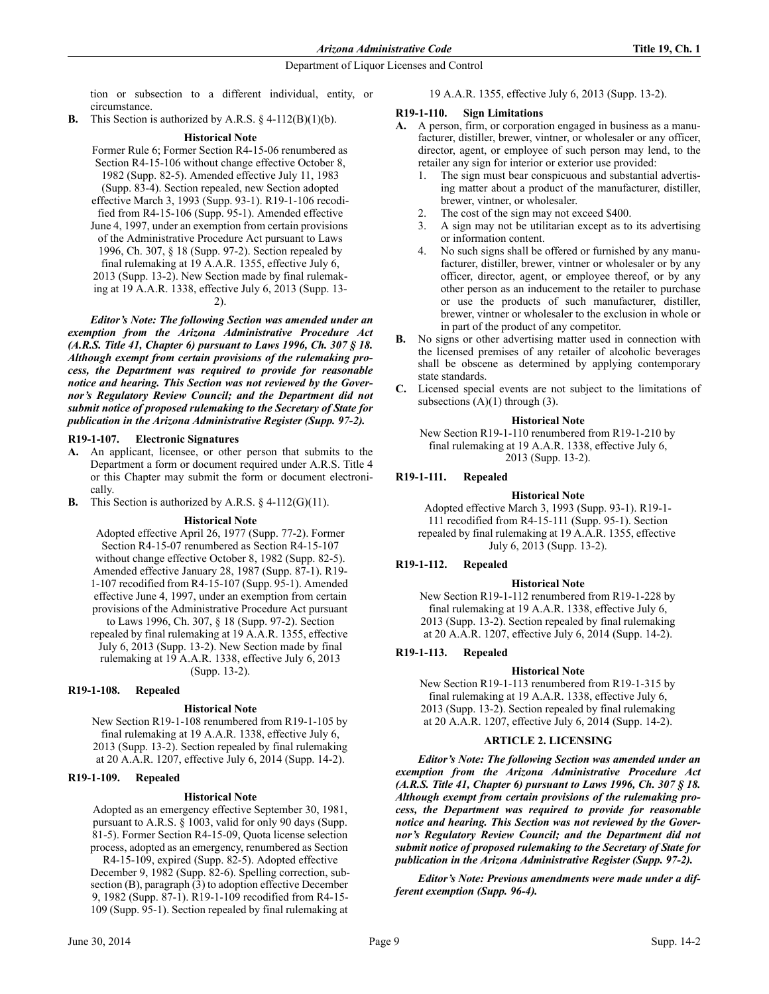tion or subsection to a different individual, entity, or circumstance.

**B.** This Section is authorized by A.R.S.  $\S$  4-112(B)(1)(b).

## **Historical Note**

Former Rule 6; Former Section R4-15-06 renumbered as Section R4-15-106 without change effective October 8, 1982 (Supp. 82-5). Amended effective July 11, 1983 (Supp. 83-4). Section repealed, new Section adopted effective March 3, 1993 (Supp. 93-1). R19-1-106 recodified from R4-15-106 (Supp. 95-1). Amended effective June 4, 1997, under an exemption from certain provisions of the Administrative Procedure Act pursuant to Laws 1996, Ch. 307, § 18 (Supp. 97-2). Section repealed by final rulemaking at 19 A.A.R. 1355, effective July 6, 2013 (Supp. 13-2). New Section made by final rulemaking at 19 A.A.R. 1338, effective July 6, 2013 (Supp. 13- 2). *Editor's Note: The following Section was amended under an exemption from the Arizona Administrative Procedure Act (A.R.S. Title 41, Chapter 6) pursuant to Laws 1996, Ch. 307 § 18.*

*Although exempt from certain provisions of the rulemaking process, the Department was required to provide for reasonable notice and hearing. This Section was not reviewed by the Governor's Regulatory Review Council; and the Department did not submit notice of proposed rulemaking to the Secretary of State for publication in the Arizona Administrative Register (Supp. 97-2).*

## **R19-1-107. Electronic Signatures**

**A.** An applicant, licensee, or other person that submits to the Department a form or document required under A.R.S. Title 4 or this Chapter may submit the form or document electronically.

**B.** This Section is authorized by A.R.S. § 4-112(G)(11).

## **Historical Note**

Adopted effective April 26, 1977 (Supp. 77-2). Former Section R4-15-07 renumbered as Section R4-15-107 without change effective October 8, 1982 (Supp. 82-5). Amended effective January 28, 1987 (Supp. 87-1). R19- 1-107 recodified from R4-15-107 (Supp. 95-1). Amended effective June 4, 1997, under an exemption from certain provisions of the Administrative Procedure Act pursuant to Laws 1996, Ch. 307, § 18 (Supp. 97-2). Section repealed by final rulemaking at 19 A.A.R. 1355, effective July 6, 2013 (Supp. 13-2). New Section made by final rulemaking at 19 A.A.R. 1338, effective July 6, 2013 (Supp. 13-2).

# **R19-1-108. Repealed**

## **Historical Note**

New Section R19-1-108 renumbered from R19-1-105 by final rulemaking at 19 A.A.R. 1338, effective July 6, 2013 (Supp. 13-2). Section repealed by final rulemaking at 20 A.A.R. 1207, effective July 6, 2014 (Supp. 14-2).

## **R19-1-109. Repealed**

## **Historical Note**

Adopted as an emergency effective September 30, 1981, pursuant to A.R.S. § 1003, valid for only 90 days (Supp. 81-5). Former Section R4-15-09, Quota license selection process, adopted as an emergency, renumbered as Section

R4-15-109, expired (Supp. 82-5). Adopted effective December 9, 1982 (Supp. 82-6). Spelling correction, subsection (B), paragraph (3) to adoption effective December 9, 1982 (Supp. 87-1). R19-1-109 recodified from R4-15- 109 (Supp. 95-1). Section repealed by final rulemaking at

19 A.A.R. 1355, effective July 6, 2013 (Supp. 13-2).

## **R19-1-110. Sign Limitations**

- **A.** A person, firm, or corporation engaged in business as a manufacturer, distiller, brewer, vintner, or wholesaler or any officer, director, agent, or employee of such person may lend, to the retailer any sign for interior or exterior use provided:
	- 1. The sign must bear conspicuous and substantial advertising matter about a product of the manufacturer, distiller, brewer, vintner, or wholesaler.
	- 2. The cost of the sign may not exceed \$400.
	- 3. A sign may not be utilitarian except as to its advertising or information content.
	- 4. No such signs shall be offered or furnished by any manufacturer, distiller, brewer, vintner or wholesaler or by any officer, director, agent, or employee thereof, or by any other person as an inducement to the retailer to purchase or use the products of such manufacturer, distiller, brewer, vintner or wholesaler to the exclusion in whole or in part of the product of any competitor.
- **B.** No signs or other advertising matter used in connection with the licensed premises of any retailer of alcoholic beverages shall be obscene as determined by applying contemporary state standards.
- **C.** Licensed special events are not subject to the limitations of subsections  $(A)(1)$  through  $(3)$ .

## **Historical Note**

New Section R19-1-110 renumbered from R19-1-210 by final rulemaking at 19 A.A.R. 1338, effective July 6, 2013 (Supp. 13-2).

## **R19-1-111. Repealed**

### **Historical Note**

Adopted effective March 3, 1993 (Supp. 93-1). R19-1- 111 recodified from R4-15-111 (Supp. 95-1). Section repealed by final rulemaking at 19 A.A.R. 1355, effective July 6, 2013 (Supp. 13-2).

## **R19-1-112. Repealed**

## **Historical Note**

New Section R19-1-112 renumbered from R19-1-228 by final rulemaking at 19 A.A.R. 1338, effective July 6, 2013 (Supp. 13-2). Section repealed by final rulemaking at 20 A.A.R. 1207, effective July 6, 2014 (Supp. 14-2).

# **R19-1-113. Repealed**

## **Historical Note**

New Section R19-1-113 renumbered from R19-1-315 by final rulemaking at 19 A.A.R. 1338, effective July 6, 2013 (Supp. 13-2). Section repealed by final rulemaking at 20 A.A.R. 1207, effective July 6, 2014 (Supp. 14-2).

## **ARTICLE 2. LICENSING**

*Editor's Note: The following Section was amended under an exemption from the Arizona Administrative Procedure Act (A.R.S. Title 41, Chapter 6) pursuant to Laws 1996, Ch. 307 § 18. Although exempt from certain provisions of the rulemaking process, the Department was required to provide for reasonable notice and hearing. This Section was not reviewed by the Governor's Regulatory Review Council; and the Department did not submit notice of proposed rulemaking to the Secretary of State for publication in the Arizona Administrative Register (Supp. 97-2).*

*Editor's Note: Previous amendments were made under a different exemption (Supp. 96-4).*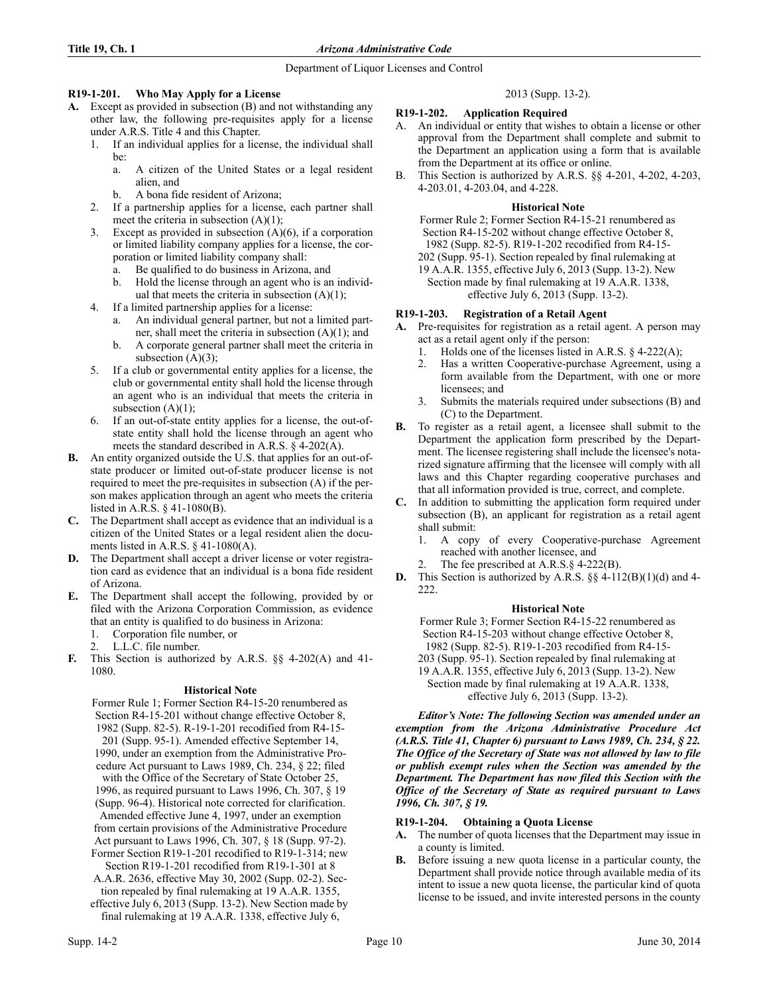# **R19-1-201. Who May Apply for a License**

- **A.** Except as provided in subsection (B) and not withstanding any other law, the following pre-requisites apply for a license under A.R.S. Title 4 and this Chapter.
	- 1. If an individual applies for a license, the individual shall be:
		- a. A citizen of the United States or a legal resident alien, and
		- b. A bona fide resident of Arizona;
	- 2. If a partnership applies for a license, each partner shall meet the criteria in subsection (A)(1);
	- 3. Except as provided in subsection (A)(6), if a corporation or limited liability company applies for a license, the corporation or limited liability company shall:
		- a. Be qualified to do business in Arizona, and
		- b. Hold the license through an agent who is an individual that meets the criteria in subsection  $(A)(1)$ ;
	- 4. If a limited partnership applies for a license:
		- a. An individual general partner, but not a limited partner, shall meet the criteria in subsection  $(A)(1)$ ; and
		- b. A corporate general partner shall meet the criteria in subsection  $(A)(3)$ ;
	- 5. If a club or governmental entity applies for a license, the club or governmental entity shall hold the license through an agent who is an individual that meets the criteria in subsection  $(A)(1)$ ;
	- 6. If an out-of-state entity applies for a license, the out-ofstate entity shall hold the license through an agent who meets the standard described in A.R.S. § 4-202(A).
- **B.** An entity organized outside the U.S. that applies for an out-ofstate producer or limited out-of-state producer license is not required to meet the pre-requisites in subsection (A) if the person makes application through an agent who meets the criteria listed in A.R.S. § 41-1080(B).
- **C.** The Department shall accept as evidence that an individual is a citizen of the United States or a legal resident alien the documents listed in A.R.S. § 41-1080(A).
- **D.** The Department shall accept a driver license or voter registration card as evidence that an individual is a bona fide resident of Arizona.
- **E.** The Department shall accept the following, provided by or filed with the Arizona Corporation Commission, as evidence that an entity is qualified to do business in Arizona:
	- 1. Corporation file number, or
	- 2. L.L.C. file number.
- **F.** This Section is authorized by A.R.S. §§ 4-202(A) and 41- 1080.

# **Historical Note**

- Former Rule 1; Former Section R4-15-20 renumbered as Section R4-15-201 without change effective October 8, 1982 (Supp. 82-5). R-19-1-201 recodified from R4-15- 201 (Supp. 95-1). Amended effective September 14, 1990, under an exemption from the Administrative Procedure Act pursuant to Laws 1989, Ch. 234, § 22; filed with the Office of the Secretary of State October 25, 1996, as required pursuant to Laws 1996, Ch. 307, § 19 (Supp. 96-4). Historical note corrected for clarification. Amended effective June 4, 1997, under an exemption from certain provisions of the Administrative Procedure Act pursuant to Laws 1996, Ch. 307, § 18 (Supp. 97-2). Former Section R19-1-201 recodified to R19-1-314; new Section R19-1-201 recodified from R19-1-301 at 8 A.A.R. 2636, effective May 30, 2002 (Supp. 02-2). Section repealed by final rulemaking at 19 A.A.R. 1355,
- effective July 6, 2013 (Supp. 13-2). New Section made by final rulemaking at 19 A.A.R. 1338, effective July 6,

# 2013 (Supp. 13-2).

# **R19-1-202. Application Required**

- A. An individual or entity that wishes to obtain a license or other approval from the Department shall complete and submit to the Department an application using a form that is available from the Department at its office or online.
- B. This Section is authorized by A.R.S. §§ 4-201, 4-202, 4-203, 4-203.01, 4-203.04, and 4-228.

## **Historical Note**

Former Rule 2; Former Section R4-15-21 renumbered as Section R4-15-202 without change effective October 8, 1982 (Supp. 82-5). R19-1-202 recodified from R4-15- 202 (Supp. 95-1). Section repealed by final rulemaking at 19 A.A.R. 1355, effective July 6, 2013 (Supp. 13-2). New Section made by final rulemaking at 19 A.A.R. 1338, effective July 6, 2013 (Supp. 13-2).

## **R19-1-203. Registration of a Retail Agent**

- **A.** Pre-requisites for registration as a retail agent. A person may act as a retail agent only if the person:
	- 1. Holds one of the licenses listed in A.R.S. § 4-222(A);
	- 2. Has a written Cooperative-purchase Agreement, using a form available from the Department, with one or more licensees; and
	- 3. Submits the materials required under subsections (B) and (C) to the Department.
- **B.** To register as a retail agent, a licensee shall submit to the Department the application form prescribed by the Department. The licensee registering shall include the licensee's notarized signature affirming that the licensee will comply with all laws and this Chapter regarding cooperative purchases and that all information provided is true, correct, and complete.
- **C.** In addition to submitting the application form required under subsection (B), an applicant for registration as a retail agent shall submit:
	- 1. A copy of every Cooperative-purchase Agreement reached with another licensee, and
	- 2. The fee prescribed at A.R.S.§ 4-222(B).
- **D.** This Section is authorized by A.R.S. §§ 4-112(B)(1)(d) and 4- 222.

# **Historical Note**

Former Rule 3; Former Section R4-15-22 renumbered as Section R4-15-203 without change effective October 8, 1982 (Supp. 82-5). R19-1-203 recodified from R4-15- 203 (Supp. 95-1). Section repealed by final rulemaking at 19 A.A.R. 1355, effective July 6, 2013 (Supp. 13-2). New Section made by final rulemaking at 19 A.A.R. 1338,

effective July 6, 2013 (Supp. 13-2).

*Editor's Note: The following Section was amended under an exemption from the Arizona Administrative Procedure Act (A.R.S. Title 41, Chapter 6) pursuant to Laws 1989, Ch. 234, § 22. The Office of the Secretary of State was not allowed by law to file or publish exempt rules when the Section was amended by the Department. The Department has now filed this Section with the Office of the Secretary of State as required pursuant to Laws 1996, Ch. 307, § 19.*

# **R19-1-204. Obtaining a Quota License**

- **A.** The number of quota licenses that the Department may issue in a county is limited.
- **B.** Before issuing a new quota license in a particular county, the Department shall provide notice through available media of its intent to issue a new quota license, the particular kind of quota license to be issued, and invite interested persons in the county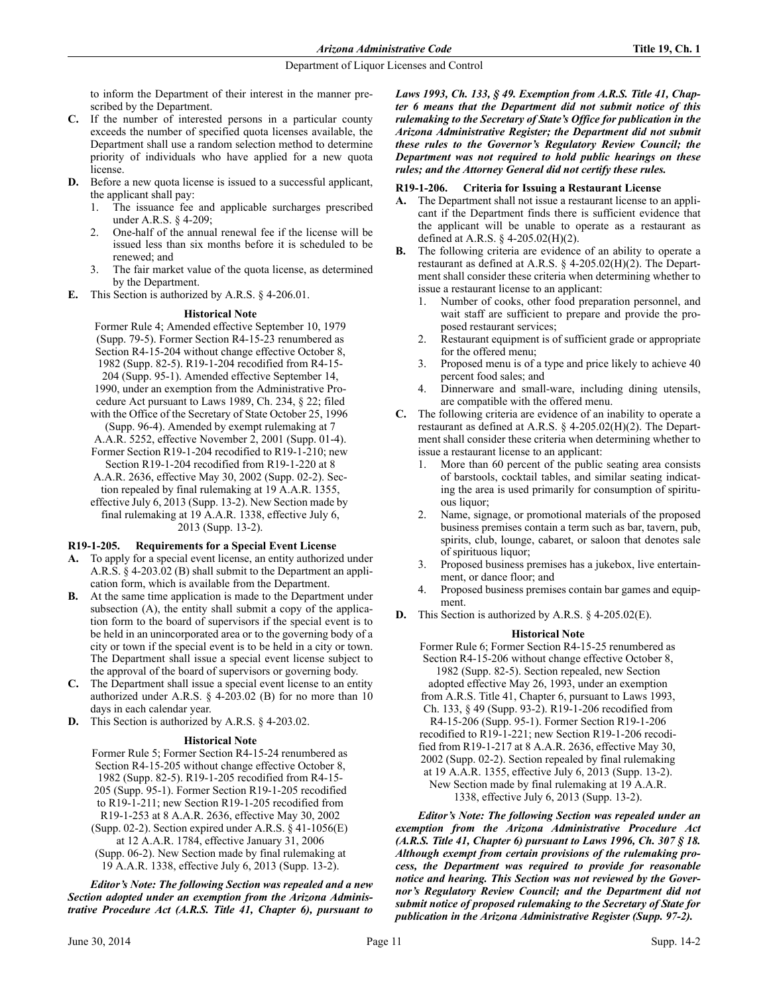to inform the Department of their interest in the manner prescribed by the Department.

- **C.** If the number of interested persons in a particular county exceeds the number of specified quota licenses available, the Department shall use a random selection method to determine priority of individuals who have applied for a new quota license.
- **D.** Before a new quota license is issued to a successful applicant, the applicant shall pay:
	- 1. The issuance fee and applicable surcharges prescribed under A.R.S. § 4-209;
	- 2. One-half of the annual renewal fee if the license will be issued less than six months before it is scheduled to be renewed; and
	- 3. The fair market value of the quota license, as determined by the Department.
- **E.** This Section is authorized by A.R.S. § 4-206.01.

## **Historical Note**

Former Rule 4; Amended effective September 10, 1979 (Supp. 79-5). Former Section R4-15-23 renumbered as Section R4-15-204 without change effective October 8, 1982 (Supp. 82-5). R19-1-204 recodified from R4-15- 204 (Supp. 95-1). Amended effective September 14, 1990, under an exemption from the Administrative Procedure Act pursuant to Laws 1989, Ch. 234, § 22; filed with the Office of the Secretary of State October 25, 1996 (Supp. 96-4). Amended by exempt rulemaking at 7 A.A.R. 5252, effective November 2, 2001 (Supp. 01-4). Former Section R19-1-204 recodified to R19-1-210; new Section R19-1-204 recodified from R19-1-220 at 8 A.A.R. 2636, effective May 30, 2002 (Supp. 02-2). Section repealed by final rulemaking at 19 A.A.R. 1355, effective July 6, 2013 (Supp. 13-2). New Section made by final rulemaking at 19 A.A.R. 1338, effective July 6, 2013 (Supp. 13-2).

# **R19-1-205. Requirements for a Special Event License**

- **A.** To apply for a special event license, an entity authorized under A.R.S. § 4-203.02 (B) shall submit to the Department an application form, which is available from the Department.
- **B.** At the same time application is made to the Department under subsection (A), the entity shall submit a copy of the application form to the board of supervisors if the special event is to be held in an unincorporated area or to the governing body of a city or town if the special event is to be held in a city or town. The Department shall issue a special event license subject to the approval of the board of supervisors or governing body.
- **C.** The Department shall issue a special event license to an entity authorized under A.R.S. § 4-203.02 (B) for no more than 10 days in each calendar year.
- **D.** This Section is authorized by A.R.S. § 4-203.02.

# **Historical Note**

Former Rule 5; Former Section R4-15-24 renumbered as Section R4-15-205 without change effective October 8, 1982 (Supp. 82-5). R19-1-205 recodified from R4-15- 205 (Supp. 95-1). Former Section R19-1-205 recodified to R19-1-211; new Section R19-1-205 recodified from R19-1-253 at 8 A.A.R. 2636, effective May 30, 2002 (Supp. 02-2). Section expired under A.R.S. § 41-1056(E) at 12 A.A.R. 1784, effective January 31, 2006 (Supp. 06-2). New Section made by final rulemaking at 19 A.A.R. 1338, effective July 6, 2013 (Supp. 13-2).

*Editor's Note: The following Section was repealed and a new Section adopted under an exemption from the Arizona Administrative Procedure Act (A.R.S. Title 41, Chapter 6), pursuant to* *Laws 1993, Ch. 133, § 49. Exemption from A.R.S. Title 41, Chapter 6 means that the Department did not submit notice of this rulemaking to the Secretary of State's Office for publication in the Arizona Administrative Register; the Department did not submit these rules to the Governor's Regulatory Review Council; the Department was not required to hold public hearings on these rules; and the Attorney General did not certify these rules.* 

## **R19-1-206. Criteria for Issuing a Restaurant License**

- **A.** The Department shall not issue a restaurant license to an applicant if the Department finds there is sufficient evidence that the applicant will be unable to operate as a restaurant as defined at A.R.S. § 4-205.02(H)(2).
- **B.** The following criteria are evidence of an ability to operate a restaurant as defined at A.R.S. § 4-205.02(H)(2). The Department shall consider these criteria when determining whether to issue a restaurant license to an applicant:
	- Number of cooks, other food preparation personnel, and wait staff are sufficient to prepare and provide the proposed restaurant services;
	- 2. Restaurant equipment is of sufficient grade or appropriate for the offered menu;
	- 3. Proposed menu is of a type and price likely to achieve 40 percent food sales; and
	- 4. Dinnerware and small-ware, including dining utensils, are compatible with the offered menu.
- **C.** The following criteria are evidence of an inability to operate a restaurant as defined at A.R.S. § 4-205.02(H)(2). The Department shall consider these criteria when determining whether to issue a restaurant license to an applicant:
	- 1. More than 60 percent of the public seating area consists of barstools, cocktail tables, and similar seating indicating the area is used primarily for consumption of spirituous liquor;
	- 2. Name, signage, or promotional materials of the proposed business premises contain a term such as bar, tavern, pub, spirits, club, lounge, cabaret, or saloon that denotes sale of spirituous liquor;
	- 3. Proposed business premises has a jukebox, live entertainment, or dance floor; and
	- 4. Proposed business premises contain bar games and equipment.
- **D.** This Section is authorized by A.R.S. § 4-205.02(E).

# **Historical Note**

Former Rule 6; Former Section R4-15-25 renumbered as Section R4-15-206 without change effective October 8, 1982 (Supp. 82-5). Section repealed, new Section adopted effective May 26, 1993, under an exemption from A.R.S. Title 41, Chapter 6, pursuant to Laws 1993, Ch. 133, § 49 (Supp. 93-2). R19-1-206 recodified from R4-15-206 (Supp. 95-1). Former Section R19-1-206 recodified to R19-1-221; new Section R19-1-206 recodified from R19-1-217 at 8 A.A.R. 2636, effective May 30, 2002 (Supp. 02-2). Section repealed by final rulemaking at 19 A.A.R. 1355, effective July 6, 2013 (Supp. 13-2). New Section made by final rulemaking at 19 A.A.R. 1338, effective July 6, 2013 (Supp. 13-2).

*Editor's Note: The following Section was repealed under an exemption from the Arizona Administrative Procedure Act (A.R.S. Title 41, Chapter 6) pursuant to Laws 1996, Ch. 307 § 18. Although exempt from certain provisions of the rulemaking process, the Department was required to provide for reasonable notice and hearing. This Section was not reviewed by the Governor's Regulatory Review Council; and the Department did not submit notice of proposed rulemaking to the Secretary of State for publication in the Arizona Administrative Register (Supp. 97-2).*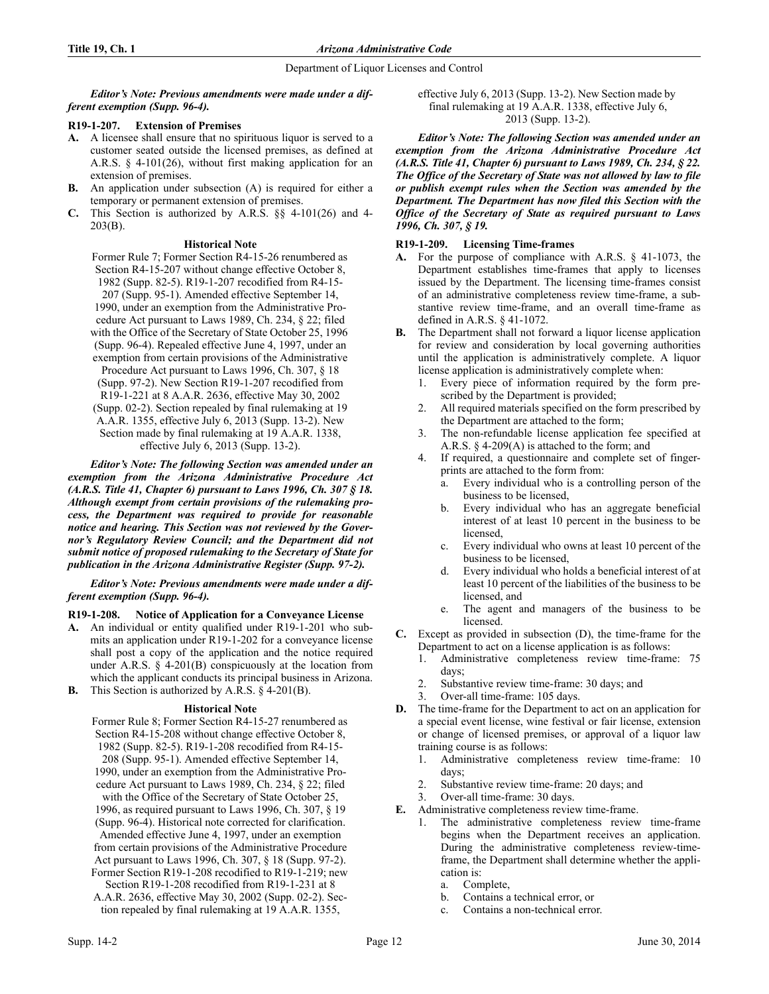*Editor's Note: Previous amendments were made under a different exemption (Supp. 96-4).*

# **R19-1-207. Extension of Premises**

- **A.** A licensee shall ensure that no spirituous liquor is served to a customer seated outside the licensed premises, as defined at A.R.S. § 4-101(26), without first making application for an extension of premises.
- **B.** An application under subsection (A) is required for either a temporary or permanent extension of premises.
- **C.** This Section is authorized by A.R.S. §§ 4-101(26) and 4- 203(B).

## **Historical Note**

Former Rule 7; Former Section R4-15-26 renumbered as Section R4-15-207 without change effective October 8, 1982 (Supp. 82-5). R19-1-207 recodified from R4-15- 207 (Supp. 95-1). Amended effective September 14, 1990, under an exemption from the Administrative Procedure Act pursuant to Laws 1989, Ch. 234, § 22; filed with the Office of the Secretary of State October 25, 1996 (Supp. 96-4). Repealed effective June 4, 1997, under an exemption from certain provisions of the Administrative Procedure Act pursuant to Laws 1996, Ch. 307, § 18 (Supp. 97-2). New Section R19-1-207 recodified from R19-1-221 at 8 A.A.R. 2636, effective May 30, 2002 (Supp. 02-2). Section repealed by final rulemaking at 19 A.A.R. 1355, effective July 6, 2013 (Supp. 13-2). New Section made by final rulemaking at 19 A.A.R. 1338, effective July 6, 2013 (Supp. 13-2).

*Editor's Note: The following Section was amended under an exemption from the Arizona Administrative Procedure Act (A.R.S. Title 41, Chapter 6) pursuant to Laws 1996, Ch. 307 § 18. Although exempt from certain provisions of the rulemaking process, the Department was required to provide for reasonable notice and hearing. This Section was not reviewed by the Governor's Regulatory Review Council; and the Department did not submit notice of proposed rulemaking to the Secretary of State for publication in the Arizona Administrative Register (Supp. 97-2).*

*Editor's Note: Previous amendments were made under a different exemption (Supp. 96-4).*

# **R19-1-208. Notice of Application for a Conveyance License**

- **A.** An individual or entity qualified under R19-1-201 who submits an application under R19-1-202 for a conveyance license shall post a copy of the application and the notice required under A.R.S.  $\S$  4-201(B) conspicuously at the location from which the applicant conducts its principal business in Arizona.
- **B.** This Section is authorized by A.R.S. § 4-201(B).

# **Historical Note**

- Former Rule 8; Former Section R4-15-27 renumbered as Section R4-15-208 without change effective October 8, 1982 (Supp. 82-5). R19-1-208 recodified from R4-15- 208 (Supp. 95-1). Amended effective September 14, 1990, under an exemption from the Administrative Procedure Act pursuant to Laws 1989, Ch. 234, § 22; filed with the Office of the Secretary of State October 25, 1996, as required pursuant to Laws 1996, Ch. 307, § 19 (Supp. 96-4). Historical note corrected for clarification. Amended effective June 4, 1997, under an exemption from certain provisions of the Administrative Procedure Act pursuant to Laws 1996, Ch. 307, § 18 (Supp. 97-2). Former Section R19-1-208 recodified to R19-1-219; new Section R19-1-208 recodified from R19-1-231 at 8
- A.A.R. 2636, effective May 30, 2002 (Supp. 02-2). Section repealed by final rulemaking at 19 A.A.R. 1355,

effective July 6, 2013 (Supp. 13-2). New Section made by final rulemaking at 19 A.A.R. 1338, effective July 6, 2013 (Supp. 13-2).

*Editor's Note: The following Section was amended under an exemption from the Arizona Administrative Procedure Act (A.R.S. Title 41, Chapter 6) pursuant to Laws 1989, Ch. 234, § 22. The Office of the Secretary of State was not allowed by law to file or publish exempt rules when the Section was amended by the Department. The Department has now filed this Section with the Office of the Secretary of State as required pursuant to Laws 1996, Ch. 307, § 19.*

# **R19-1-209. Licensing Time-frames**

- **A.** For the purpose of compliance with A.R.S. § 41-1073, the Department establishes time-frames that apply to licenses issued by the Department. The licensing time-frames consist of an administrative completeness review time-frame, a substantive review time-frame, and an overall time-frame as defined in A.R.S. § 41-1072.
- **B.** The Department shall not forward a liquor license application for review and consideration by local governing authorities until the application is administratively complete. A liquor license application is administratively complete when:
	- 1. Every piece of information required by the form prescribed by the Department is provided;
	- 2. All required materials specified on the form prescribed by the Department are attached to the form;
	- 3. The non-refundable license application fee specified at A.R.S. § 4-209(A) is attached to the form; and
	- 4. If required, a questionnaire and complete set of fingerprints are attached to the form from:
		- a. Every individual who is a controlling person of the business to be licensed,
		- b. Every individual who has an aggregate beneficial interest of at least 10 percent in the business to be licensed,
		- c. Every individual who owns at least 10 percent of the business to be licensed,
		- d. Every individual who holds a beneficial interest of at least 10 percent of the liabilities of the business to be licensed, and
		- e. The agent and managers of the business to be licensed.
- **C.** Except as provided in subsection (D), the time-frame for the Department to act on a license application is as follows:
	- 1. Administrative completeness review time-frame: 75 days;
	- 2. Substantive review time-frame: 30 days; and
	- 3. Over-all time-frame: 105 days.
- **D.** The time-frame for the Department to act on an application for a special event license, wine festival or fair license, extension or change of licensed premises, or approval of a liquor law training course is as follows:
	- 1. Administrative completeness review time-frame: 10 days;
	- 2. Substantive review time-frame: 20 days; and
	- 3. Over-all time-frame: 30 days.
- **E.** Administrative completeness review time-frame.
	- 1. The administrative completeness review time-frame begins when the Department receives an application. During the administrative completeness review-timeframe, the Department shall determine whether the application is:
		- a. Complete,
		- b. Contains a technical error, or
		- c. Contains a non-technical error.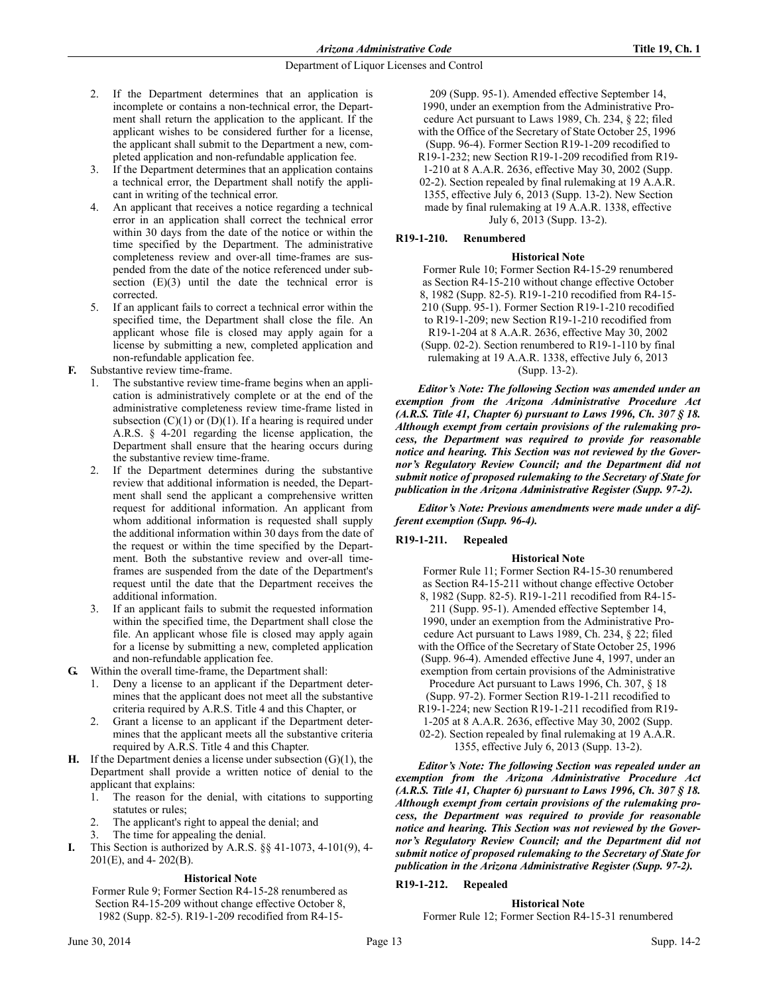- 2. If the Department determines that an application is incomplete or contains a non-technical error, the Department shall return the application to the applicant. If the applicant wishes to be considered further for a license, the applicant shall submit to the Department a new, completed application and non-refundable application fee.
- 3. If the Department determines that an application contains a technical error, the Department shall notify the applicant in writing of the technical error.
- 4. An applicant that receives a notice regarding a technical error in an application shall correct the technical error within 30 days from the date of the notice or within the time specified by the Department. The administrative completeness review and over-all time-frames are suspended from the date of the notice referenced under subsection  $(E)(3)$  until the date the technical error is corrected.
- If an applicant fails to correct a technical error within the specified time, the Department shall close the file. An applicant whose file is closed may apply again for a license by submitting a new, completed application and non-refundable application fee.
- **F.** Substantive review time-frame.
	- The substantive review time-frame begins when an application is administratively complete or at the end of the administrative completeness review time-frame listed in subsection  $(C)(1)$  or  $(D)(1)$ . If a hearing is required under A.R.S. § 4-201 regarding the license application, the Department shall ensure that the hearing occurs during the substantive review time-frame.
	- If the Department determines during the substantive review that additional information is needed, the Department shall send the applicant a comprehensive written request for additional information. An applicant from whom additional information is requested shall supply the additional information within 30 days from the date of the request or within the time specified by the Department. Both the substantive review and over-all timeframes are suspended from the date of the Department's request until the date that the Department receives the additional information.
	- If an applicant fails to submit the requested information within the specified time, the Department shall close the file. An applicant whose file is closed may apply again for a license by submitting a new, completed application and non-refundable application fee.
- **G.** Within the overall time-frame, the Department shall:
	- 1. Deny a license to an applicant if the Department determines that the applicant does not meet all the substantive criteria required by A.R.S. Title 4 and this Chapter, or
	- 2. Grant a license to an applicant if the Department determines that the applicant meets all the substantive criteria required by A.R.S. Title 4 and this Chapter.
- **H.** If the Department denies a license under subsection (G)(1), the Department shall provide a written notice of denial to the applicant that explains:
	- 1. The reason for the denial, with citations to supporting statutes or rules;
	- 2. The applicant's right to appeal the denial; and
	- The time for appealing the denial.
- **I.** This Section is authorized by A.R.S. §§ 41-1073, 4-101(9), 4- 201(E), and 4- 202(B).

## **Historical Note**

Former Rule 9; Former Section R4-15-28 renumbered as Section R4-15-209 without change effective October 8, 1982 (Supp. 82-5). R19-1-209 recodified from R4-15-

209 (Supp. 95-1). Amended effective September 14, 1990, under an exemption from the Administrative Procedure Act pursuant to Laws 1989, Ch. 234, § 22; filed with the Office of the Secretary of State October 25, 1996 (Supp. 96-4). Former Section R19-1-209 recodified to R19-1-232; new Section R19-1-209 recodified from R19-

1-210 at 8 A.A.R. 2636, effective May 30, 2002 (Supp. 02-2). Section repealed by final rulemaking at 19 A.A.R. 1355, effective July 6, 2013 (Supp. 13-2). New Section made by final rulemaking at 19 A.A.R. 1338, effective July 6, 2013 (Supp. 13-2).

## **R19-1-210. Renumbered**

## **Historical Note**

Former Rule 10; Former Section R4-15-29 renumbered as Section R4-15-210 without change effective October 8, 1982 (Supp. 82-5). R19-1-210 recodified from R4-15- 210 (Supp. 95-1). Former Section R19-1-210 recodified to R19-1-209; new Section R19-1-210 recodified from R19-1-204 at 8 A.A.R. 2636, effective May 30, 2002 (Supp. 02-2). Section renumbered to R19-1-110 by final rulemaking at 19 A.A.R. 1338, effective July 6, 2013 (Supp. 13-2).

*Editor's Note: The following Section was amended under an exemption from the Arizona Administrative Procedure Act (A.R.S. Title 41, Chapter 6) pursuant to Laws 1996, Ch. 307 § 18. Although exempt from certain provisions of the rulemaking process, the Department was required to provide for reasonable notice and hearing. This Section was not reviewed by the Governor's Regulatory Review Council; and the Department did not submit notice of proposed rulemaking to the Secretary of State for publication in the Arizona Administrative Register (Supp. 97-2).*

*Editor's Note: Previous amendments were made under a different exemption (Supp. 96-4).*

## **R19-1-211. Repealed**

#### **Historical Note**

Former Rule 11; Former Section R4-15-30 renumbered as Section R4-15-211 without change effective October 8, 1982 (Supp. 82-5). R19-1-211 recodified from R4-15- 211 (Supp. 95-1). Amended effective September 14, 1990, under an exemption from the Administrative Procedure Act pursuant to Laws 1989, Ch. 234, § 22; filed with the Office of the Secretary of State October 25, 1996 (Supp. 96-4). Amended effective June 4, 1997, under an exemption from certain provisions of the Administrative Procedure Act pursuant to Laws 1996, Ch. 307, § 18 (Supp. 97-2). Former Section R19-1-211 recodified to R19-1-224; new Section R19-1-211 recodified from R19- 1-205 at 8 A.A.R. 2636, effective May 30, 2002 (Supp. 02-2). Section repealed by final rulemaking at 19 A.A.R.

1355, effective July 6, 2013 (Supp. 13-2).

*Editor's Note: The following Section was repealed under an exemption from the Arizona Administrative Procedure Act (A.R.S. Title 41, Chapter 6) pursuant to Laws 1996, Ch. 307 § 18. Although exempt from certain provisions of the rulemaking process, the Department was required to provide for reasonable notice and hearing. This Section was not reviewed by the Governor's Regulatory Review Council; and the Department did not submit notice of proposed rulemaking to the Secretary of State for publication in the Arizona Administrative Register (Supp. 97-2).*

## **R19-1-212. Repealed**

## **Historical Note**

Former Rule 12; Former Section R4-15-31 renumbered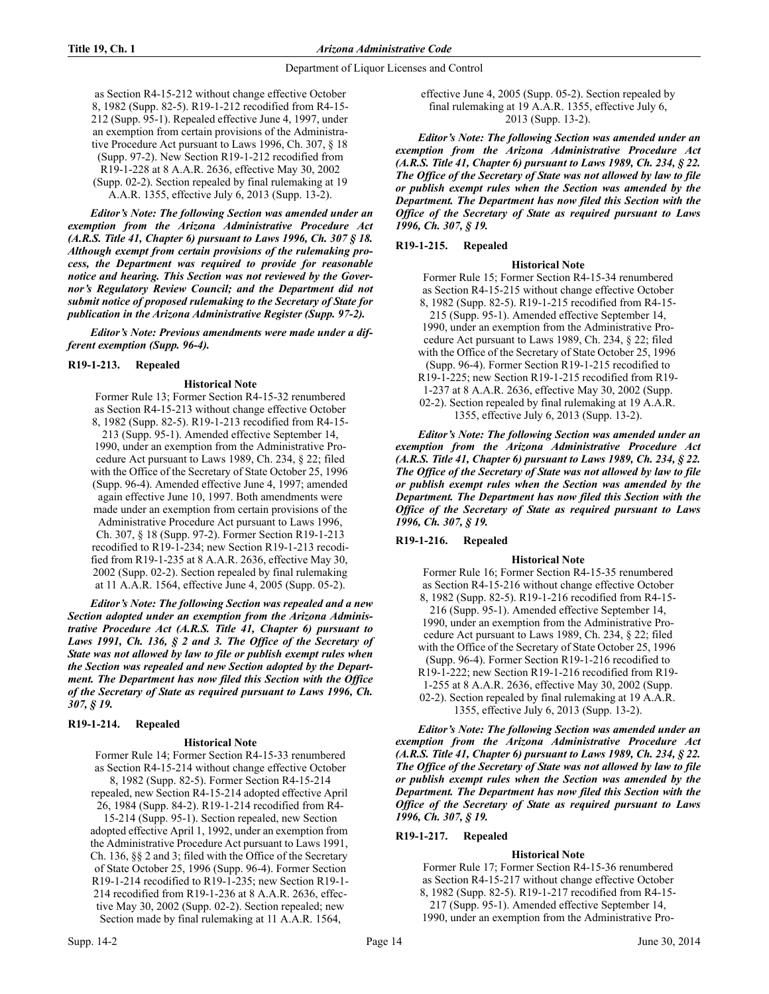as Section R4-15-212 without change effective October 8, 1982 (Supp. 82-5). R19-1-212 recodified from R4-15- 212 (Supp. 95-1). Repealed effective June 4, 1997, under an exemption from certain provisions of the Administrative Procedure Act pursuant to Laws 1996, Ch. 307, § 18 (Supp. 97-2). New Section R19-1-212 recodified from R19-1-228 at 8 A.A.R. 2636, effective May 30, 2002 (Supp. 02-2). Section repealed by final rulemaking at 19 A.A.R. 1355, effective July 6, 2013 (Supp. 13-2).

*Editor's Note: The following Section was amended under an exemption from the Arizona Administrative Procedure Act (A.R.S. Title 41, Chapter 6) pursuant to Laws 1996, Ch. 307 § 18. Although exempt from certain provisions of the rulemaking process, the Department was required to provide for reasonable notice and hearing. This Section was not reviewed by the Governor's Regulatory Review Council; and the Department did not submit notice of proposed rulemaking to the Secretary of State for publication in the Arizona Administrative Register (Supp. 97-2).*

*Editor's Note: Previous amendments were made under a different exemption (Supp. 96-4).*

## **R19-1-213. Repealed**

## **Historical Note**

Former Rule 13; Former Section R4-15-32 renumbered as Section R4-15-213 without change effective October 8, 1982 (Supp. 82-5). R19-1-213 recodified from R4-15- 213 (Supp. 95-1). Amended effective September 14, 1990, under an exemption from the Administrative Procedure Act pursuant to Laws 1989, Ch. 234, § 22; filed with the Office of the Secretary of State October 25, 1996 (Supp. 96-4). Amended effective June 4, 1997; amended again effective June 10, 1997. Both amendments were made under an exemption from certain provisions of the Administrative Procedure Act pursuant to Laws 1996, Ch. 307, § 18 (Supp. 97-2). Former Section R19-1-213 recodified to R19-1-234; new Section R19-1-213 recodified from R19-1-235 at 8 A.A.R. 2636, effective May 30, 2002 (Supp. 02-2). Section repealed by final rulemaking at 11 A.A.R. 1564, effective June 4, 2005 (Supp. 05-2).

*Editor's Note: The following Section was repealed and a new Section adopted under an exemption from the Arizona Administrative Procedure Act (A.R.S. Title 41, Chapter 6) pursuant to Laws 1991, Ch. 136, § 2 and 3. The Office of the Secretary of State was not allowed by law to file or publish exempt rules when the Section was repealed and new Section adopted by the Department. The Department has now filed this Section with the Office of the Secretary of State as required pursuant to Laws 1996, Ch. 307, § 19.*

## **R19-1-214. Repealed**

#### **Historical Note**

Former Rule 14; Former Section R4-15-33 renumbered as Section R4-15-214 without change effective October 8, 1982 (Supp. 82-5). Former Section R4-15-214 repealed, new Section R4-15-214 adopted effective April 26, 1984 (Supp. 84-2). R19-1-214 recodified from R4- 15-214 (Supp. 95-1). Section repealed, new Section adopted effective April 1, 1992, under an exemption from the Administrative Procedure Act pursuant to Laws 1991, Ch. 136, §§ 2 and 3; filed with the Office of the Secretary of State October 25, 1996 (Supp. 96-4). Former Section R19-1-214 recodified to R19-1-235; new Section R19-1- 214 recodified from R19-1-236 at 8 A.A.R. 2636, effective May 30, 2002 (Supp. 02-2). Section repealed; new Section made by final rulemaking at 11 A.A.R. 1564,

*Editor's Note: The following Section was amended under an exemption from the Arizona Administrative Procedure Act (A.R.S. Title 41, Chapter 6) pursuant to Laws 1989, Ch. 234, § 22. The Office of the Secretary of State was not allowed by law to file or publish exempt rules when the Section was amended by the Department. The Department has now filed this Section with the Office of the Secretary of State as required pursuant to Laws 1996, Ch. 307, § 19.*

## **R19-1-215. Repealed**

## **Historical Note**

Former Rule 15; Former Section R4-15-34 renumbered as Section R4-15-215 without change effective October 8, 1982 (Supp. 82-5). R19-1-215 recodified from R4-15- 215 (Supp. 95-1). Amended effective September 14, 1990, under an exemption from the Administrative Procedure Act pursuant to Laws 1989, Ch. 234, § 22; filed with the Office of the Secretary of State October 25, 1996 (Supp. 96-4). Former Section R19-1-215 recodified to R19-1-225; new Section R19-1-215 recodified from R19- 1-237 at 8 A.A.R. 2636, effective May 30, 2002 (Supp. 02-2). Section repealed by final rulemaking at 19 A.A.R. 1355, effective July 6, 2013 (Supp. 13-2).

*Editor's Note: The following Section was amended under an exemption from the Arizona Administrative Procedure Act (A.R.S. Title 41, Chapter 6) pursuant to Laws 1989, Ch. 234, § 22. The Office of the Secretary of State was not allowed by law to file or publish exempt rules when the Section was amended by the Department. The Department has now filed this Section with the Office of the Secretary of State as required pursuant to Laws 1996, Ch. 307, § 19.*

# **R19-1-216. Repealed**

## **Historical Note**

Former Rule 16; Former Section R4-15-35 renumbered as Section R4-15-216 without change effective October 8, 1982 (Supp. 82-5). R19-1-216 recodified from R4-15- 216 (Supp. 95-1). Amended effective September 14, 1990, under an exemption from the Administrative Procedure Act pursuant to Laws 1989, Ch. 234, § 22; filed with the Office of the Secretary of State October 25, 1996 (Supp. 96-4). Former Section R19-1-216 recodified to R19-1-222; new Section R19-1-216 recodified from R19- 1-255 at 8 A.A.R. 2636, effective May 30, 2002 (Supp. 02-2). Section repealed by final rulemaking at 19 A.A.R.

1355, effective July 6, 2013 (Supp. 13-2). *Editor's Note: The following Section was amended under an exemption from the Arizona Administrative Procedure Act (A.R.S. Title 41, Chapter 6) pursuant to Laws 1989, Ch. 234, § 22. The Office of the Secretary of State was not allowed by law to file*

*or publish exempt rules when the Section was amended by the Department. The Department has now filed this Section with the Office of the Secretary of State as required pursuant to Laws 1996, Ch. 307, § 19.*

## **R19-1-217. Repealed**

## **Historical Note**

Former Rule 17; Former Section R4-15-36 renumbered as Section R4-15-217 without change effective October 8, 1982 (Supp. 82-5). R19-1-217 recodified from R4-15- 217 (Supp. 95-1). Amended effective September 14, 1990, under an exemption from the Administrative Pro-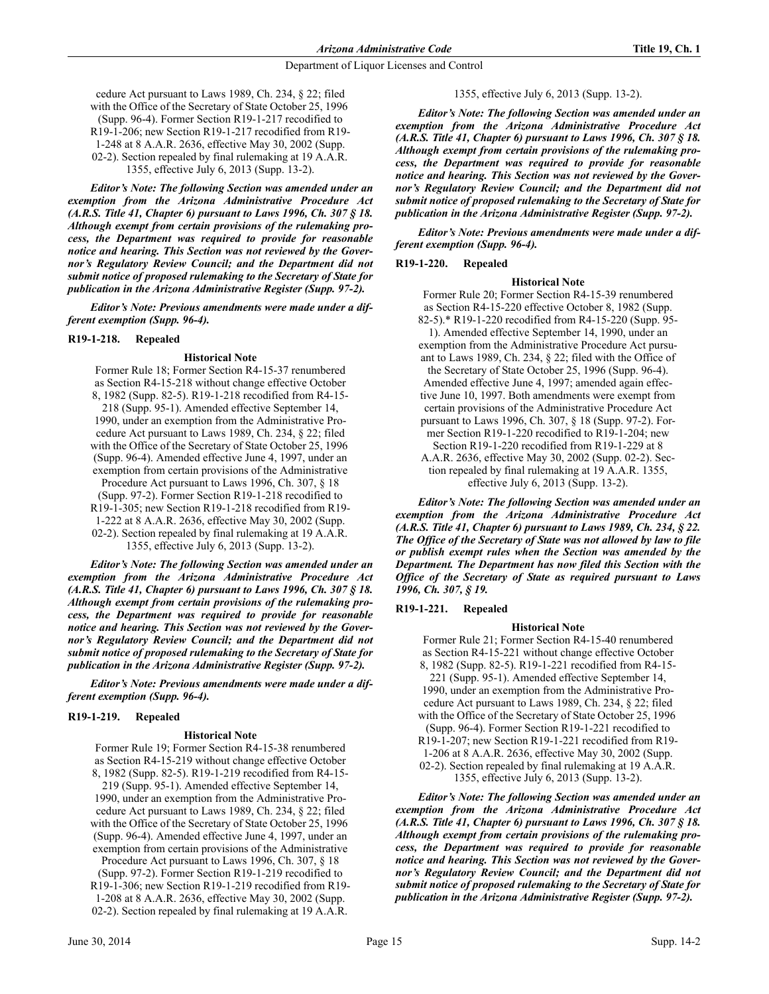cedure Act pursuant to Laws 1989, Ch. 234, § 22; filed with the Office of the Secretary of State October 25, 1996 (Supp. 96-4). Former Section R19-1-217 recodified to R19-1-206; new Section R19-1-217 recodified from R19- 1-248 at 8 A.A.R. 2636, effective May 30, 2002 (Supp. 02-2). Section repealed by final rulemaking at 19 A.A.R. 1355, effective July 6, 2013 (Supp. 13-2).

*Editor's Note: The following Section was amended under an exemption from the Arizona Administrative Procedure Act (A.R.S. Title 41, Chapter 6) pursuant to Laws 1996, Ch. 307 § 18. Although exempt from certain provisions of the rulemaking process, the Department was required to provide for reasonable notice and hearing. This Section was not reviewed by the Governor's Regulatory Review Council; and the Department did not submit notice of proposed rulemaking to the Secretary of State for publication in the Arizona Administrative Register (Supp. 97-2).*

*Editor's Note: Previous amendments were made under a different exemption (Supp. 96-4).*

## **R19-1-218. Repealed**

## **Historical Note**

Former Rule 18; Former Section R4-15-37 renumbered as Section R4-15-218 without change effective October 8, 1982 (Supp. 82-5). R19-1-218 recodified from R4-15- 218 (Supp. 95-1). Amended effective September 14, 1990, under an exemption from the Administrative Procedure Act pursuant to Laws 1989, Ch. 234, § 22; filed with the Office of the Secretary of State October 25, 1996 (Supp. 96-4). Amended effective June 4, 1997, under an exemption from certain provisions of the Administrative Procedure Act pursuant to Laws 1996, Ch. 307, § 18 (Supp. 97-2). Former Section R19-1-218 recodified to R19-1-305; new Section R19-1-218 recodified from R19- 1-222 at 8 A.A.R. 2636, effective May 30, 2002 (Supp. 02-2). Section repealed by final rulemaking at 19 A.A.R. 1355, effective July 6, 2013 (Supp. 13-2).

*Editor's Note: The following Section was amended under an exemption from the Arizona Administrative Procedure Act (A.R.S. Title 41, Chapter 6) pursuant to Laws 1996, Ch. 307 § 18. Although exempt from certain provisions of the rulemaking process, the Department was required to provide for reasonable notice and hearing. This Section was not reviewed by the Governor's Regulatory Review Council; and the Department did not submit notice of proposed rulemaking to the Secretary of State for publication in the Arizona Administrative Register (Supp. 97-2).*

*Editor's Note: Previous amendments were made under a different exemption (Supp. 96-4).*

# **R19-1-219. Repealed**

## **Historical Note**

Former Rule 19; Former Section R4-15-38 renumbered as Section R4-15-219 without change effective October 8, 1982 (Supp. 82-5). R19-1-219 recodified from R4-15- 219 (Supp. 95-1). Amended effective September 14, 1990, under an exemption from the Administrative Procedure Act pursuant to Laws 1989, Ch. 234, § 22; filed with the Office of the Secretary of State October 25, 1996 (Supp. 96-4). Amended effective June 4, 1997, under an exemption from certain provisions of the Administrative Procedure Act pursuant to Laws 1996, Ch. 307, § 18 (Supp. 97-2). Former Section R19-1-219 recodified to

R19-1-306; new Section R19-1-219 recodified from R19- 1-208 at 8 A.A.R. 2636, effective May 30, 2002 (Supp. 02-2). Section repealed by final rulemaking at 19 A.A.R.

## 1355, effective July 6, 2013 (Supp. 13-2).

*Editor's Note: The following Section was amended under an exemption from the Arizona Administrative Procedure Act (A.R.S. Title 41, Chapter 6) pursuant to Laws 1996, Ch. 307 § 18. Although exempt from certain provisions of the rulemaking process, the Department was required to provide for reasonable notice and hearing. This Section was not reviewed by the Governor's Regulatory Review Council; and the Department did not submit notice of proposed rulemaking to the Secretary of State for publication in the Arizona Administrative Register (Supp. 97-2).*

*Editor's Note: Previous amendments were made under a different exemption (Supp. 96-4).*

# **R19-1-220. Repealed**

#### **Historical Note**

Former Rule 20; Former Section R4-15-39 renumbered as Section R4-15-220 effective October 8, 1982 (Supp. 82-5).\* R19-1-220 recodified from R4-15-220 (Supp. 95- 1). Amended effective September 14, 1990, under an exemption from the Administrative Procedure Act pursuant to Laws 1989, Ch. 234, § 22; filed with the Office of the Secretary of State October 25, 1996 (Supp. 96-4). Amended effective June 4, 1997; amended again effective June 10, 1997. Both amendments were exempt from certain provisions of the Administrative Procedure Act pursuant to Laws 1996, Ch. 307, § 18 (Supp. 97-2). Former Section R19-1-220 recodified to R19-1-204; new Section R19-1-220 recodified from R19-1-229 at 8 A.A.R. 2636, effective May 30, 2002 (Supp. 02-2). Section repealed by final rulemaking at 19 A.A.R. 1355, effective July 6, 2013 (Supp. 13-2).

*Editor's Note: The following Section was amended under an exemption from the Arizona Administrative Procedure Act (A.R.S. Title 41, Chapter 6) pursuant to Laws 1989, Ch. 234, § 22. The Office of the Secretary of State was not allowed by law to file or publish exempt rules when the Section was amended by the Department. The Department has now filed this Section with the Office of the Secretary of State as required pursuant to Laws 1996, Ch. 307, § 19.*

# **R19-1-221. Repealed**

## **Historical Note**

Former Rule 21; Former Section R4-15-40 renumbered as Section R4-15-221 without change effective October 8, 1982 (Supp. 82-5). R19-1-221 recodified from R4-15- 221 (Supp. 95-1). Amended effective September 14, 1990, under an exemption from the Administrative Procedure Act pursuant to Laws 1989, Ch. 234, § 22; filed with the Office of the Secretary of State October 25, 1996 (Supp. 96-4). Former Section R19-1-221 recodified to R19-1-207; new Section R19-1-221 recodified from R19- 1-206 at 8 A.A.R. 2636, effective May 30, 2002 (Supp. 02-2). Section repealed by final rulemaking at 19 A.A.R. 1355, effective July 6, 2013 (Supp. 13-2).

*Editor's Note: The following Section was amended under an exemption from the Arizona Administrative Procedure Act (A.R.S. Title 41, Chapter 6) pursuant to Laws 1996, Ch. 307 § 18. Although exempt from certain provisions of the rulemaking process, the Department was required to provide for reasonable notice and hearing. This Section was not reviewed by the Governor's Regulatory Review Council; and the Department did not submit notice of proposed rulemaking to the Secretary of State for publication in the Arizona Administrative Register (Supp. 97-2).*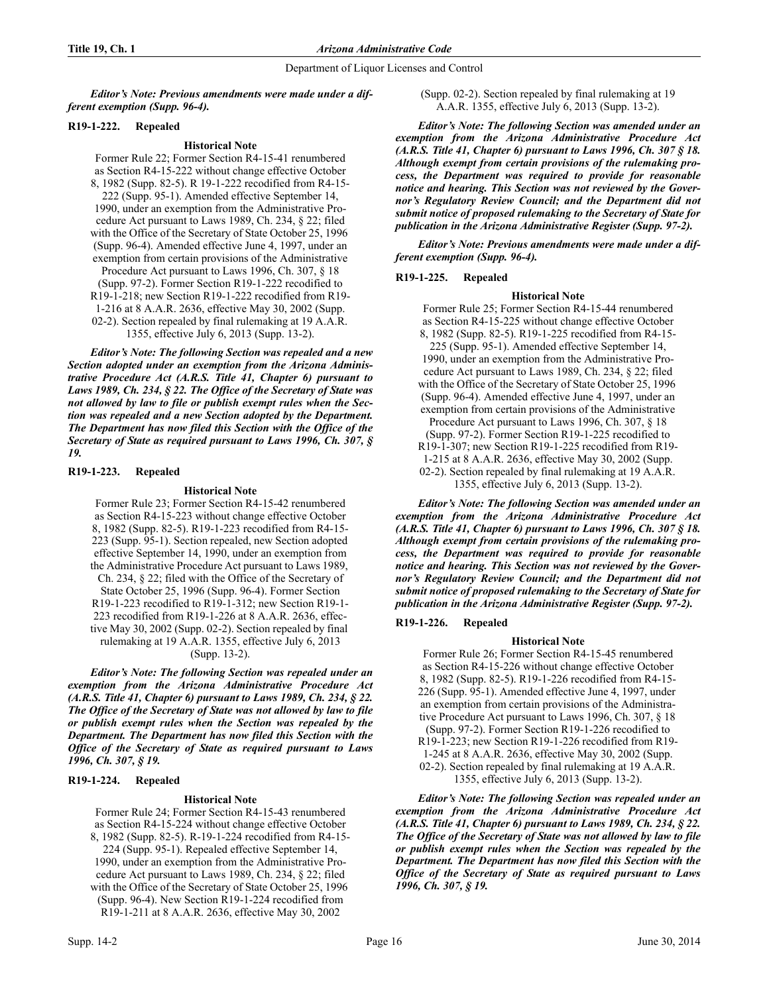*Editor's Note: Previous amendments were made under a different exemption (Supp. 96-4).*

## **R19-1-222. Repealed**

## **Historical Note**

Former Rule 22; Former Section R4-15-41 renumbered as Section R4-15-222 without change effective October 8, 1982 (Supp. 82-5). R 19-1-222 recodified from R4-15- 222 (Supp. 95-1). Amended effective September 14, 1990, under an exemption from the Administrative Procedure Act pursuant to Laws 1989, Ch. 234, § 22; filed with the Office of the Secretary of State October 25, 1996 (Supp. 96-4). Amended effective June 4, 1997, under an exemption from certain provisions of the Administrative Procedure Act pursuant to Laws 1996, Ch. 307, § 18 (Supp. 97-2). Former Section R19-1-222 recodified to R19-1-218; new Section R19-1-222 recodified from R19- 1-216 at 8 A.A.R. 2636, effective May 30, 2002 (Supp. 02-2). Section repealed by final rulemaking at 19 A.A.R. 1355, effective July 6, 2013 (Supp. 13-2).

*Editor's Note: The following Section was repealed and a new Section adopted under an exemption from the Arizona Administrative Procedure Act (A.R.S. Title 41, Chapter 6) pursuant to Laws 1989, Ch. 234, § 22. The Office of the Secretary of State was not allowed by law to file or publish exempt rules when the Section was repealed and a new Section adopted by the Department. The Department has now filed this Section with the Office of the Secretary of State as required pursuant to Laws 1996, Ch. 307, § 19.*

## **R19-1-223. Repealed**

## **Historical Note**

Former Rule 23; Former Section R4-15-42 renumbered as Section R4-15-223 without change effective October 8, 1982 (Supp. 82-5). R19-1-223 recodified from R4-15- 223 (Supp. 95-1). Section repealed, new Section adopted effective September 14, 1990, under an exemption from the Administrative Procedure Act pursuant to Laws 1989, Ch. 234, § 22; filed with the Office of the Secretary of State October 25, 1996 (Supp. 96-4). Former Section R19-1-223 recodified to R19-1-312; new Section R19-1- 223 recodified from R19-1-226 at 8 A.A.R. 2636, effective May 30, 2002 (Supp. 02-2). Section repealed by final rulemaking at 19 A.A.R. 1355, effective July 6, 2013

# (Supp. 13-2).

*Editor's Note: The following Section was repealed under an exemption from the Arizona Administrative Procedure Act (A.R.S. Title 41, Chapter 6) pursuant to Laws 1989, Ch. 234, § 22. The Office of the Secretary of State was not allowed by law to file or publish exempt rules when the Section was repealed by the Department. The Department has now filed this Section with the Office of the Secretary of State as required pursuant to Laws 1996, Ch. 307, § 19.*

## **R19-1-224. Repealed**

# **Historical Note**

Former Rule 24; Former Section R4-15-43 renumbered as Section R4-15-224 without change effective October 8, 1982 (Supp. 82-5). R-19-1-224 recodified from R4-15- 224 (Supp. 95-1). Repealed effective September 14, 1990, under an exemption from the Administrative Procedure Act pursuant to Laws 1989, Ch. 234, § 22; filed with the Office of the Secretary of State October 25, 1996 (Supp. 96-4). New Section R19-1-224 recodified from

R19-1-211 at 8 A.A.R. 2636, effective May 30, 2002

(Supp. 02-2). Section repealed by final rulemaking at 19 A.A.R. 1355, effective July 6, 2013 (Supp. 13-2).

*Editor's Note: The following Section was amended under an exemption from the Arizona Administrative Procedure Act (A.R.S. Title 41, Chapter 6) pursuant to Laws 1996, Ch. 307 § 18. Although exempt from certain provisions of the rulemaking process, the Department was required to provide for reasonable notice and hearing. This Section was not reviewed by the Governor's Regulatory Review Council; and the Department did not submit notice of proposed rulemaking to the Secretary of State for publication in the Arizona Administrative Register (Supp. 97-2).*

*Editor's Note: Previous amendments were made under a different exemption (Supp. 96-4).*

## **R19-1-225. Repealed**

## **Historical Note**

Former Rule 25; Former Section R4-15-44 renumbered as Section R4-15-225 without change effective October 8, 1982 (Supp. 82-5). R19-1-225 recodified from R4-15- 225 (Supp. 95-1). Amended effective September 14, 1990, under an exemption from the Administrative Procedure Act pursuant to Laws 1989, Ch. 234, § 22; filed with the Office of the Secretary of State October 25, 1996 (Supp. 96-4). Amended effective June 4, 1997, under an exemption from certain provisions of the Administrative Procedure Act pursuant to Laws 1996, Ch. 307, § 18 (Supp. 97-2). Former Section R19-1-225 recodified to R19-1-307; new Section R19-1-225 recodified from R19-

- 
- 1-215 at 8 A.A.R. 2636, effective May 30, 2002 (Supp. 02-2). Section repealed by final rulemaking at 19 A.A.R.

1355, effective July 6, 2013 (Supp. 13-2).

*Editor's Note: The following Section was amended under an exemption from the Arizona Administrative Procedure Act (A.R.S. Title 41, Chapter 6) pursuant to Laws 1996, Ch. 307 § 18. Although exempt from certain provisions of the rulemaking process, the Department was required to provide for reasonable notice and hearing. This Section was not reviewed by the Governor's Regulatory Review Council; and the Department did not submit notice of proposed rulemaking to the Secretary of State for publication in the Arizona Administrative Register (Supp. 97-2).*

# **R19-1-226. Repealed**

## **Historical Note**

Former Rule 26; Former Section R4-15-45 renumbered as Section R4-15-226 without change effective October 8, 1982 (Supp. 82-5). R19-1-226 recodified from R4-15- 226 (Supp. 95-1). Amended effective June 4, 1997, under an exemption from certain provisions of the Administrative Procedure Act pursuant to Laws 1996, Ch. 307, § 18 (Supp. 97-2). Former Section R19-1-226 recodified to R19-1-223; new Section R19-1-226 recodified from R19- 1-245 at 8 A.A.R. 2636, effective May 30, 2002 (Supp. 02-2). Section repealed by final rulemaking at 19 A.A.R. 1355, effective July 6, 2013 (Supp. 13-2).

*Editor's Note: The following Section was repealed under an exemption from the Arizona Administrative Procedure Act (A.R.S. Title 41, Chapter 6) pursuant to Laws 1989, Ch. 234, § 22. The Office of the Secretary of State was not allowed by law to file or publish exempt rules when the Section was repealed by the Department. The Department has now filed this Section with the Office of the Secretary of State as required pursuant to Laws 1996, Ch. 307, § 19.*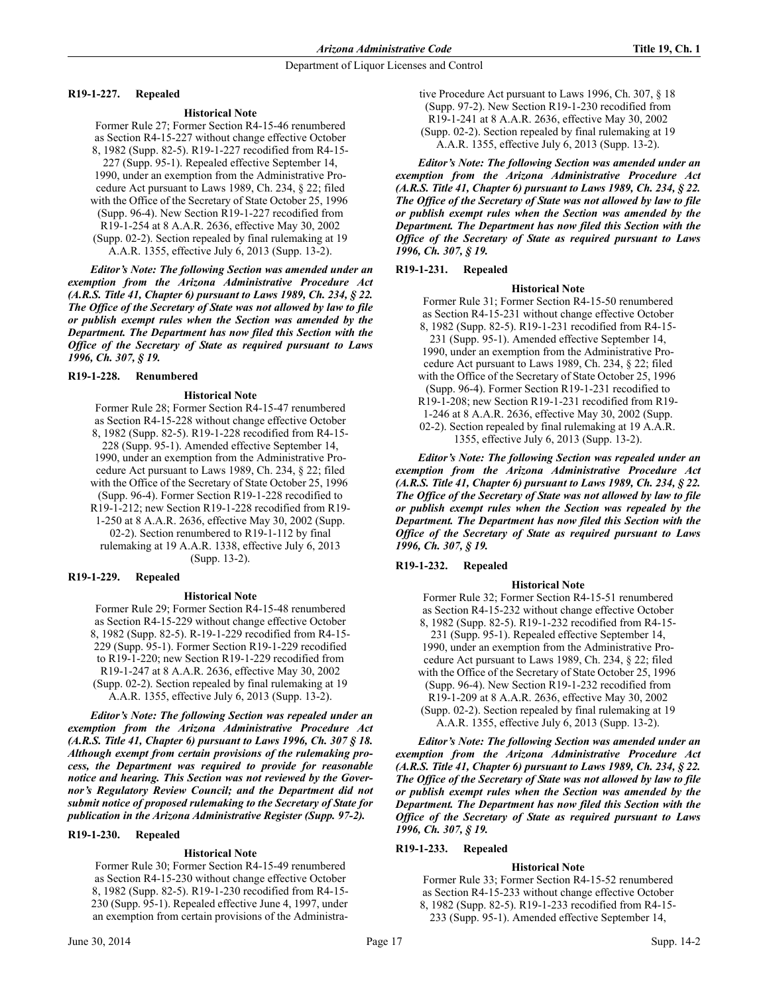## **R19-1-227. Repealed**

## **Historical Note**

Former Rule 27; Former Section R4-15-46 renumbered as Section R4-15-227 without change effective October 8, 1982 (Supp. 82-5). R19-1-227 recodified from R4-15- 227 (Supp. 95-1). Repealed effective September 14, 1990, under an exemption from the Administrative Procedure Act pursuant to Laws 1989, Ch. 234, § 22; filed with the Office of the Secretary of State October 25, 1996 (Supp. 96-4). New Section R19-1-227 recodified from R19-1-254 at 8 A.A.R. 2636, effective May 30, 2002 (Supp. 02-2). Section repealed by final rulemaking at 19 A.A.R. 1355, effective July 6, 2013 (Supp. 13-2).

*Editor's Note: The following Section was amended under an exemption from the Arizona Administrative Procedure Act (A.R.S. Title 41, Chapter 6) pursuant to Laws 1989, Ch. 234, § 22. The Office of the Secretary of State was not allowed by law to file or publish exempt rules when the Section was amended by the Department. The Department has now filed this Section with the Office of the Secretary of State as required pursuant to Laws 1996, Ch. 307, § 19.* 

## **R19-1-228. Renumbered**

## **Historical Note**

Former Rule 28; Former Section R4-15-47 renumbered as Section R4-15-228 without change effective October 8, 1982 (Supp. 82-5). R19-1-228 recodified from R4-15- 228 (Supp. 95-1). Amended effective September 14, 1990, under an exemption from the Administrative Procedure Act pursuant to Laws 1989, Ch. 234, § 22; filed with the Office of the Secretary of State October 25, 1996 (Supp. 96-4). Former Section R19-1-228 recodified to R19-1-212; new Section R19-1-228 recodified from R19- 1-250 at 8 A.A.R. 2636, effective May 30, 2002 (Supp. 02-2). Section renumbered to R19-1-112 by final rulemaking at 19 A.A.R. 1338, effective July 6, 2013 (Supp. 13-2).

## **R19-1-229. Repealed**

## **Historical Note**

Former Rule 29; Former Section R4-15-48 renumbered as Section R4-15-229 without change effective October 8, 1982 (Supp. 82-5). R-19-1-229 recodified from R4-15- 229 (Supp. 95-1). Former Section R19-1-229 recodified to R19-1-220; new Section R19-1-229 recodified from R19-1-247 at 8 A.A.R. 2636, effective May 30, 2002 (Supp. 02-2). Section repealed by final rulemaking at 19 A.A.R. 1355, effective July 6, 2013 (Supp. 13-2).

*Editor's Note: The following Section was repealed under an exemption from the Arizona Administrative Procedure Act (A.R.S. Title 41, Chapter 6) pursuant to Laws 1996, Ch. 307 § 18. Although exempt from certain provisions of the rulemaking process, the Department was required to provide for reasonable notice and hearing. This Section was not reviewed by the Governor's Regulatory Review Council; and the Department did not submit notice of proposed rulemaking to the Secretary of State for publication in the Arizona Administrative Register (Supp. 97-2).*

## **R19-1-230. Repealed**

## **Historical Note**

Former Rule 30; Former Section R4-15-49 renumbered as Section R4-15-230 without change effective October 8, 1982 (Supp. 82-5). R19-1-230 recodified from R4-15- 230 (Supp. 95-1). Repealed effective June 4, 1997, under an exemption from certain provisions of the Administrative Procedure Act pursuant to Laws 1996, Ch. 307, § 18 (Supp. 97-2). New Section R19-1-230 recodified from R19-1-241 at 8 A.A.R. 2636, effective May 30, 2002 (Supp. 02-2). Section repealed by final rulemaking at 19 A.A.R. 1355, effective July 6, 2013 (Supp. 13-2).

*Editor's Note: The following Section was amended under an exemption from the Arizona Administrative Procedure Act (A.R.S. Title 41, Chapter 6) pursuant to Laws 1989, Ch. 234, § 22. The Office of the Secretary of State was not allowed by law to file or publish exempt rules when the Section was amended by the Department. The Department has now filed this Section with the Office of the Secretary of State as required pursuant to Laws 1996, Ch. 307, § 19.* 

## **R19-1-231. Repealed**

## **Historical Note**

Former Rule 31; Former Section R4-15-50 renumbered as Section R4-15-231 without change effective October 8, 1982 (Supp. 82-5). R19-1-231 recodified from R4-15- 231 (Supp. 95-1). Amended effective September 14, 1990, under an exemption from the Administrative Procedure Act pursuant to Laws 1989, Ch. 234, § 22; filed with the Office of the Secretary of State October 25, 1996 (Supp. 96-4). Former Section R19-1-231 recodified to R19-1-208; new Section R19-1-231 recodified from R19- 1-246 at 8 A.A.R. 2636, effective May 30, 2002 (Supp. 02-2). Section repealed by final rulemaking at 19 A.A.R. 1355, effective July 6, 2013 (Supp. 13-2).

*Editor's Note: The following Section was repealed under an exemption from the Arizona Administrative Procedure Act (A.R.S. Title 41, Chapter 6) pursuant to Laws 1989, Ch. 234, § 22. The Office of the Secretary of State was not allowed by law to file or publish exempt rules when the Section was repealed by the Department. The Department has now filed this Section with the Office of the Secretary of State as required pursuant to Laws 1996, Ch. 307, § 19.* 

# **R19-1-232. Repealed**

## **Historical Note**

Former Rule 32; Former Section R4-15-51 renumbered as Section R4-15-232 without change effective October 8, 1982 (Supp. 82-5). R19-1-232 recodified from R4-15- 231 (Supp. 95-1). Repealed effective September 14, 1990, under an exemption from the Administrative Procedure Act pursuant to Laws 1989, Ch. 234, § 22; filed with the Office of the Secretary of State October 25, 1996 (Supp. 96-4). New Section R19-1-232 recodified from R19-1-209 at 8 A.A.R. 2636, effective May 30, 2002 (Supp. 02-2). Section repealed by final rulemaking at 19 A.A.R. 1355, effective July 6, 2013 (Supp. 13-2).

*Editor's Note: The following Section was amended under an exemption from the Arizona Administrative Procedure Act (A.R.S. Title 41, Chapter 6) pursuant to Laws 1989, Ch. 234, § 22. The Office of the Secretary of State was not allowed by law to file or publish exempt rules when the Section was amended by the Department. The Department has now filed this Section with the Office of the Secretary of State as required pursuant to Laws 1996, Ch. 307, § 19.*

# **R19-1-233. Repealed**

## **Historical Note**

Former Rule 33; Former Section R4-15-52 renumbered as Section R4-15-233 without change effective October 8, 1982 (Supp. 82-5). R19-1-233 recodified from R4-15- 233 (Supp. 95-1). Amended effective September 14,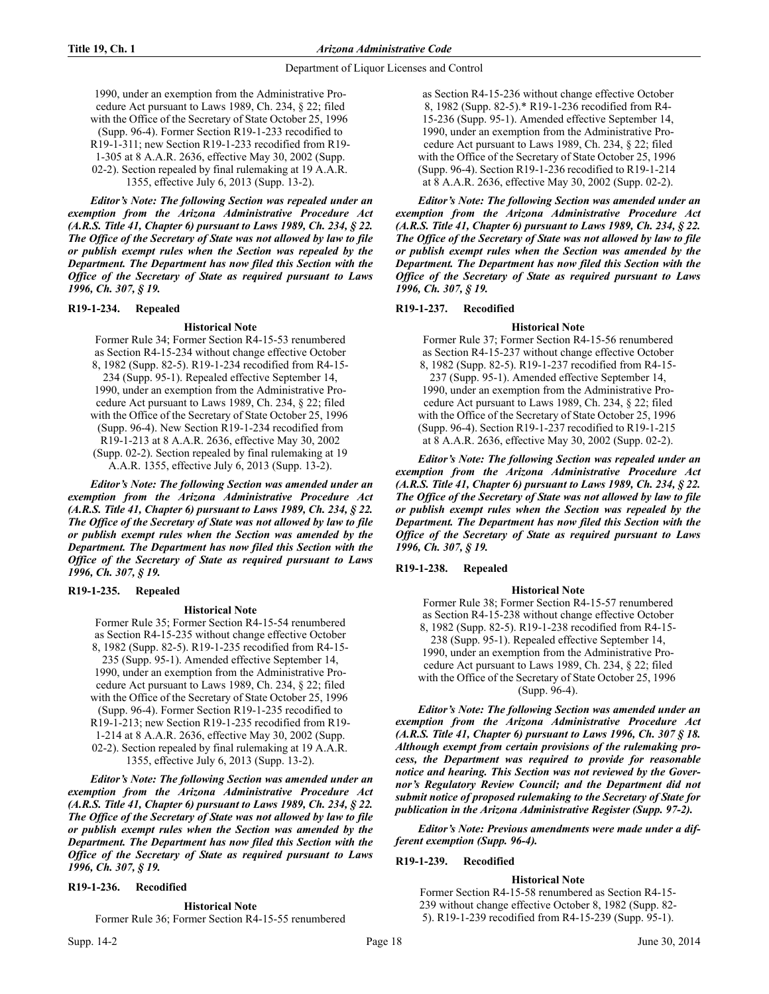1990, under an exemption from the Administrative Procedure Act pursuant to Laws 1989, Ch. 234, § 22; filed with the Office of the Secretary of State October 25, 1996 (Supp. 96-4). Former Section R19-1-233 recodified to R19-1-311; new Section R19-1-233 recodified from R19- 1-305 at 8 A.A.R. 2636, effective May 30, 2002 (Supp. 02-2). Section repealed by final rulemaking at 19 A.A.R. 1355, effective July 6, 2013 (Supp. 13-2).

*Editor's Note: The following Section was repealed under an exemption from the Arizona Administrative Procedure Act (A.R.S. Title 41, Chapter 6) pursuant to Laws 1989, Ch. 234, § 22. The Office of the Secretary of State was not allowed by law to file or publish exempt rules when the Section was repealed by the Department. The Department has now filed this Section with the Office of the Secretary of State as required pursuant to Laws 1996, Ch. 307, § 19.*

## **R19-1-234. Repealed**

#### **Historical Note**

Former Rule 34; Former Section R4-15-53 renumbered as Section R4-15-234 without change effective October 8, 1982 (Supp. 82-5). R19-1-234 recodified from R4-15- 234 (Supp. 95-1). Repealed effective September 14, 1990, under an exemption from the Administrative Procedure Act pursuant to Laws 1989, Ch. 234, § 22; filed with the Office of the Secretary of State October 25, 1996 (Supp. 96-4). New Section R19-1-234 recodified from R19-1-213 at 8 A.A.R. 2636, effective May 30, 2002 (Supp. 02-2). Section repealed by final rulemaking at 19 A.A.R. 1355, effective July 6, 2013 (Supp. 13-2).

*Editor's Note: The following Section was amended under an exemption from the Arizona Administrative Procedure Act (A.R.S. Title 41, Chapter 6) pursuant to Laws 1989, Ch. 234, § 22. The Office of the Secretary of State was not allowed by law to file or publish exempt rules when the Section was amended by the Department. The Department has now filed this Section with the Office of the Secretary of State as required pursuant to Laws 1996, Ch. 307, § 19.*

## **R19-1-235. Repealed**

#### **Historical Note**

Former Rule 35; Former Section R4-15-54 renumbered as Section R4-15-235 without change effective October 8, 1982 (Supp. 82-5). R19-1-235 recodified from R4-15- 235 (Supp. 95-1). Amended effective September 14, 1990, under an exemption from the Administrative Procedure Act pursuant to Laws 1989, Ch. 234, § 22; filed with the Office of the Secretary of State October 25, 1996 (Supp. 96-4). Former Section R19-1-235 recodified to R19-1-213; new Section R19-1-235 recodified from R19- 1-214 at 8 A.A.R. 2636, effective May 30, 2002 (Supp. 02-2). Section repealed by final rulemaking at 19 A.A.R. 1355, effective July 6, 2013 (Supp. 13-2).

*Editor's Note: The following Section was amended under an exemption from the Arizona Administrative Procedure Act (A.R.S. Title 41, Chapter 6) pursuant to Laws 1989, Ch. 234, § 22. The Office of the Secretary of State was not allowed by law to file or publish exempt rules when the Section was amended by the Department. The Department has now filed this Section with the Office of the Secretary of State as required pursuant to Laws 1996, Ch. 307, § 19.*

#### **R19-1-236. Recodified**

#### **Historical Note**

Former Rule 36; Former Section R4-15-55 renumbered

as Section R4-15-236 without change effective October 8, 1982 (Supp. 82-5).\* R19-1-236 recodified from R4- 15-236 (Supp. 95-1). Amended effective September 14, 1990, under an exemption from the Administrative Procedure Act pursuant to Laws 1989, Ch. 234, § 22; filed with the Office of the Secretary of State October 25, 1996 (Supp. 96-4). Section R19-1-236 recodified to R19-1-214 at 8 A.A.R. 2636, effective May 30, 2002 (Supp. 02-2).

*Editor's Note: The following Section was amended under an exemption from the Arizona Administrative Procedure Act (A.R.S. Title 41, Chapter 6) pursuant to Laws 1989, Ch. 234, § 22. The Office of the Secretary of State was not allowed by law to file or publish exempt rules when the Section was amended by the Department. The Department has now filed this Section with the Office of the Secretary of State as required pursuant to Laws 1996, Ch. 307, § 19.*

## **R19-1-237. Recodified**

**Historical Note** Former Rule 37; Former Section R4-15-56 renumbered as Section R4-15-237 without change effective October 8, 1982 (Supp. 82-5). R19-1-237 recodified from R4-15- 237 (Supp. 95-1). Amended effective September 14, 1990, under an exemption from the Administrative Procedure Act pursuant to Laws 1989, Ch. 234, § 22; filed with the Office of the Secretary of State October 25, 1996 (Supp. 96-4). Section R19-1-237 recodified to R19-1-215 at 8 A.A.R. 2636, effective May 30, 2002 (Supp. 02-2).

*Editor's Note: The following Section was repealed under an exemption from the Arizona Administrative Procedure Act (A.R.S. Title 41, Chapter 6) pursuant to Laws 1989, Ch. 234, § 22. The Office of the Secretary of State was not allowed by law to file or publish exempt rules when the Section was repealed by the Department. The Department has now filed this Section with the Office of the Secretary of State as required pursuant to Laws 1996, Ch. 307, § 19.*

## **R19-1-238. Repealed**

#### **Historical Note**

Former Rule 38; Former Section R4-15-57 renumbered as Section R4-15-238 without change effective October 8, 1982 (Supp. 82-5). R19-1-238 recodified from R4-15- 238 (Supp. 95-1). Repealed effective September 14, 1990, under an exemption from the Administrative Procedure Act pursuant to Laws 1989, Ch. 234, § 22; filed with the Office of the Secretary of State October 25, 1996 (Supp. 96-4).

*Editor's Note: The following Section was amended under an exemption from the Arizona Administrative Procedure Act (A.R.S. Title 41, Chapter 6) pursuant to Laws 1996, Ch. 307 § 18. Although exempt from certain provisions of the rulemaking process, the Department was required to provide for reasonable notice and hearing. This Section was not reviewed by the Governor's Regulatory Review Council; and the Department did not submit notice of proposed rulemaking to the Secretary of State for publication in the Arizona Administrative Register (Supp. 97-2).*

*Editor's Note: Previous amendments were made under a different exemption (Supp. 96-4).*

## **R19-1-239. Recodified**

#### **Historical Note**

Former Section R4-15-58 renumbered as Section R4-15- 239 without change effective October 8, 1982 (Supp. 82- 5). R19-1-239 recodified from R4-15-239 (Supp. 95-1).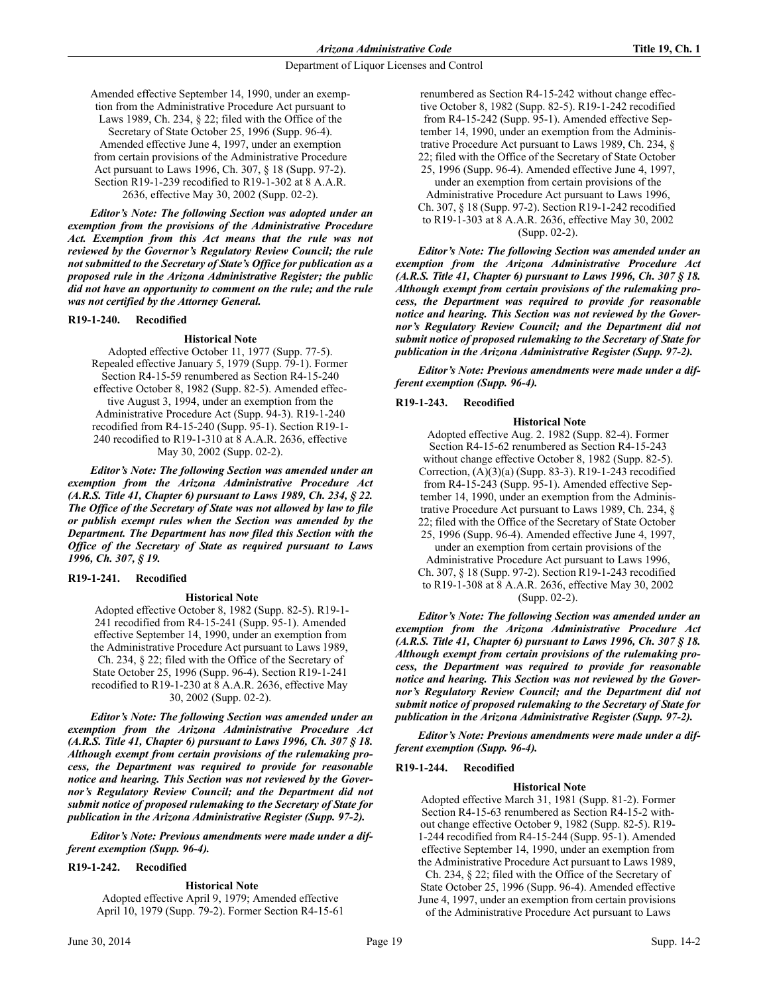Amended effective September 14, 1990, under an exemption from the Administrative Procedure Act pursuant to Laws 1989, Ch. 234, § 22; filed with the Office of the Secretary of State October 25, 1996 (Supp. 96-4). Amended effective June 4, 1997, under an exemption from certain provisions of the Administrative Procedure Act pursuant to Laws 1996, Ch. 307, § 18 (Supp. 97-2). Section R19-1-239 recodified to R19-1-302 at 8 A.A.R. 2636, effective May 30, 2002 (Supp. 02-2).

*Editor's Note: The following Section was adopted under an exemption from the provisions of the Administrative Procedure Act. Exemption from this Act means that the rule was not reviewed by the Governor's Regulatory Review Council; the rule not submitted to the Secretary of State's Office for publication as a proposed rule in the Arizona Administrative Register; the public did not have an opportunity to comment on the rule; and the rule was not certified by the Attorney General.*

## **R19-1-240. Recodified**

#### **Historical Note**

Adopted effective October 11, 1977 (Supp. 77-5). Repealed effective January 5, 1979 (Supp. 79-1). Former Section R4-15-59 renumbered as Section R4-15-240 effective October 8, 1982 (Supp. 82-5). Amended effective August 3, 1994, under an exemption from the Administrative Procedure Act (Supp. 94-3). R19-1-240 recodified from R4-15-240 (Supp. 95-1). Section R19-1- 240 recodified to R19-1-310 at 8 A.A.R. 2636, effective May 30, 2002 (Supp. 02-2).

*Editor's Note: The following Section was amended under an exemption from the Arizona Administrative Procedure Act (A.R.S. Title 41, Chapter 6) pursuant to Laws 1989, Ch. 234, § 22. The Office of the Secretary of State was not allowed by law to file or publish exempt rules when the Section was amended by the Department. The Department has now filed this Section with the Office of the Secretary of State as required pursuant to Laws 1996, Ch. 307, § 19.*

## **R19-1-241. Recodified**

#### **Historical Note**

 Adopted effective October 8, 1982 (Supp. 82-5). R19-1- 241 recodified from R4-15-241 (Supp. 95-1). Amended effective September 14, 1990, under an exemption from the Administrative Procedure Act pursuant to Laws 1989, Ch. 234, § 22; filed with the Office of the Secretary of State October 25, 1996 (Supp. 96-4). Section R19-1-241 recodified to R19-1-230 at 8 A.A.R. 2636, effective May 30, 2002 (Supp. 02-2).

*Editor's Note: The following Section was amended under an exemption from the Arizona Administrative Procedure Act (A.R.S. Title 41, Chapter 6) pursuant to Laws 1996, Ch. 307 § 18. Although exempt from certain provisions of the rulemaking process, the Department was required to provide for reasonable notice and hearing. This Section was not reviewed by the Governor's Regulatory Review Council; and the Department did not submit notice of proposed rulemaking to the Secretary of State for publication in the Arizona Administrative Register (Supp. 97-2).*

*Editor's Note: Previous amendments were made under a different exemption (Supp. 96-4).*

## **R19-1-242. Recodified**

## **Historical Note**

Adopted effective April 9, 1979; Amended effective April 10, 1979 (Supp. 79-2). Former Section R4-15-61

renumbered as Section R4-15-242 without change effective October 8, 1982 (Supp. 82-5). R19-1-242 recodified from R4-15-242 (Supp. 95-1). Amended effective September 14, 1990, under an exemption from the Administrative Procedure Act pursuant to Laws 1989, Ch. 234, § 22; filed with the Office of the Secretary of State October 25, 1996 (Supp. 96-4). Amended effective June 4, 1997, under an exemption from certain provisions of the

Administrative Procedure Act pursuant to Laws 1996, Ch. 307, § 18 (Supp. 97-2). Section R19-1-242 recodified to R19-1-303 at 8 A.A.R. 2636, effective May 30, 2002 (Supp. 02-2).

*Editor's Note: The following Section was amended under an exemption from the Arizona Administrative Procedure Act (A.R.S. Title 41, Chapter 6) pursuant to Laws 1996, Ch. 307 § 18. Although exempt from certain provisions of the rulemaking process, the Department was required to provide for reasonable notice and hearing. This Section was not reviewed by the Governor's Regulatory Review Council; and the Department did not submit notice of proposed rulemaking to the Secretary of State for publication in the Arizona Administrative Register (Supp. 97-2).*

*Editor's Note: Previous amendments were made under a different exemption (Supp. 96-4).*

## **R19-1-243. Recodified**

#### **Historical Note**

Adopted effective Aug. 2. 1982 (Supp. 82-4). Former Section R4-15-62 renumbered as Section R4-15-243 without change effective October 8, 1982 (Supp. 82-5). Correction, (A)(3)(a) (Supp. 83-3). R19-1-243 recodified from R4-15-243 (Supp. 95-1). Amended effective September 14, 1990, under an exemption from the Administrative Procedure Act pursuant to Laws 1989, Ch. 234, § 22; filed with the Office of the Secretary of State October 25, 1996 (Supp. 96-4). Amended effective June 4, 1997, under an exemption from certain provisions of the

Administrative Procedure Act pursuant to Laws 1996, Ch. 307, § 18 (Supp. 97-2). Section R19-1-243 recodified to R19-1-308 at 8 A.A.R. 2636, effective May 30, 2002 (Supp. 02-2).

*Editor's Note: The following Section was amended under an exemption from the Arizona Administrative Procedure Act (A.R.S. Title 41, Chapter 6) pursuant to Laws 1996, Ch. 307 § 18. Although exempt from certain provisions of the rulemaking process, the Department was required to provide for reasonable notice and hearing. This Section was not reviewed by the Governor's Regulatory Review Council; and the Department did not submit notice of proposed rulemaking to the Secretary of State for publication in the Arizona Administrative Register (Supp. 97-2).*

*Editor's Note: Previous amendments were made under a different exemption (Supp. 96-4).*

## **R19-1-244. Recodified**

#### **Historical Note**

Adopted effective March 31, 1981 (Supp. 81-2). Former Section R4-15-63 renumbered as Section R4-15-2 without change effective October 9, 1982 (Supp. 82-5). R19- 1-244 recodified from R4-15-244 (Supp. 95-1). Amended effective September 14, 1990, under an exemption from the Administrative Procedure Act pursuant to Laws 1989, Ch. 234, § 22; filed with the Office of the Secretary of

State October 25, 1996 (Supp. 96-4). Amended effective June 4, 1997, under an exemption from certain provisions of the Administrative Procedure Act pursuant to Laws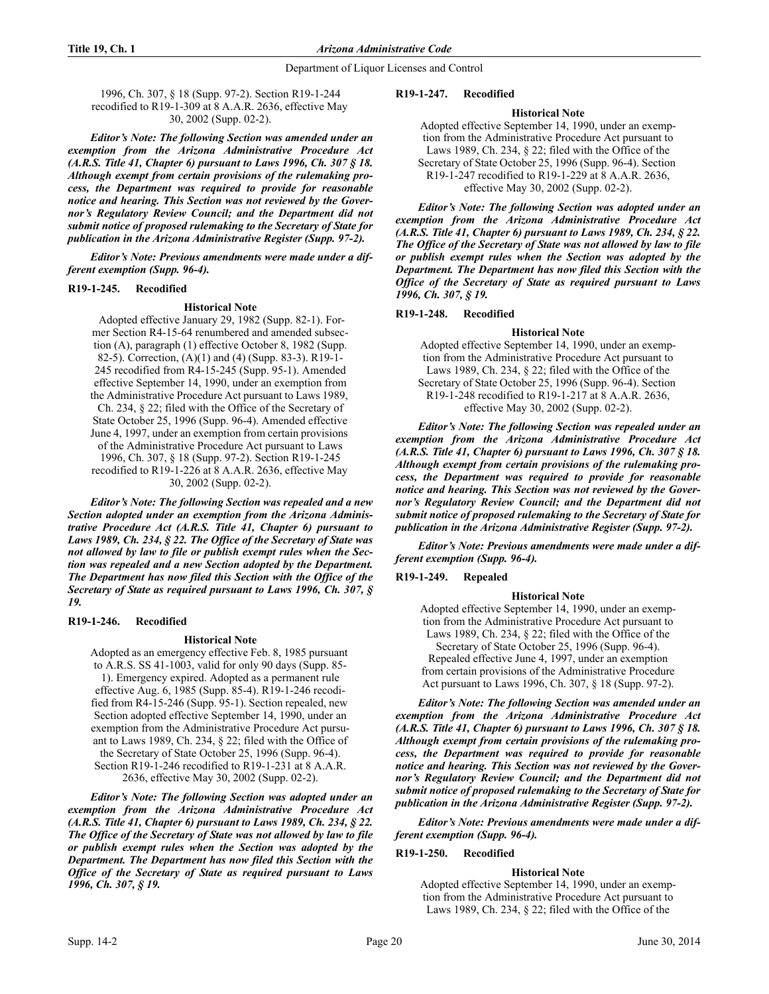1996, Ch. 307, § 18 (Supp. 97-2). Section R19-1-244 recodified to R19-1-309 at 8 A.A.R. 2636, effective May 30, 2002 (Supp. 02-2).

*Editor's Note: The following Section was amended under an exemption from the Arizona Administrative Procedure Act (A.R.S. Title 41, Chapter 6) pursuant to Laws 1996, Ch. 307 § 18. Although exempt from certain provisions of the rulemaking process, the Department was required to provide for reasonable notice and hearing. This Section was not reviewed by the Governor's Regulatory Review Council; and the Department did not submit notice of proposed rulemaking to the Secretary of State for publication in the Arizona Administrative Register (Supp. 97-2).*

*Editor's Note: Previous amendments were made under a different exemption (Supp. 96-4).*

## **R19-1-245. Recodified**

#### **Historical Note**

 Adopted effective January 29, 1982 (Supp. 82-1). Former Section R4-15-64 renumbered and amended subsection (A), paragraph (1) effective October 8, 1982 (Supp. 82-5). Correction, (A)(1) and (4) (Supp. 83-3). R19-1- 245 recodified from R4-15-245 (Supp. 95-1). Amended effective September 14, 1990, under an exemption from the Administrative Procedure Act pursuant to Laws 1989, Ch. 234, § 22; filed with the Office of the Secretary of State October 25, 1996 (Supp. 96-4). Amended effective June 4, 1997, under an exemption from certain provisions of the Administrative Procedure Act pursuant to Laws 1996, Ch. 307, § 18 (Supp. 97-2). Section R19-1-245 recodified to R19-1-226 at 8 A.A.R. 2636, effective May 30, 2002 (Supp. 02-2).

*Editor's Note: The following Section was repealed and a new Section adopted under an exemption from the Arizona Administrative Procedure Act (A.R.S. Title 41, Chapter 6) pursuant to Laws 1989, Ch. 234, § 22. The Office of the Secretary of State was not allowed by law to file or publish exempt rules when the Section was repealed and a new Section adopted by the Department. The Department has now filed this Section with the Office of the Secretary of State as required pursuant to Laws 1996, Ch. 307, § 19.*

## **R19-1-246. Recodified**

## **Historical Note**

Adopted as an emergency effective Feb. 8, 1985 pursuant to A.R.S. SS 41-1003, valid for only 90 days (Supp. 85- 1). Emergency expired. Adopted as a permanent rule effective Aug. 6, 1985 (Supp. 85-4). R19-1-246 recodified from R4-15-246 (Supp. 95-1). Section repealed, new Section adopted effective September 14, 1990, under an exemption from the Administrative Procedure Act pursuant to Laws 1989, Ch. 234, § 22; filed with the Office of the Secretary of State October 25, 1996 (Supp. 96-4). Section R19-1-246 recodified to R19-1-231 at 8 A.A.R. 2636, effective May 30, 2002 (Supp. 02-2).

*Editor's Note: The following Section was adopted under an exemption from the Arizona Administrative Procedure Act (A.R.S. Title 41, Chapter 6) pursuant to Laws 1989, Ch. 234, § 22. The Office of the Secretary of State was not allowed by law to file or publish exempt rules when the Section was adopted by the Department. The Department has now filed this Section with the Office of the Secretary of State as required pursuant to Laws 1996, Ch. 307, § 19.* 

## **R19-1-247. Recodified**

#### **Historical Note**

Adopted effective September 14, 1990, under an exemption from the Administrative Procedure Act pursuant to Laws 1989, Ch. 234, § 22; filed with the Office of the Secretary of State October 25, 1996 (Supp. 96-4). Section R19-1-247 recodified to R19-1-229 at 8 A.A.R. 2636, effective May 30, 2002 (Supp. 02-2).

*Editor's Note: The following Section was adopted under an exemption from the Arizona Administrative Procedure Act (A.R.S. Title 41, Chapter 6) pursuant to Laws 1989, Ch. 234, § 22. The Office of the Secretary of State was not allowed by law to file or publish exempt rules when the Section was adopted by the Department. The Department has now filed this Section with the Office of the Secretary of State as required pursuant to Laws 1996, Ch. 307, § 19.*

## **R19-1-248. Recodified**

## **Historical Note**

Adopted effective September 14, 1990, under an exemption from the Administrative Procedure Act pursuant to Laws 1989, Ch. 234, § 22; filed with the Office of the Secretary of State October 25, 1996 (Supp. 96-4). Section R19-1-248 recodified to R19-1-217 at 8 A.A.R. 2636, effective May 30, 2002 (Supp. 02-2).

*Editor's Note: The following Section was repealed under an exemption from the Arizona Administrative Procedure Act (A.R.S. Title 41, Chapter 6) pursuant to Laws 1996, Ch. 307 § 18. Although exempt from certain provisions of the rulemaking process, the Department was required to provide for reasonable notice and hearing. This Section was not reviewed by the Governor's Regulatory Review Council; and the Department did not submit notice of proposed rulemaking to the Secretary of State for publication in the Arizona Administrative Register (Supp. 97-2).*

*Editor's Note: Previous amendments were made under a different exemption (Supp. 96-4).*

# **R19-1-249. Repealed**

## **Historical Note**

Adopted effective September 14, 1990, under an exemption from the Administrative Procedure Act pursuant to Laws 1989, Ch. 234, § 22; filed with the Office of the Secretary of State October 25, 1996 (Supp. 96-4). Repealed effective June 4, 1997, under an exemption from certain provisions of the Administrative Procedure Act pursuant to Laws 1996, Ch. 307, § 18 (Supp. 97-2).

*Editor's Note: The following Section was amended under an exemption from the Arizona Administrative Procedure Act (A.R.S. Title 41, Chapter 6) pursuant to Laws 1996, Ch. 307 § 18. Although exempt from certain provisions of the rulemaking process, the Department was required to provide for reasonable notice and hearing. This Section was not reviewed by the Governor's Regulatory Review Council; and the Department did not submit notice of proposed rulemaking to the Secretary of State for publication in the Arizona Administrative Register (Supp. 97-2).*

*Editor's Note: Previous amendments were made under a different exemption (Supp. 96-4).*

## **R19-1-250. Recodified**

## **Historical Note**

Adopted effective September 14, 1990, under an exemption from the Administrative Procedure Act pursuant to Laws 1989, Ch. 234, § 22; filed with the Office of the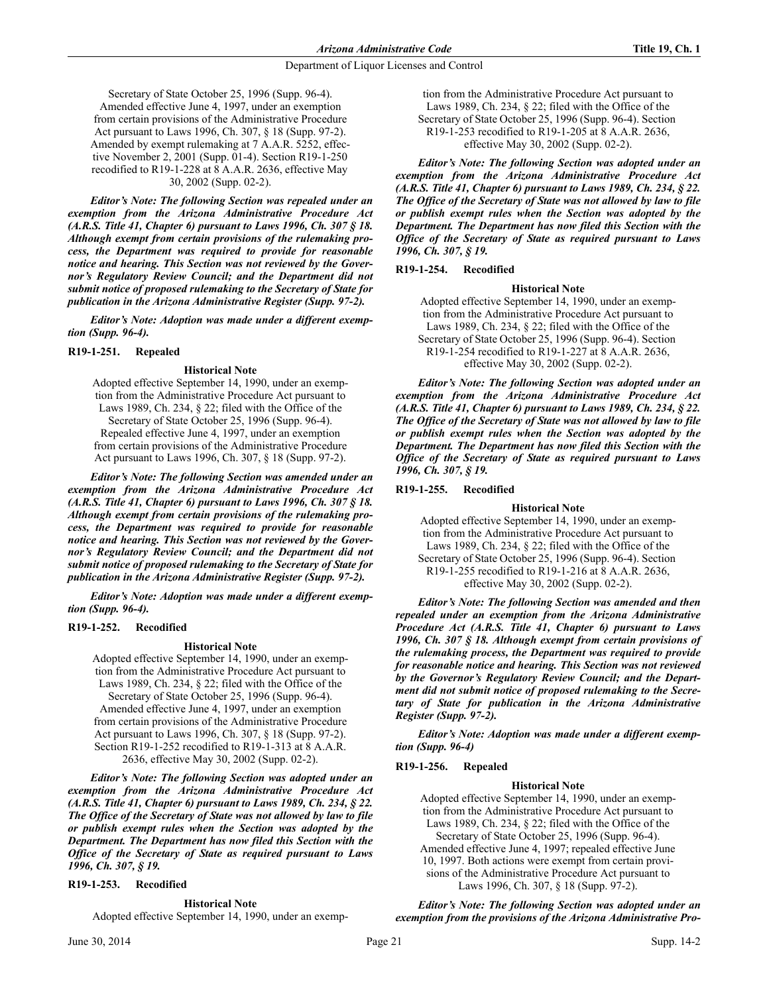Secretary of State October 25, 1996 (Supp. 96-4). Amended effective June 4, 1997, under an exemption from certain provisions of the Administrative Procedure Act pursuant to Laws 1996, Ch. 307, § 18 (Supp. 97-2). Amended by exempt rulemaking at 7 A.A.R. 5252, effective November 2, 2001 (Supp. 01-4). Section R19-1-250 recodified to R19-1-228 at 8 A.A.R. 2636, effective May 30, 2002 (Supp. 02-2).

*Editor's Note: The following Section was repealed under an exemption from the Arizona Administrative Procedure Act (A.R.S. Title 41, Chapter 6) pursuant to Laws 1996, Ch. 307 § 18. Although exempt from certain provisions of the rulemaking process, the Department was required to provide for reasonable notice and hearing. This Section was not reviewed by the Governor's Regulatory Review Council; and the Department did not submit notice of proposed rulemaking to the Secretary of State for publication in the Arizona Administrative Register (Supp. 97-2).*

*Editor's Note: Adoption was made under a different exemption (Supp. 96-4).*

#### **R19-1-251. Repealed**

#### **Historical Note**

Adopted effective September 14, 1990, under an exemption from the Administrative Procedure Act pursuant to Laws 1989, Ch. 234, § 22; filed with the Office of the Secretary of State October 25, 1996 (Supp. 96-4). Repealed effective June 4, 1997, under an exemption from certain provisions of the Administrative Procedure Act pursuant to Laws 1996, Ch. 307, § 18 (Supp. 97-2).

*Editor's Note: The following Section was amended under an exemption from the Arizona Administrative Procedure Act (A.R.S. Title 41, Chapter 6) pursuant to Laws 1996, Ch. 307 § 18. Although exempt from certain provisions of the rulemaking process, the Department was required to provide for reasonable notice and hearing. This Section was not reviewed by the Governor's Regulatory Review Council; and the Department did not submit notice of proposed rulemaking to the Secretary of State for publication in the Arizona Administrative Register (Supp. 97-2).*

*Editor's Note: Adoption was made under a different exemption (Supp. 96-4).* 

#### **R19-1-252. Recodified**

#### **Historical Note**

Adopted effective September 14, 1990, under an exemption from the Administrative Procedure Act pursuant to Laws 1989, Ch. 234, § 22; filed with the Office of the Secretary of State October 25, 1996 (Supp. 96-4). Amended effective June 4, 1997, under an exemption from certain provisions of the Administrative Procedure Act pursuant to Laws 1996, Ch. 307, § 18 (Supp. 97-2). Section R19-1-252 recodified to R19-1-313 at 8 A.A.R. 2636, effective May 30, 2002 (Supp. 02-2).

*Editor's Note: The following Section was adopted under an exemption from the Arizona Administrative Procedure Act (A.R.S. Title 41, Chapter 6) pursuant to Laws 1989, Ch. 234, § 22. The Office of the Secretary of State was not allowed by law to file or publish exempt rules when the Section was adopted by the Department. The Department has now filed this Section with the Office of the Secretary of State as required pursuant to Laws 1996, Ch. 307, § 19.* 

#### **R19-1-253. Recodified**

#### **Historical Note**

Adopted effective September 14, 1990, under an exemp-

tion from the Administrative Procedure Act pursuant to Laws 1989, Ch. 234, § 22; filed with the Office of the Secretary of State October 25, 1996 (Supp. 96-4). Section R19-1-253 recodified to R19-1-205 at 8 A.A.R. 2636, effective May 30, 2002 (Supp. 02-2).

*Editor's Note: The following Section was adopted under an exemption from the Arizona Administrative Procedure Act (A.R.S. Title 41, Chapter 6) pursuant to Laws 1989, Ch. 234, § 22. The Office of the Secretary of State was not allowed by law to file or publish exempt rules when the Section was adopted by the Department. The Department has now filed this Section with the Office of the Secretary of State as required pursuant to Laws 1996, Ch. 307, § 19.*

#### **R19-1-254. Recodified**

#### **Historical Note**

Adopted effective September 14, 1990, under an exemption from the Administrative Procedure Act pursuant to Laws 1989, Ch. 234, § 22; filed with the Office of the Secretary of State October 25, 1996 (Supp. 96-4). Section R19-1-254 recodified to R19-1-227 at 8 A.A.R. 2636, effective May 30, 2002 (Supp. 02-2).

*Editor's Note: The following Section was adopted under an exemption from the Arizona Administrative Procedure Act (A.R.S. Title 41, Chapter 6) pursuant to Laws 1989, Ch. 234, § 22. The Office of the Secretary of State was not allowed by law to file or publish exempt rules when the Section was adopted by the Department. The Department has now filed this Section with the Office of the Secretary of State as required pursuant to Laws 1996, Ch. 307, § 19.*

## **R19-1-255. Recodified**

#### **Historical Note**

Adopted effective September 14, 1990, under an exemption from the Administrative Procedure Act pursuant to Laws 1989, Ch. 234, § 22; filed with the Office of the Secretary of State October 25, 1996 (Supp. 96-4). Section R19-1-255 recodified to R19-1-216 at 8 A.A.R. 2636, effective May 30, 2002 (Supp. 02-2).

*Editor's Note: The following Section was amended and then repealed under an exemption from the Arizona Administrative Procedure Act (A.R.S. Title 41, Chapter 6) pursuant to Laws 1996, Ch. 307 § 18. Although exempt from certain provisions of the rulemaking process, the Department was required to provide for reasonable notice and hearing. This Section was not reviewed by the Governor's Regulatory Review Council; and the Department did not submit notice of proposed rulemaking to the Secretary of State for publication in the Arizona Administrative Register (Supp. 97-2).*

*Editor's Note: Adoption was made under a different exemption (Supp. 96-4)*

## **R19-1-256. Repealed**

#### **Historical Note**

Adopted effective September 14, 1990, under an exemption from the Administrative Procedure Act pursuant to Laws 1989, Ch. 234, § 22; filed with the Office of the Secretary of State October 25, 1996 (Supp. 96-4). Amended effective June 4, 1997; repealed effective June 10, 1997. Both actions were exempt from certain provisions of the Administrative Procedure Act pursuant to Laws 1996, Ch. 307, § 18 (Supp. 97-2).

*Editor's Note: The following Section was adopted under an exemption from the provisions of the Arizona Administrative Pro-*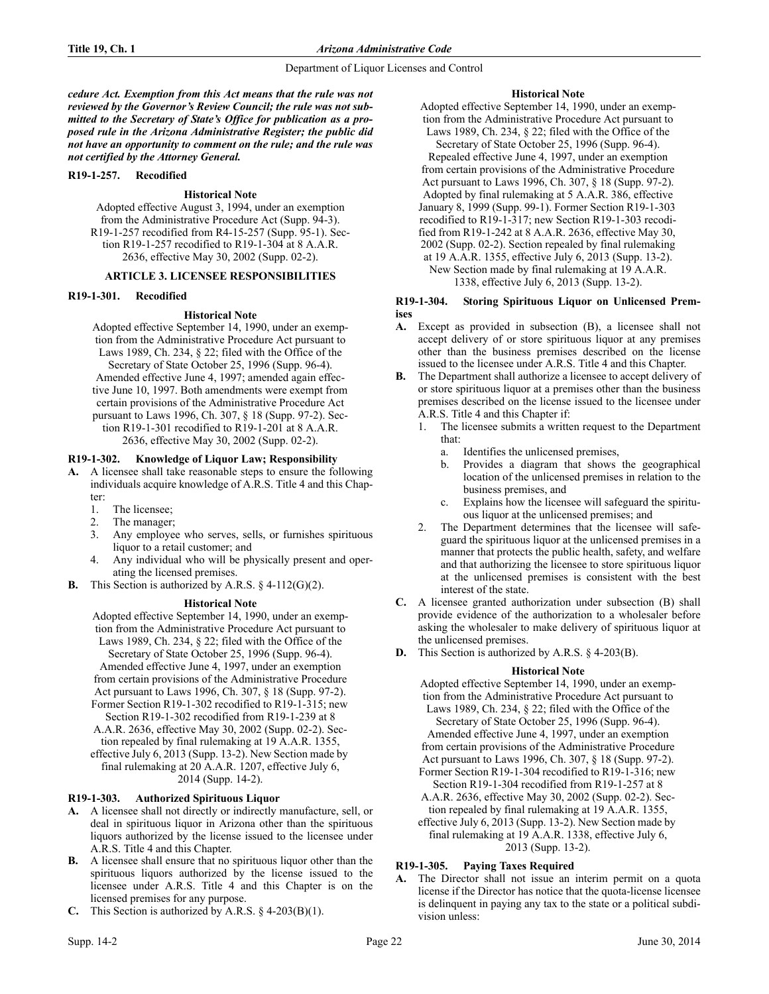*cedure Act. Exemption from this Act means that the rule was not reviewed by the Governor's Review Council; the rule was not submitted to the Secretary of State's Office for publication as a proposed rule in the Arizona Administrative Register; the public did not have an opportunity to comment on the rule; and the rule was not certified by the Attorney General.* 

### **R19-1-257. Recodified**

## **Historical Note**

Adopted effective August 3, 1994, under an exemption from the Administrative Procedure Act (Supp. 94-3). R19-1-257 recodified from R4-15-257 (Supp. 95-1). Section R19-1-257 recodified to R19-1-304 at 8 A.A.R. 2636, effective May 30, 2002 (Supp. 02-2).

# **ARTICLE 3. LICENSEE RESPONSIBILITIES**

#### **R19-1-301. Recodified**

## **Historical Note**

Adopted effective September 14, 1990, under an exemption from the Administrative Procedure Act pursuant to Laws 1989, Ch. 234, § 22; filed with the Office of the Secretary of State October 25, 1996 (Supp. 96-4). Amended effective June 4, 1997; amended again effective June 10, 1997. Both amendments were exempt from certain provisions of the Administrative Procedure Act pursuant to Laws 1996, Ch. 307, § 18 (Supp. 97-2). Section R19-1-301 recodified to R19-1-201 at 8 A.A.R. 2636, effective May 30, 2002 (Supp. 02-2).

# **R19-1-302. Knowledge of Liquor Law; Responsibility**

**A.** A licensee shall take reasonable steps to ensure the following individuals acquire knowledge of A.R.S. Title 4 and this Chapter:

- 1. The licensee;
- 2. The manager;
- 3. Any employee who serves, sells, or furnishes spirituous liquor to a retail customer; and
- 4. Any individual who will be physically present and operating the licensed premises.
- **B.** This Section is authorized by A.R.S. § 4-112(G)(2).

### **Historical Note**

Adopted effective September 14, 1990, under an exemption from the Administrative Procedure Act pursuant to Laws 1989, Ch. 234, § 22; filed with the Office of the Secretary of State October 25, 1996 (Supp. 96-4). Amended effective June 4, 1997, under an exemption from certain provisions of the Administrative Procedure Act pursuant to Laws 1996, Ch. 307, § 18 (Supp. 97-2). Former Section R19-1-302 recodified to R19-1-315; new Section R19-1-302 recodified from R19-1-239 at 8 A.A.R. 2636, effective May 30, 2002 (Supp. 02-2). Section repealed by final rulemaking at 19 A.A.R. 1355, effective July 6, 2013 (Supp. 13-2). New Section made by final rulemaking at 20 A.A.R. 1207, effective July 6, 2014 (Supp. 14-2).

## **R19-1-303. Authorized Spirituous Liquor**

- **A.** A licensee shall not directly or indirectly manufacture, sell, or deal in spirituous liquor in Arizona other than the spirituous liquors authorized by the license issued to the licensee under A.R.S. Title 4 and this Chapter.
- **B.** A licensee shall ensure that no spirituous liquor other than the spirituous liquors authorized by the license issued to the licensee under A.R.S. Title 4 and this Chapter is on the licensed premises for any purpose.
- **C.** This Section is authorized by A.R.S.  $\S$  4-203(B)(1).

## **Historical Note**

Adopted effective September 14, 1990, under an exemption from the Administrative Procedure Act pursuant to Laws 1989, Ch. 234, § 22; filed with the Office of the Secretary of State October 25, 1996 (Supp. 96-4). Repealed effective June 4, 1997, under an exemption from certain provisions of the Administrative Procedure Act pursuant to Laws 1996, Ch. 307, § 18 (Supp. 97-2). Adopted by final rulemaking at 5 A.A.R. 386, effective January 8, 1999 (Supp. 99-1). Former Section R19-1-303 recodified to R19-1-317; new Section R19-1-303 recodified from R19-1-242 at 8 A.A.R. 2636, effective May 30, 2002 (Supp. 02-2). Section repealed by final rulemaking at 19 A.A.R. 1355, effective July 6, 2013 (Supp. 13-2). New Section made by final rulemaking at 19 A.A.R.

1338, effective July 6, 2013 (Supp. 13-2).

## **R19-1-304. Storing Spirituous Liquor on Unlicensed Premises**

- **A.** Except as provided in subsection (B), a licensee shall not accept delivery of or store spirituous liquor at any premises other than the business premises described on the license issued to the licensee under A.R.S. Title 4 and this Chapter.
- **B.** The Department shall authorize a licensee to accept delivery of or store spirituous liquor at a premises other than the business premises described on the license issued to the licensee under A.R.S. Title 4 and this Chapter if:
	- 1. The licensee submits a written request to the Department that:
		- a. Identifies the unlicensed premises,
		- b. Provides a diagram that shows the geographical location of the unlicensed premises in relation to the business premises, and
		- c. Explains how the licensee will safeguard the spirituous liquor at the unlicensed premises; and
	- 2. The Department determines that the licensee will safeguard the spirituous liquor at the unlicensed premises in a manner that protects the public health, safety, and welfare and that authorizing the licensee to store spirituous liquor at the unlicensed premises is consistent with the best interest of the state.
- **C.** A licensee granted authorization under subsection (B) shall provide evidence of the authorization to a wholesaler before asking the wholesaler to make delivery of spirituous liquor at the unlicensed premises.
- **D.** This Section is authorized by A.R.S. § 4-203(B).

## **Historical Note**

Adopted effective September 14, 1990, under an exemption from the Administrative Procedure Act pursuant to Laws 1989, Ch. 234, § 22; filed with the Office of the Secretary of State October 25, 1996 (Supp. 96-4). Amended effective June 4, 1997, under an exemption from certain provisions of the Administrative Procedure Act pursuant to Laws 1996, Ch. 307, § 18 (Supp. 97-2). Former Section R19-1-304 recodified to R19-1-316; new Section R19-1-304 recodified from R19-1-257 at 8 A.A.R. 2636, effective May 30, 2002 (Supp. 02-2). Section repealed by final rulemaking at 19 A.A.R. 1355, effective July 6, 2013 (Supp. 13-2). New Section made by final rulemaking at 19 A.A.R. 1338, effective July 6,

2013 (Supp. 13-2).

## **R19-1-305. Paying Taxes Required**

**A.** The Director shall not issue an interim permit on a quota license if the Director has notice that the quota-license licensee is delinquent in paying any tax to the state or a political subdivision unless: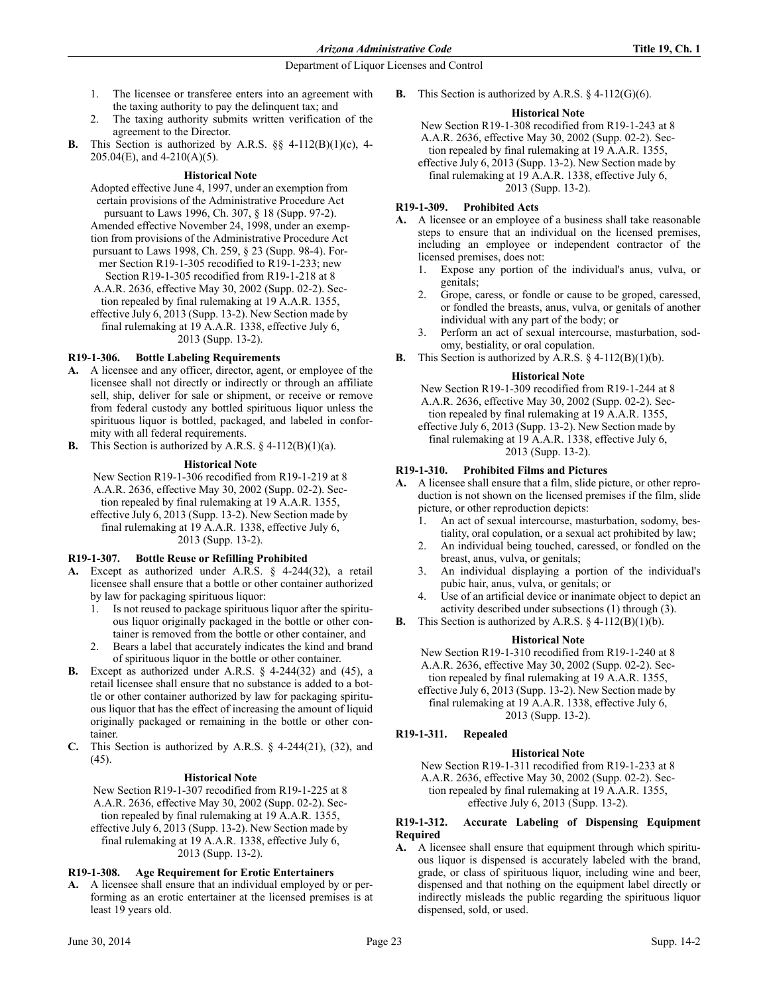- 1. The licensee or transferee enters into an agreement with the taxing authority to pay the delinquent tax; and
- 2. The taxing authority submits written verification of the agreement to the Director.
- **B.** This Section is authorized by A.R.S. §§ 4-112(B)(1)(c), 4- 205.04(E), and 4-210(A)(5).

# **Historical Note**

Adopted effective June 4, 1997, under an exemption from certain provisions of the Administrative Procedure Act pursuant to Laws 1996, Ch. 307, § 18 (Supp. 97-2). Amended effective November 24, 1998, under an exemption from provisions of the Administrative Procedure Act pursuant to Laws 1998, Ch. 259, § 23 (Supp. 98-4). Former Section R19-1-305 recodified to R19-1-233; new Section R19-1-305 recodified from R19-1-218 at 8 A.A.R. 2636, effective May 30, 2002 (Supp. 02-2). Section repealed by final rulemaking at 19 A.A.R. 1355, effective July 6, 2013 (Supp. 13-2). New Section made by final rulemaking at 19 A.A.R. 1338, effective July 6, 2013 (Supp. 13-2).

# **R19-1-306. Bottle Labeling Requirements**

- **A.** A licensee and any officer, director, agent, or employee of the licensee shall not directly or indirectly or through an affiliate sell, ship, deliver for sale or shipment, or receive or remove from federal custody any bottled spirituous liquor unless the spirituous liquor is bottled, packaged, and labeled in conformity with all federal requirements.
- **B.** This Section is authorized by A.R.S. § 4-112(B)(1)(a).

## **Historical Note**

New Section R19-1-306 recodified from R19-1-219 at 8 A.A.R. 2636, effective May 30, 2002 (Supp. 02-2). Section repealed by final rulemaking at 19 A.A.R. 1355, effective July 6, 2013 (Supp. 13-2). New Section made by

final rulemaking at 19 A.A.R. 1338, effective July 6, 2013 (Supp. 13-2).

## **R19-1-307. Bottle Reuse or Refilling Prohibited**

- **A.** Except as authorized under A.R.S. § 4-244(32), a retail licensee shall ensure that a bottle or other container authorized by law for packaging spirituous liquor:
	- 1. Is not reused to package spirituous liquor after the spirituous liquor originally packaged in the bottle or other container is removed from the bottle or other container, and
	- 2. Bears a label that accurately indicates the kind and brand of spirituous liquor in the bottle or other container.
- **B.** Except as authorized under A.R.S. § 4-244(32) and (45), a retail licensee shall ensure that no substance is added to a bottle or other container authorized by law for packaging spirituous liquor that has the effect of increasing the amount of liquid originally packaged or remaining in the bottle or other container.
- **C.** This Section is authorized by A.R.S. § 4-244(21), (32), and (45).

## **Historical Note**

New Section R19-1-307 recodified from R19-1-225 at 8 A.A.R. 2636, effective May 30, 2002 (Supp. 02-2). Section repealed by final rulemaking at 19 A.A.R. 1355, effective July 6, 2013 (Supp. 13-2). New Section made by final rulemaking at 19 A.A.R. 1338, effective July 6, 2013 (Supp. 13-2).

## **R19-1-308. Age Requirement for Erotic Entertainers**

**A.** A licensee shall ensure that an individual employed by or performing as an erotic entertainer at the licensed premises is at least 19 years old.

**B.** This Section is authorized by A.R.S. § 4-112(G)(6).

## **Historical Note**

New Section R19-1-308 recodified from R19-1-243 at 8 A.A.R. 2636, effective May 30, 2002 (Supp. 02-2). Section repealed by final rulemaking at 19 A.A.R. 1355, effective July 6, 2013 (Supp. 13-2). New Section made by final rulemaking at 19 A.A.R. 1338, effective July 6,

2013 (Supp. 13-2).

## **R19-1-309. Prohibited Acts**

- **A.** A licensee or an employee of a business shall take reasonable steps to ensure that an individual on the licensed premises, including an employee or independent contractor of the licensed premises, does not:
	- 1. Expose any portion of the individual's anus, vulva, or genitals;
	- 2. Grope, caress, or fondle or cause to be groped, caressed, or fondled the breasts, anus, vulva, or genitals of another individual with any part of the body; or
	- 3. Perform an act of sexual intercourse, masturbation, sodomy, bestiality, or oral copulation.
- **B.** This Section is authorized by A.R.S.  $\S$  4-112(B)(1)(b).

## **Historical Note**

New Section R19-1-309 recodified from R19-1-244 at 8 A.A.R. 2636, effective May 30, 2002 (Supp. 02-2). Section repealed by final rulemaking at 19 A.A.R. 1355,

effective July 6, 2013 (Supp. 13-2). New Section made by final rulemaking at 19 A.A.R. 1338, effective July 6, 2013 (Supp. 13-2).

## **R19-1-310. Prohibited Films and Pictures**

**A.** A licensee shall ensure that a film, slide picture, or other reproduction is not shown on the licensed premises if the film, slide picture, or other reproduction depicts:

- 1. An act of sexual intercourse, masturbation, sodomy, bestiality, oral copulation, or a sexual act prohibited by law;
- 2. An individual being touched, caressed, or fondled on the breast, anus, vulva, or genitals;
- 3. An individual displaying a portion of the individual's pubic hair, anus, vulva, or genitals; or
- 4. Use of an artificial device or inanimate object to depict an activity described under subsections (1) through (3).
- **B.** This Section is authorized by A.R.S. § 4-112(B)(1)(b).

## **Historical Note**

New Section R19-1-310 recodified from R19-1-240 at 8 A.A.R. 2636, effective May 30, 2002 (Supp. 02-2). Section repealed by final rulemaking at 19 A.A.R. 1355, effective July 6, 2013 (Supp. 13-2). New Section made by final rulemaking at 19 A.A.R. 1338, effective July 6, 2013 (Supp. 13-2).

## **R19-1-311. Repealed**

## **Historical Note**

New Section R19-1-311 recodified from R19-1-233 at 8 A.A.R. 2636, effective May 30, 2002 (Supp. 02-2). Section repealed by final rulemaking at 19 A.A.R. 1355, effective July 6, 2013 (Supp. 13-2).

## **R19-1-312. Accurate Labeling of Dispensing Equipment Required**

**A.** A licensee shall ensure that equipment through which spirituous liquor is dispensed is accurately labeled with the brand, grade, or class of spirituous liquor, including wine and beer, dispensed and that nothing on the equipment label directly or indirectly misleads the public regarding the spirituous liquor dispensed, sold, or used.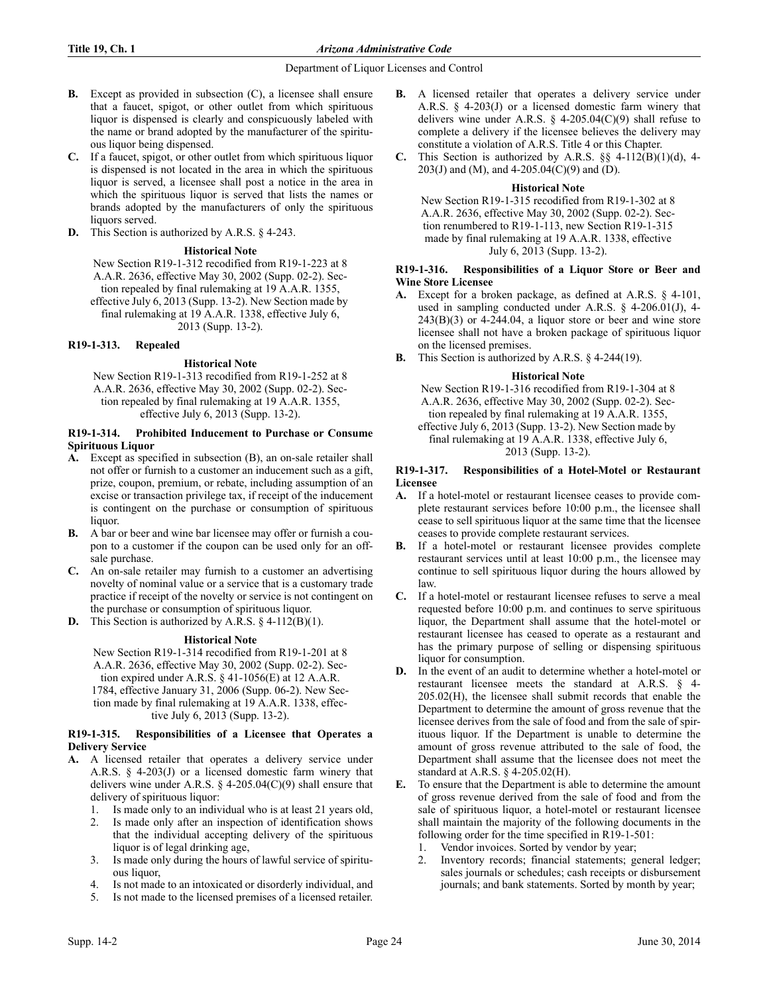- **B.** Except as provided in subsection (C), a licensee shall ensure that a faucet, spigot, or other outlet from which spirituous liquor is dispensed is clearly and conspicuously labeled with the name or brand adopted by the manufacturer of the spirituous liquor being dispensed.
- **C.** If a faucet, spigot, or other outlet from which spirituous liquor is dispensed is not located in the area in which the spirituous liquor is served, a licensee shall post a notice in the area in which the spirituous liquor is served that lists the names or brands adopted by the manufacturers of only the spirituous liquors served.
- **D.** This Section is authorized by A.R.S. § 4-243.

## **Historical Note**

New Section R19-1-312 recodified from R19-1-223 at 8 A.A.R. 2636, effective May 30, 2002 (Supp. 02-2). Section repealed by final rulemaking at 19 A.A.R. 1355, effective July 6, 2013 (Supp. 13-2). New Section made by final rulemaking at 19 A.A.R. 1338, effective July 6,

2013 (Supp. 13-2).

## **R19-1-313. Repealed**

## **Historical Note**

New Section R19-1-313 recodified from R19-1-252 at 8 A.A.R. 2636, effective May 30, 2002 (Supp. 02-2). Section repealed by final rulemaking at 19 A.A.R. 1355, effective July 6, 2013 (Supp. 13-2).

#### **R19-1-314. Prohibited Inducement to Purchase or Consume Spirituous Liquor**

- **A.** Except as specified in subsection (B), an on-sale retailer shall not offer or furnish to a customer an inducement such as a gift, prize, coupon, premium, or rebate, including assumption of an excise or transaction privilege tax, if receipt of the inducement is contingent on the purchase or consumption of spirituous liquor.
- **B.** A bar or beer and wine bar licensee may offer or furnish a coupon to a customer if the coupon can be used only for an offsale purchase.
- **C.** An on-sale retailer may furnish to a customer an advertising novelty of nominal value or a service that is a customary trade practice if receipt of the novelty or service is not contingent on the purchase or consumption of spirituous liquor.

**D.** This Section is authorized by A.R.S. § 4-112(B)(1).

## **Historical Note**

New Section R19-1-314 recodified from R19-1-201 at 8 A.A.R. 2636, effective May 30, 2002 (Supp. 02-2). Section expired under A.R.S. § 41-1056(E) at 12 A.A.R. 1784, effective January 31, 2006 (Supp. 06-2). New Section made by final rulemaking at 19 A.A.R. 1338, effective July 6, 2013 (Supp. 13-2).

## **R19-1-315. Responsibilities of a Licensee that Operates a Delivery Service**

- **A.** A licensed retailer that operates a delivery service under A.R.S. § 4-203(J) or a licensed domestic farm winery that delivers wine under A.R.S.  $\S$  4-205.04(C)(9) shall ensure that delivery of spirituous liquor:
	- 1. Is made only to an individual who is at least 21 years old,
	- 2. Is made only after an inspection of identification shows that the individual accepting delivery of the spirituous liquor is of legal drinking age,
	- 3. Is made only during the hours of lawful service of spirituous liquor,
	- 4. Is not made to an intoxicated or disorderly individual, and
	- 5. Is not made to the licensed premises of a licensed retailer.
- **B.** A licensed retailer that operates a delivery service under A.R.S. § 4-203(J) or a licensed domestic farm winery that delivers wine under A.R.S.  $\S$  4-205.04(C)(9) shall refuse to complete a delivery if the licensee believes the delivery may constitute a violation of A.R.S. Title 4 or this Chapter.
- **C.** This Section is authorized by A.R.S.  $\S\S$  4-112(B)(1)(d), 4-203(J) and (M), and 4-205.04(C)(9) and (D).

## **Historical Note**

New Section R19-1-315 recodified from R19-1-302 at 8 A.A.R. 2636, effective May 30, 2002 (Supp. 02-2). Section renumbered to R19-1-113, new Section R19-1-315 made by final rulemaking at 19 A.A.R. 1338, effective July 6, 2013 (Supp. 13-2).

### **R19-1-316. Responsibilities of a Liquor Store or Beer and Wine Store Licensee**

- **A.** Except for a broken package, as defined at A.R.S. § 4-101, used in sampling conducted under A.R.S. § 4-206.01(J), 4-  $243(B)(3)$  or  $4-244.04$ , a liquor store or beer and wine store licensee shall not have a broken package of spirituous liquor on the licensed premises.
- **B.** This Section is authorized by A.R.S. § 4-244(19).

## **Historical Note**

New Section R19-1-316 recodified from R19-1-304 at 8 A.A.R. 2636, effective May 30, 2002 (Supp. 02-2). Section repealed by final rulemaking at 19 A.A.R. 1355, effective July 6, 2013 (Supp. 13-2). New Section made by

final rulemaking at 19 A.A.R. 1338, effective July 6, 2013 (Supp. 13-2).

## **R19-1-317. Responsibilities of a Hotel-Motel or Restaurant Licensee**

- **A.** If a hotel-motel or restaurant licensee ceases to provide complete restaurant services before 10:00 p.m., the licensee shall cease to sell spirituous liquor at the same time that the licensee ceases to provide complete restaurant services.
- **B.** If a hotel-motel or restaurant licensee provides complete restaurant services until at least 10:00 p.m., the licensee may continue to sell spirituous liquor during the hours allowed by law.
- **C.** If a hotel-motel or restaurant licensee refuses to serve a meal requested before 10:00 p.m. and continues to serve spirituous liquor, the Department shall assume that the hotel-motel or restaurant licensee has ceased to operate as a restaurant and has the primary purpose of selling or dispensing spirituous liquor for consumption.
- **D.** In the event of an audit to determine whether a hotel-motel or restaurant licensee meets the standard at A.R.S. § 4- 205.02(H), the licensee shall submit records that enable the Department to determine the amount of gross revenue that the licensee derives from the sale of food and from the sale of spirituous liquor. If the Department is unable to determine the amount of gross revenue attributed to the sale of food, the Department shall assume that the licensee does not meet the standard at A.R.S. § 4-205.02(H).
- **E.** To ensure that the Department is able to determine the amount of gross revenue derived from the sale of food and from the sale of spirituous liquor, a hotel-motel or restaurant licensee shall maintain the majority of the following documents in the following order for the time specified in R19-1-501:
	- Vendor invoices. Sorted by vendor by year;
	- 2. Inventory records; financial statements; general ledger; sales journals or schedules; cash receipts or disbursement journals; and bank statements. Sorted by month by year;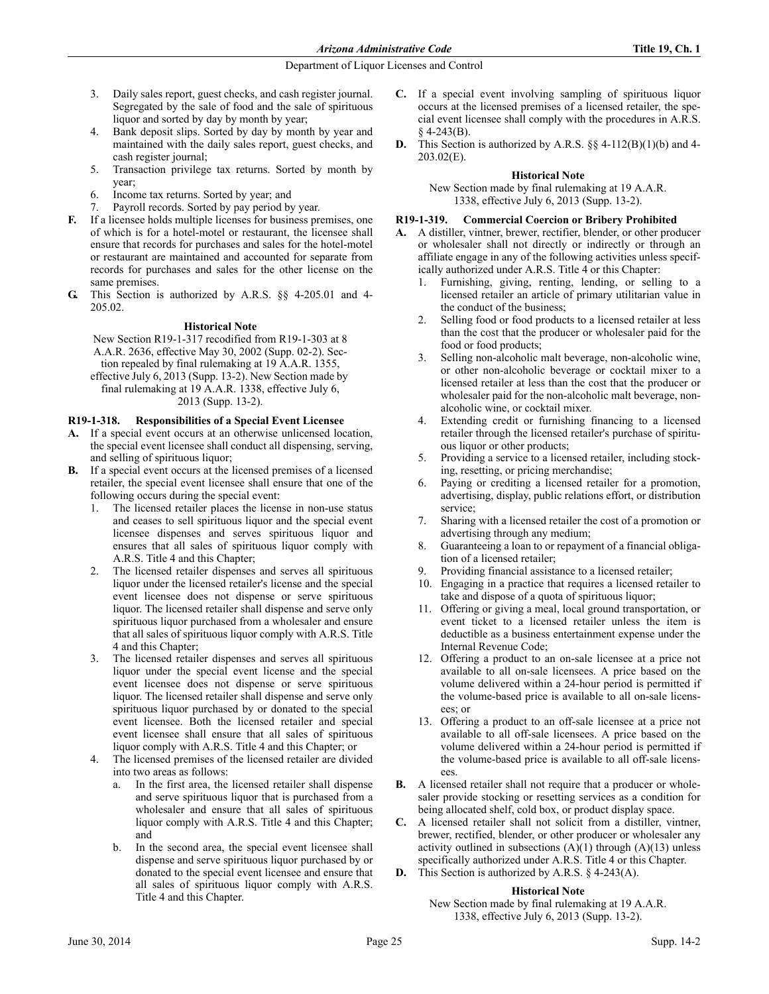*Arizona Administrative Code* **Title 19, Ch. 1**

# Department of Liquor Licenses and Control

- 3. Daily sales report, guest checks, and cash register journal. Segregated by the sale of food and the sale of spirituous liquor and sorted by day by month by year;
- 4. Bank deposit slips. Sorted by day by month by year and maintained with the daily sales report, guest checks, and cash register journal;
- 5. Transaction privilege tax returns. Sorted by month by year;
- 6. Income tax returns. Sorted by year; and
- Payroll records. Sorted by pay period by year.
- **F.** If a licensee holds multiple licenses for business premises, one of which is for a hotel-motel or restaurant, the licensee shall ensure that records for purchases and sales for the hotel-motel or restaurant are maintained and accounted for separate from records for purchases and sales for the other license on the same premises.
- **G.** This Section is authorized by A.R.S. §§ 4-205.01 and 4- 205.02.

# **Historical Note**

New Section R19-1-317 recodified from R19-1-303 at 8 A.A.R. 2636, effective May 30, 2002 (Supp. 02-2). Section repealed by final rulemaking at 19 A.A.R. 1355, effective July 6, 2013 (Supp. 13-2). New Section made by final rulemaking at 19 A.A.R. 1338, effective July 6,

2013 (Supp. 13-2).

# **R19-1-318. Responsibilities of a Special Event Licensee**

- **A.** If a special event occurs at an otherwise unlicensed location, the special event licensee shall conduct all dispensing, serving, and selling of spirituous liquor;
- **B.** If a special event occurs at the licensed premises of a licensed retailer, the special event licensee shall ensure that one of the following occurs during the special event:
	- 1. The licensed retailer places the license in non-use status and ceases to sell spirituous liquor and the special event licensee dispenses and serves spirituous liquor and ensures that all sales of spirituous liquor comply with A.R.S. Title 4 and this Chapter;
	- 2. The licensed retailer dispenses and serves all spirituous liquor under the licensed retailer's license and the special event licensee does not dispense or serve spirituous liquor. The licensed retailer shall dispense and serve only spirituous liquor purchased from a wholesaler and ensure that all sales of spirituous liquor comply with A.R.S. Title 4 and this Chapter;
	- The licensed retailer dispenses and serves all spirituous liquor under the special event license and the special event licensee does not dispense or serve spirituous liquor. The licensed retailer shall dispense and serve only spirituous liquor purchased by or donated to the special event licensee. Both the licensed retailer and special event licensee shall ensure that all sales of spirituous liquor comply with A.R.S. Title 4 and this Chapter; or
	- 4. The licensed premises of the licensed retailer are divided into two areas as follows:
		- a. In the first area, the licensed retailer shall dispense and serve spirituous liquor that is purchased from a wholesaler and ensure that all sales of spirituous liquor comply with A.R.S. Title 4 and this Chapter; and
		- b. In the second area, the special event licensee shall dispense and serve spirituous liquor purchased by or donated to the special event licensee and ensure that all sales of spirituous liquor comply with A.R.S. Title 4 and this Chapter.
- **C.** If a special event involving sampling of spirituous liquor occurs at the licensed premises of a licensed retailer, the special event licensee shall comply with the procedures in A.R.S. § 4-243(B).
- **D.** This Section is authorized by A.R.S. §§ 4-112(B)(1)(b) and 4- 203.02(E).

# **Historical Note**

New Section made by final rulemaking at 19 A.A.R. 1338, effective July 6, 2013 (Supp. 13-2).

# **R19-1-319. Commercial Coercion or Bribery Prohibited**

- **A.** A distiller, vintner, brewer, rectifier, blender, or other producer or wholesaler shall not directly or indirectly or through an affiliate engage in any of the following activities unless specifically authorized under A.R.S. Title 4 or this Chapter:
	- 1. Furnishing, giving, renting, lending, or selling to a licensed retailer an article of primary utilitarian value in the conduct of the business;
	- 2. Selling food or food products to a licensed retailer at less than the cost that the producer or wholesaler paid for the food or food products;
	- 3. Selling non-alcoholic malt beverage, non-alcoholic wine, or other non-alcoholic beverage or cocktail mixer to a licensed retailer at less than the cost that the producer or wholesaler paid for the non-alcoholic malt beverage, nonalcoholic wine, or cocktail mixer.
	- Extending credit or furnishing financing to a licensed retailer through the licensed retailer's purchase of spirituous liquor or other products;
	- 5. Providing a service to a licensed retailer, including stocking, resetting, or pricing merchandise;
	- Paying or crediting a licensed retailer for a promotion, advertising, display, public relations effort, or distribution service;
	- 7. Sharing with a licensed retailer the cost of a promotion or advertising through any medium;
	- 8. Guaranteeing a loan to or repayment of a financial obligation of a licensed retailer;
	- 9. Providing financial assistance to a licensed retailer;
	- 10. Engaging in a practice that requires a licensed retailer to take and dispose of a quota of spirituous liquor;
	- 11. Offering or giving a meal, local ground transportation, or event ticket to a licensed retailer unless the item is deductible as a business entertainment expense under the Internal Revenue Code;
	- 12. Offering a product to an on-sale licensee at a price not available to all on-sale licensees. A price based on the volume delivered within a 24-hour period is permitted if the volume-based price is available to all on-sale licensees; or
	- 13. Offering a product to an off-sale licensee at a price not available to all off-sale licensees. A price based on the volume delivered within a 24-hour period is permitted if the volume-based price is available to all off-sale licensees.
- **B.** A licensed retailer shall not require that a producer or wholesaler provide stocking or resetting services as a condition for being allocated shelf, cold box, or product display space.
- **C.** A licensed retailer shall not solicit from a distiller, vintner, brewer, rectified, blender, or other producer or wholesaler any activity outlined in subsections  $(A)(1)$  through  $(A)(13)$  unless specifically authorized under A.R.S. Title 4 or this Chapter.
- **D.** This Section is authorized by A.R.S. § 4-243(A).

## **Historical Note**

New Section made by final rulemaking at 19 A.A.R. 1338, effective July 6, 2013 (Supp. 13-2).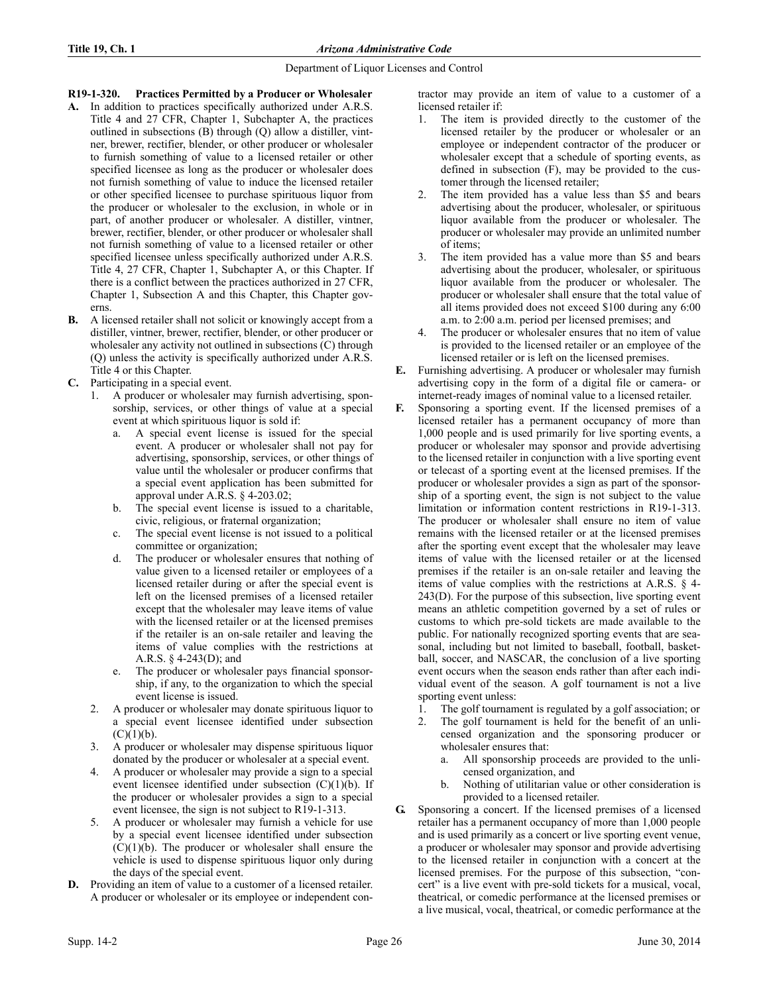# **R19-1-320. Practices Permitted by a Producer or Wholesaler**

- **A.** In addition to practices specifically authorized under A.R.S. Title 4 and 27 CFR, Chapter 1, Subchapter A, the practices outlined in subsections (B) through (Q) allow a distiller, vintner, brewer, rectifier, blender, or other producer or wholesaler to furnish something of value to a licensed retailer or other specified licensee as long as the producer or wholesaler does not furnish something of value to induce the licensed retailer or other specified licensee to purchase spirituous liquor from the producer or wholesaler to the exclusion, in whole or in part, of another producer or wholesaler. A distiller, vintner, brewer, rectifier, blender, or other producer or wholesaler shall not furnish something of value to a licensed retailer or other specified licensee unless specifically authorized under A.R.S. Title 4, 27 CFR, Chapter 1, Subchapter A, or this Chapter. If there is a conflict between the practices authorized in 27 CFR, Chapter 1, Subsection A and this Chapter, this Chapter governs.
- **B.** A licensed retailer shall not solicit or knowingly accept from a distiller, vintner, brewer, rectifier, blender, or other producer or wholesaler any activity not outlined in subsections (C) through (Q) unless the activity is specifically authorized under A.R.S. Title 4 or this Chapter.
- **C.** Participating in a special event.
	- 1. A producer or wholesaler may furnish advertising, sponsorship, services, or other things of value at a special event at which spirituous liquor is sold if:
		- a. A special event license is issued for the special event. A producer or wholesaler shall not pay for advertising, sponsorship, services, or other things of value until the wholesaler or producer confirms that a special event application has been submitted for approval under A.R.S. § 4-203.02;
		- b. The special event license is issued to a charitable, civic, religious, or fraternal organization;
		- c. The special event license is not issued to a political committee or organization;
		- d. The producer or wholesaler ensures that nothing of value given to a licensed retailer or employees of a licensed retailer during or after the special event is left on the licensed premises of a licensed retailer except that the wholesaler may leave items of value with the licensed retailer or at the licensed premises if the retailer is an on-sale retailer and leaving the items of value complies with the restrictions at A.R.S. § 4-243(D); and
		- e. The producer or wholesaler pays financial sponsorship, if any, to the organization to which the special event license is issued.
	- 2. A producer or wholesaler may donate spirituous liquor to a special event licensee identified under subsection  $(C)(1)(b)$ .
	- 3. A producer or wholesaler may dispense spirituous liquor donated by the producer or wholesaler at a special event.
	- 4. A producer or wholesaler may provide a sign to a special event licensee identified under subsection (C)(1)(b). If the producer or wholesaler provides a sign to a special event licensee, the sign is not subject to R19-1-313.
	- 5. A producer or wholesaler may furnish a vehicle for use by a special event licensee identified under subsection  $(C)(1)(b)$ . The producer or wholesaler shall ensure the vehicle is used to dispense spirituous liquor only during the days of the special event.
- **D.** Providing an item of value to a customer of a licensed retailer. A producer or wholesaler or its employee or independent con-

tractor may provide an item of value to a customer of a licensed retailer if:

- 1. The item is provided directly to the customer of the licensed retailer by the producer or wholesaler or an employee or independent contractor of the producer or wholesaler except that a schedule of sporting events, as defined in subsection (F), may be provided to the customer through the licensed retailer;
- The item provided has a value less than \$5 and bears advertising about the producer, wholesaler, or spirituous liquor available from the producer or wholesaler. The producer or wholesaler may provide an unlimited number of items;
- 3. The item provided has a value more than \$5 and bears advertising about the producer, wholesaler, or spirituous liquor available from the producer or wholesaler. The producer or wholesaler shall ensure that the total value of all items provided does not exceed \$100 during any 6:00 a.m. to 2:00 a.m. period per licensed premises; and
- 4. The producer or wholesaler ensures that no item of value is provided to the licensed retailer or an employee of the licensed retailer or is left on the licensed premises.
- **E.** Furnishing advertising. A producer or wholesaler may furnish advertising copy in the form of a digital file or camera- or internet-ready images of nominal value to a licensed retailer.
- **F.** Sponsoring a sporting event. If the licensed premises of a licensed retailer has a permanent occupancy of more than 1,000 people and is used primarily for live sporting events, a producer or wholesaler may sponsor and provide advertising to the licensed retailer in conjunction with a live sporting event or telecast of a sporting event at the licensed premises. If the producer or wholesaler provides a sign as part of the sponsorship of a sporting event, the sign is not subject to the value limitation or information content restrictions in R19-1-313. The producer or wholesaler shall ensure no item of value remains with the licensed retailer or at the licensed premises after the sporting event except that the wholesaler may leave items of value with the licensed retailer or at the licensed premises if the retailer is an on-sale retailer and leaving the items of value complies with the restrictions at A.R.S. § 4- 243(D). For the purpose of this subsection, live sporting event means an athletic competition governed by a set of rules or customs to which pre-sold tickets are made available to the public. For nationally recognized sporting events that are seasonal, including but not limited to baseball, football, basketball, soccer, and NASCAR, the conclusion of a live sporting event occurs when the season ends rather than after each individual event of the season. A golf tournament is not a live sporting event unless:
	- 1. The golf tournament is regulated by a golf association; or
	- 2. The golf tournament is held for the benefit of an unlicensed organization and the sponsoring producer or wholesaler ensures that:
		- a. All sponsorship proceeds are provided to the unlicensed organization, and
		- b. Nothing of utilitarian value or other consideration is provided to a licensed retailer.
- **G.** Sponsoring a concert. If the licensed premises of a licensed retailer has a permanent occupancy of more than 1,000 people and is used primarily as a concert or live sporting event venue, a producer or wholesaler may sponsor and provide advertising to the licensed retailer in conjunction with a concert at the licensed premises. For the purpose of this subsection, "concert" is a live event with pre-sold tickets for a musical, vocal, theatrical, or comedic performance at the licensed premises or a live musical, vocal, theatrical, or comedic performance at the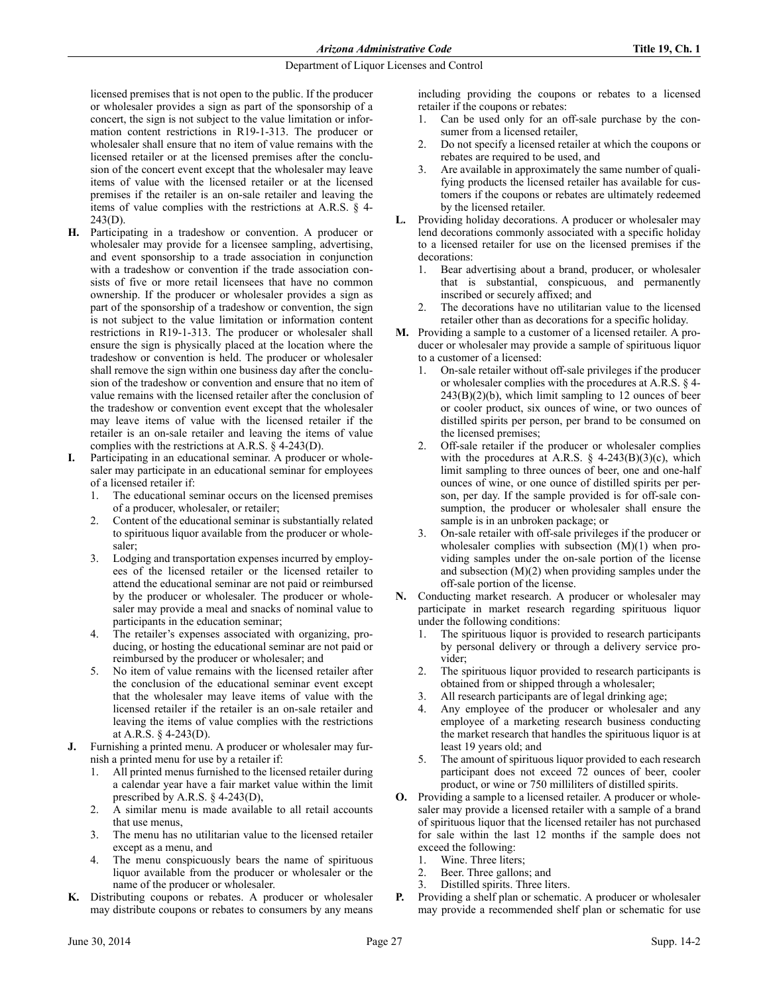licensed premises that is not open to the public. If the producer or wholesaler provides a sign as part of the sponsorship of a concert, the sign is not subject to the value limitation or information content restrictions in R19-1-313. The producer or wholesaler shall ensure that no item of value remains with the licensed retailer or at the licensed premises after the conclusion of the concert event except that the wholesaler may leave items of value with the licensed retailer or at the licensed premises if the retailer is an on-sale retailer and leaving the items of value complies with the restrictions at A.R.S. § 4-  $243(D)$ .

- **H.** Participating in a tradeshow or convention. A producer or wholesaler may provide for a licensee sampling, advertising, and event sponsorship to a trade association in conjunction with a tradeshow or convention if the trade association consists of five or more retail licensees that have no common ownership. If the producer or wholesaler provides a sign as part of the sponsorship of a tradeshow or convention, the sign is not subject to the value limitation or information content restrictions in R19-1-313. The producer or wholesaler shall ensure the sign is physically placed at the location where the tradeshow or convention is held. The producer or wholesaler shall remove the sign within one business day after the conclusion of the tradeshow or convention and ensure that no item of value remains with the licensed retailer after the conclusion of the tradeshow or convention event except that the wholesaler may leave items of value with the licensed retailer if the retailer is an on-sale retailer and leaving the items of value complies with the restrictions at A.R.S. § 4-243(D).
- **I.** Participating in an educational seminar. A producer or wholesaler may participate in an educational seminar for employees of a licensed retailer if:
	- 1. The educational seminar occurs on the licensed premises of a producer, wholesaler, or retailer;
	- 2. Content of the educational seminar is substantially related to spirituous liquor available from the producer or wholesaler;
	- 3. Lodging and transportation expenses incurred by employees of the licensed retailer or the licensed retailer to attend the educational seminar are not paid or reimbursed by the producer or wholesaler. The producer or wholesaler may provide a meal and snacks of nominal value to participants in the education seminar;
	- 4. The retailer's expenses associated with organizing, producing, or hosting the educational seminar are not paid or reimbursed by the producer or wholesaler; and
	- 5. No item of value remains with the licensed retailer after the conclusion of the educational seminar event except that the wholesaler may leave items of value with the licensed retailer if the retailer is an on-sale retailer and leaving the items of value complies with the restrictions at A.R.S. § 4-243(D).
- **J.** Furnishing a printed menu. A producer or wholesaler may furnish a printed menu for use by a retailer if:
	- 1. All printed menus furnished to the licensed retailer during a calendar year have a fair market value within the limit prescribed by A.R.S. § 4-243(D),
	- 2. A similar menu is made available to all retail accounts that use menus,
	- 3. The menu has no utilitarian value to the licensed retailer except as a menu, and
	- 4. The menu conspicuously bears the name of spirituous liquor available from the producer or wholesaler or the name of the producer or wholesaler.
- **K.** Distributing coupons or rebates. A producer or wholesaler may distribute coupons or rebates to consumers by any means

including providing the coupons or rebates to a licensed retailer if the coupons or rebates:

- 1. Can be used only for an off-sale purchase by the consumer from a licensed retailer,
- 2. Do not specify a licensed retailer at which the coupons or rebates are required to be used, and
- 3. Are available in approximately the same number of qualifying products the licensed retailer has available for customers if the coupons or rebates are ultimately redeemed by the licensed retailer.
- **L.** Providing holiday decorations. A producer or wholesaler may lend decorations commonly associated with a specific holiday to a licensed retailer for use on the licensed premises if the decorations:
	- 1. Bear advertising about a brand, producer, or wholesaler that is substantial, conspicuous, and permanently inscribed or securely affixed; and
	- 2. The decorations have no utilitarian value to the licensed retailer other than as decorations for a specific holiday.
- **M.** Providing a sample to a customer of a licensed retailer. A producer or wholesaler may provide a sample of spirituous liquor to a customer of a licensed:
	- 1. On-sale retailer without off-sale privileges if the producer or wholesaler complies with the procedures at A.R.S. § 4-  $243(B)(2)(b)$ , which limit sampling to 12 ounces of beer or cooler product, six ounces of wine, or two ounces of distilled spirits per person, per brand to be consumed on the licensed premises;
	- 2. Off-sale retailer if the producer or wholesaler complies with the procedures at A.R.S.  $\S$  4-243(B)(3)(c), which limit sampling to three ounces of beer, one and one-half ounces of wine, or one ounce of distilled spirits per person, per day. If the sample provided is for off-sale consumption, the producer or wholesaler shall ensure the sample is in an unbroken package; or
	- 3. On-sale retailer with off-sale privileges if the producer or wholesaler complies with subsection (M)(1) when providing samples under the on-sale portion of the license and subsection (M)(2) when providing samples under the off-sale portion of the license.
- **N.** Conducting market research. A producer or wholesaler may participate in market research regarding spirituous liquor under the following conditions:
	- 1. The spirituous liquor is provided to research participants by personal delivery or through a delivery service provider;
	- 2. The spirituous liquor provided to research participants is obtained from or shipped through a wholesaler;
	- 3. All research participants are of legal drinking age;
	- Any employee of the producer or wholesaler and any employee of a marketing research business conducting the market research that handles the spirituous liquor is at least 19 years old; and
	- 5. The amount of spirituous liquor provided to each research participant does not exceed 72 ounces of beer, cooler product, or wine or 750 milliliters of distilled spirits.
- **O.** Providing a sample to a licensed retailer. A producer or wholesaler may provide a licensed retailer with a sample of a brand of spirituous liquor that the licensed retailer has not purchased for sale within the last 12 months if the sample does not exceed the following:
	- 1. Wine. Three liters;
	- 2. Beer. Three gallons; and
	- 3. Distilled spirits. Three liters.
- **P.** Providing a shelf plan or schematic. A producer or wholesaler may provide a recommended shelf plan or schematic for use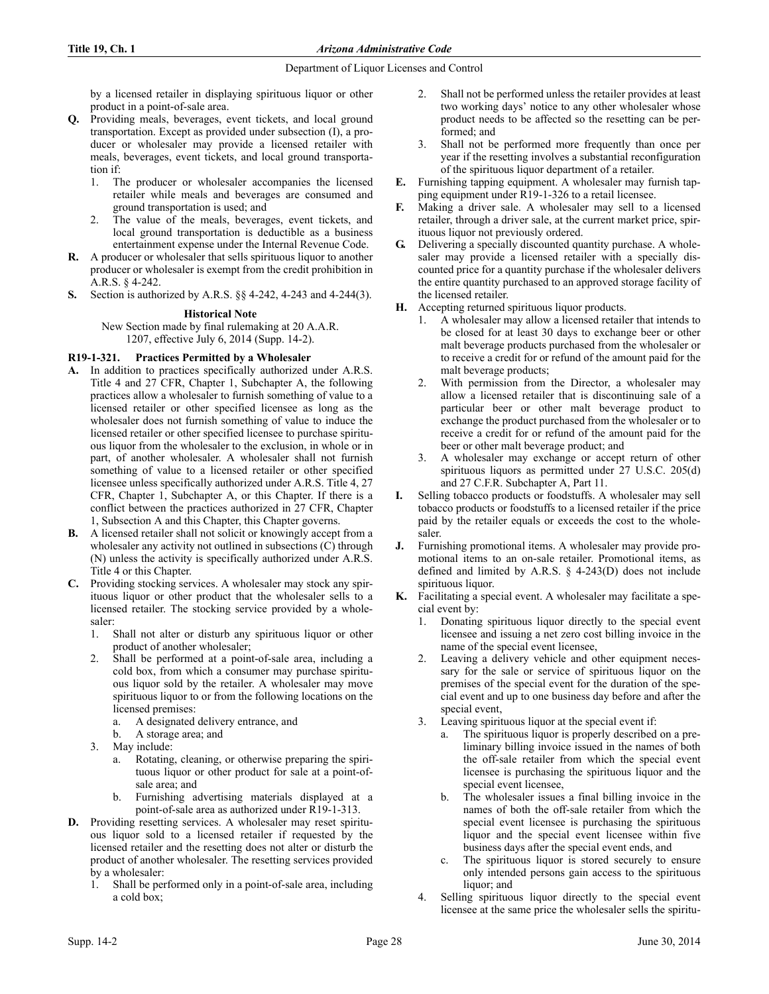by a licensed retailer in displaying spirituous liquor or other product in a point-of-sale area.

- **Q.** Providing meals, beverages, event tickets, and local ground transportation. Except as provided under subsection (I), a producer or wholesaler may provide a licensed retailer with meals, beverages, event tickets, and local ground transportation if:
	- 1. The producer or wholesaler accompanies the licensed retailer while meals and beverages are consumed and ground transportation is used; and
	- 2. The value of the meals, beverages, event tickets, and local ground transportation is deductible as a business entertainment expense under the Internal Revenue Code.
- **R.** A producer or wholesaler that sells spirituous liquor to another producer or wholesaler is exempt from the credit prohibition in A.R.S. § 4-242.
- **S.** Section is authorized by A.R.S. §§ 4-242, 4-243 and 4-244(3).

## **Historical Note**

New Section made by final rulemaking at 20 A.A.R. 1207, effective July 6, 2014 (Supp. 14-2).

# **R19-1-321. Practices Permitted by a Wholesaler**

- **A.** In addition to practices specifically authorized under A.R.S. Title 4 and 27 CFR, Chapter 1, Subchapter A, the following practices allow a wholesaler to furnish something of value to a licensed retailer or other specified licensee as long as the wholesaler does not furnish something of value to induce the licensed retailer or other specified licensee to purchase spirituous liquor from the wholesaler to the exclusion, in whole or in part, of another wholesaler. A wholesaler shall not furnish something of value to a licensed retailer or other specified licensee unless specifically authorized under A.R.S. Title 4, 27 CFR, Chapter 1, Subchapter A, or this Chapter. If there is a conflict between the practices authorized in 27 CFR, Chapter 1, Subsection A and this Chapter, this Chapter governs.
- **B.** A licensed retailer shall not solicit or knowingly accept from a wholesaler any activity not outlined in subsections (C) through (N) unless the activity is specifically authorized under A.R.S. Title 4 or this Chapter.
- **C.** Providing stocking services. A wholesaler may stock any spirituous liquor or other product that the wholesaler sells to a licensed retailer. The stocking service provided by a wholesaler:
	- 1. Shall not alter or disturb any spirituous liquor or other product of another wholesaler;
	- 2. Shall be performed at a point-of-sale area, including a cold box, from which a consumer may purchase spirituous liquor sold by the retailer. A wholesaler may move spirituous liquor to or from the following locations on the licensed premises:
		- a. A designated delivery entrance, and
		- b. A storage area; and
	- 3. May include:
		- a. Rotating, cleaning, or otherwise preparing the spirituous liquor or other product for sale at a point-ofsale area; and
		- b. Furnishing advertising materials displayed at a point-of-sale area as authorized under R19-1-313.
- **D.** Providing resetting services. A wholesaler may reset spirituous liquor sold to a licensed retailer if requested by the licensed retailer and the resetting does not alter or disturb the product of another wholesaler. The resetting services provided by a wholesaler:
	- 1. Shall be performed only in a point-of-sale area, including a cold box;
- 2. Shall not be performed unless the retailer provides at least two working days' notice to any other wholesaler whose product needs to be affected so the resetting can be performed; and
- 3. Shall not be performed more frequently than once per year if the resetting involves a substantial reconfiguration of the spirituous liquor department of a retailer.
- **E.** Furnishing tapping equipment. A wholesaler may furnish tapping equipment under R19-1-326 to a retail licensee.
- **F.** Making a driver sale. A wholesaler may sell to a licensed retailer, through a driver sale, at the current market price, spirituous liquor not previously ordered.
- **G.** Delivering a specially discounted quantity purchase. A wholesaler may provide a licensed retailer with a specially discounted price for a quantity purchase if the wholesaler delivers the entire quantity purchased to an approved storage facility of the licensed retailer.
- **H.** Accepting returned spirituous liquor products.
	- 1. A wholesaler may allow a licensed retailer that intends to be closed for at least 30 days to exchange beer or other malt beverage products purchased from the wholesaler or to receive a credit for or refund of the amount paid for the malt beverage products;
	- 2. With permission from the Director, a wholesaler may allow a licensed retailer that is discontinuing sale of a particular beer or other malt beverage product to exchange the product purchased from the wholesaler or to receive a credit for or refund of the amount paid for the beer or other malt beverage product; and
	- 3. A wholesaler may exchange or accept return of other spirituous liquors as permitted under 27 U.S.C. 205(d) and 27 C.F.R. Subchapter A, Part 11.
- **I.** Selling tobacco products or foodstuffs. A wholesaler may sell tobacco products or foodstuffs to a licensed retailer if the price paid by the retailer equals or exceeds the cost to the wholesaler.
- **J.** Furnishing promotional items. A wholesaler may provide promotional items to an on-sale retailer. Promotional items, as defined and limited by A.R.S. § 4-243(D) does not include spirituous liquor.
- **K.** Facilitating a special event. A wholesaler may facilitate a special event by:
	- 1. Donating spirituous liquor directly to the special event licensee and issuing a net zero cost billing invoice in the name of the special event licensee,
	- Leaving a delivery vehicle and other equipment necessary for the sale or service of spirituous liquor on the premises of the special event for the duration of the special event and up to one business day before and after the special event,
	- 3. Leaving spirituous liquor at the special event if:
		- The spirituous liquor is properly described on a preliminary billing invoice issued in the names of both the off-sale retailer from which the special event licensee is purchasing the spirituous liquor and the special event licensee,
		- b. The wholesaler issues a final billing invoice in the names of both the off-sale retailer from which the special event licensee is purchasing the spirituous liquor and the special event licensee within five business days after the special event ends, and
		- c. The spirituous liquor is stored securely to ensure only intended persons gain access to the spirituous liquor; and
	- 4. Selling spirituous liquor directly to the special event licensee at the same price the wholesaler sells the spiritu-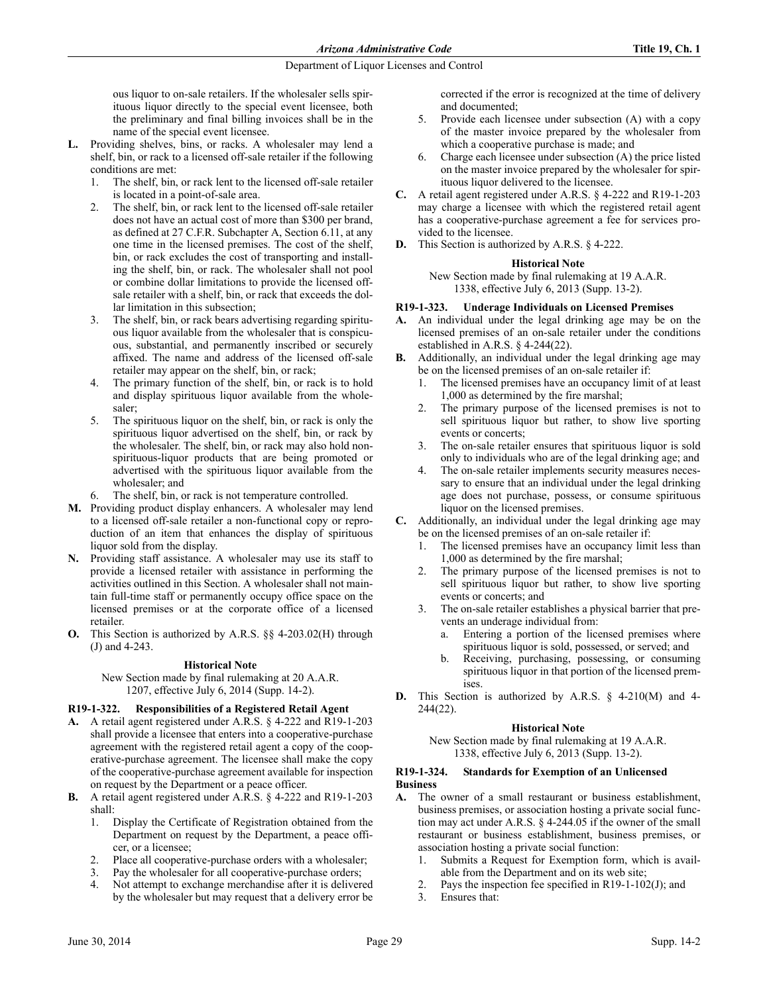ous liquor to on-sale retailers. If the wholesaler sells spirituous liquor directly to the special event licensee, both the preliminary and final billing invoices shall be in the name of the special event licensee.

- **L.** Providing shelves, bins, or racks. A wholesaler may lend a shelf, bin, or rack to a licensed off-sale retailer if the following conditions are met:
	- The shelf, bin, or rack lent to the licensed off-sale retailer is located in a point-of-sale area.
	- 2. The shelf, bin, or rack lent to the licensed off-sale retailer does not have an actual cost of more than \$300 per brand, as defined at 27 C.F.R. Subchapter A, Section 6.11, at any one time in the licensed premises. The cost of the shelf, bin, or rack excludes the cost of transporting and installing the shelf, bin, or rack. The wholesaler shall not pool or combine dollar limitations to provide the licensed offsale retailer with a shelf, bin, or rack that exceeds the dollar limitation in this subsection;
	- 3. The shelf, bin, or rack bears advertising regarding spirituous liquor available from the wholesaler that is conspicuous, substantial, and permanently inscribed or securely affixed. The name and address of the licensed off-sale retailer may appear on the shelf, bin, or rack;
	- 4. The primary function of the shelf, bin, or rack is to hold and display spirituous liquor available from the wholesaler;
	- 5. The spirituous liquor on the shelf, bin, or rack is only the spirituous liquor advertised on the shelf, bin, or rack by the wholesaler. The shelf, bin, or rack may also hold nonspirituous-liquor products that are being promoted or advertised with the spirituous liquor available from the wholesaler; and
		- The shelf, bin, or rack is not temperature controlled.
- **M.** Providing product display enhancers. A wholesaler may lend to a licensed off-sale retailer a non-functional copy or reproduction of an item that enhances the display of spirituous liquor sold from the display.
- **N.** Providing staff assistance. A wholesaler may use its staff to provide a licensed retailer with assistance in performing the activities outlined in this Section. A wholesaler shall not maintain full-time staff or permanently occupy office space on the licensed premises or at the corporate office of a licensed retailer.
- **O.** This Section is authorized by A.R.S. §§ 4-203.02(H) through (J) and 4-243.

## **Historical Note**

New Section made by final rulemaking at 20 A.A.R. 1207, effective July 6, 2014 (Supp. 14-2).

## **R19-1-322. Responsibilities of a Registered Retail Agent**

- **A.** A retail agent registered under A.R.S. § 4-222 and R19-1-203 shall provide a licensee that enters into a cooperative-purchase agreement with the registered retail agent a copy of the cooperative-purchase agreement. The licensee shall make the copy of the cooperative-purchase agreement available for inspection on request by the Department or a peace officer.
- **B.** A retail agent registered under A.R.S. § 4-222 and R19-1-203 shall:
	- 1. Display the Certificate of Registration obtained from the Department on request by the Department, a peace officer, or a licensee;
	- 2. Place all cooperative-purchase orders with a wholesaler;
	- 3. Pay the wholesaler for all cooperative-purchase orders;
	- Not attempt to exchange merchandise after it is delivered by the wholesaler but may request that a delivery error be

corrected if the error is recognized at the time of delivery and documented;

- 5. Provide each licensee under subsection (A) with a copy of the master invoice prepared by the wholesaler from which a cooperative purchase is made; and
- 6. Charge each licensee under subsection (A) the price listed on the master invoice prepared by the wholesaler for spirituous liquor delivered to the licensee.
- **C.** A retail agent registered under A.R.S. § 4-222 and R19-1-203 may charge a licensee with which the registered retail agent has a cooperative-purchase agreement a fee for services provided to the licensee.
- **D.** This Section is authorized by A.R.S. § 4-222.

## **Historical Note**

New Section made by final rulemaking at 19 A.A.R. 1338, effective July 6, 2013 (Supp. 13-2).

## **R19-1-323. Underage Individuals on Licensed Premises**

- **A.** An individual under the legal drinking age may be on the licensed premises of an on-sale retailer under the conditions established in A.R.S. § 4-244(22).
- **B.** Additionally, an individual under the legal drinking age may be on the licensed premises of an on-sale retailer if:
	- 1. The licensed premises have an occupancy limit of at least 1,000 as determined by the fire marshal;
	- 2. The primary purpose of the licensed premises is not to sell spirituous liquor but rather, to show live sporting events or concerts;
	- 3. The on-sale retailer ensures that spirituous liquor is sold only to individuals who are of the legal drinking age; and
	- 4. The on-sale retailer implements security measures necessary to ensure that an individual under the legal drinking age does not purchase, possess, or consume spirituous liquor on the licensed premises.
- **C.** Additionally, an individual under the legal drinking age may be on the licensed premises of an on-sale retailer if:
	- The licensed premises have an occupancy limit less than 1,000 as determined by the fire marshal;
	- 2. The primary purpose of the licensed premises is not to sell spirituous liquor but rather, to show live sporting events or concerts; and
	- The on-sale retailer establishes a physical barrier that prevents an underage individual from:
		- a. Entering a portion of the licensed premises where spirituous liquor is sold, possessed, or served; and
		- b. Receiving, purchasing, possessing, or consuming spirituous liquor in that portion of the licensed premises.
- **D.** This Section is authorized by A.R.S. § 4-210(M) and 4- 244(22).

## **Historical Note**

New Section made by final rulemaking at 19 A.A.R. 1338, effective July 6, 2013 (Supp. 13-2).

## **R19-1-324. Standards for Exemption of an Unlicensed Business**

- **A.** The owner of a small restaurant or business establishment, business premises, or association hosting a private social function may act under A.R.S. § 4-244.05 if the owner of the small restaurant or business establishment, business premises, or association hosting a private social function:
	- 1. Submits a Request for Exemption form, which is available from the Department and on its web site;
	- 2. Pays the inspection fee specified in R19-1-102(J); and
	- 3. Ensures that: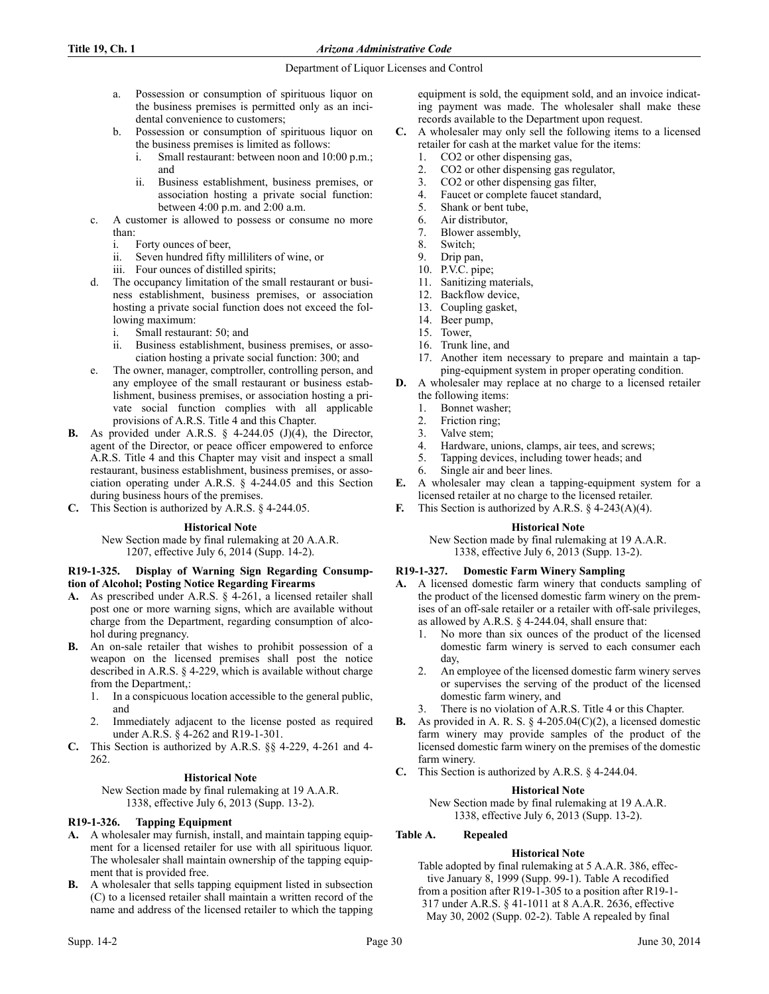- a. Possession or consumption of spirituous liquor on the business premises is permitted only as an incidental convenience to customers;
- b. Possession or consumption of spirituous liquor on the business premises is limited as follows:
	- i. Small restaurant: between noon and 10:00 p.m.; and
	- ii. Business establishment, business premises, or association hosting a private social function: between 4:00 p.m. and 2:00 a.m.
- c. A customer is allowed to possess or consume no more than:
	- i. Forty ounces of beer,
	- ii. Seven hundred fifty milliliters of wine, or
	- iii. Four ounces of distilled spirits;
- d. The occupancy limitation of the small restaurant or business establishment, business premises, or association hosting a private social function does not exceed the following maximum:
	- i. Small restaurant: 50; and
	- ii. Business establishment, business premises, or association hosting a private social function: 300; and
- e. The owner, manager, comptroller, controlling person, and any employee of the small restaurant or business establishment, business premises, or association hosting a private social function complies with all applicable provisions of A.R.S. Title 4 and this Chapter.
- **B.** As provided under A.R.S. § 4-244.05 (J)(4), the Director, agent of the Director, or peace officer empowered to enforce A.R.S. Title 4 and this Chapter may visit and inspect a small restaurant, business establishment, business premises, or association operating under A.R.S. § 4-244.05 and this Section during business hours of the premises.
- **C.** This Section is authorized by A.R.S. § 4-244.05.

# **Historical Note**

New Section made by final rulemaking at 20 A.A.R. 1207, effective July 6, 2014 (Supp. 14-2).

## **R19-1-325. Display of Warning Sign Regarding Consumption of Alcohol; Posting Notice Regarding Firearms**

- **A.** As prescribed under A.R.S. § 4-261, a licensed retailer shall post one or more warning signs, which are available without charge from the Department, regarding consumption of alcohol during pregnancy.
- **B.** An on-sale retailer that wishes to prohibit possession of a weapon on the licensed premises shall post the notice described in A.R.S. § 4-229, which is available without charge from the Department,:
	- 1. In a conspicuous location accessible to the general public, and
	- 2. Immediately adjacent to the license posted as required under A.R.S. § 4-262 and R19-1-301.
- **C.** This Section is authorized by A.R.S. §§ 4-229, 4-261 and 4- 262.

# **Historical Note**

New Section made by final rulemaking at 19 A.A.R. 1338, effective July 6, 2013 (Supp. 13-2).

# **R19-1-326. Tapping Equipment**

- **A.** A wholesaler may furnish, install, and maintain tapping equipment for a licensed retailer for use with all spirituous liquor. The wholesaler shall maintain ownership of the tapping equipment that is provided free.
- **B.** A wholesaler that sells tapping equipment listed in subsection (C) to a licensed retailer shall maintain a written record of the name and address of the licensed retailer to which the tapping

equipment is sold, the equipment sold, and an invoice indicating payment was made. The wholesaler shall make these records available to the Department upon request.

- **C.** A wholesaler may only sell the following items to a licensed retailer for cash at the market value for the items:
	- 1. CO2 or other dispensing gas,
	- 2. CO2 or other dispensing gas regulator,
	- 3. CO2 or other dispensing gas filter,
	- 4. Faucet or complete faucet standard,
	- 5. Shank or bent tube,<br>6. Air distributor.
	- Air distributor.
	- 7. Blower assembly,
	- 8. Switch;
	- 9. Drip pan,
	- 10. P.V.C. pipe;
	- 11. Sanitizing materials,
	- 12. Backflow device,
	- 13. Coupling gasket,
	- 14. Beer pump,
	- 15. Tower,
	- 16. Trunk line, and
	- 17. Another item necessary to prepare and maintain a tapping-equipment system in proper operating condition.
- **D.** A wholesaler may replace at no charge to a licensed retailer the following items:
	- 1. Bonnet washer;
	- 2. Friction ring;
	- 3. Valve stem;
	- 4. Hardware, unions, clamps, air tees, and screws;
	- 5. Tapping devices, including tower heads; and
	- 6. Single air and beer lines.
- **E.** A wholesaler may clean a tapping-equipment system for a licensed retailer at no charge to the licensed retailer.
- **F.** This Section is authorized by A.R.S. § 4-243(A)(4).

## **Historical Note**

New Section made by final rulemaking at 19 A.A.R. 1338, effective July 6, 2013 (Supp. 13-2).

# **R19-1-327. Domestic Farm Winery Sampling**

- **A.** A licensed domestic farm winery that conducts sampling of the product of the licensed domestic farm winery on the premises of an off-sale retailer or a retailer with off-sale privileges, as allowed by A.R.S. § 4-244.04, shall ensure that:
	- 1. No more than six ounces of the product of the licensed domestic farm winery is served to each consumer each day,
	- 2. An employee of the licensed domestic farm winery serves or supervises the serving of the product of the licensed domestic farm winery, and
	- There is no violation of A.R.S. Title 4 or this Chapter.
- As provided in A. R. S.  $\S$  4-205.04(C)(2), a licensed domestic farm winery may provide samples of the product of the licensed domestic farm winery on the premises of the domestic farm winery.
- **C.** This Section is authorized by A.R.S. § 4-244.04.

# **Historical Note**

New Section made by final rulemaking at 19 A.A.R. 1338, effective July 6, 2013 (Supp. 13-2).

# **Table A. Repealed**

# **Historical Note**

Table adopted by final rulemaking at 5 A.A.R. 386, effective January 8, 1999 (Supp. 99-1). Table A recodified from a position after R19-1-305 to a position after R19-1- 317 under A.R.S. § 41-1011 at 8 A.A.R. 2636, effective May 30, 2002 (Supp. 02-2). Table A repealed by final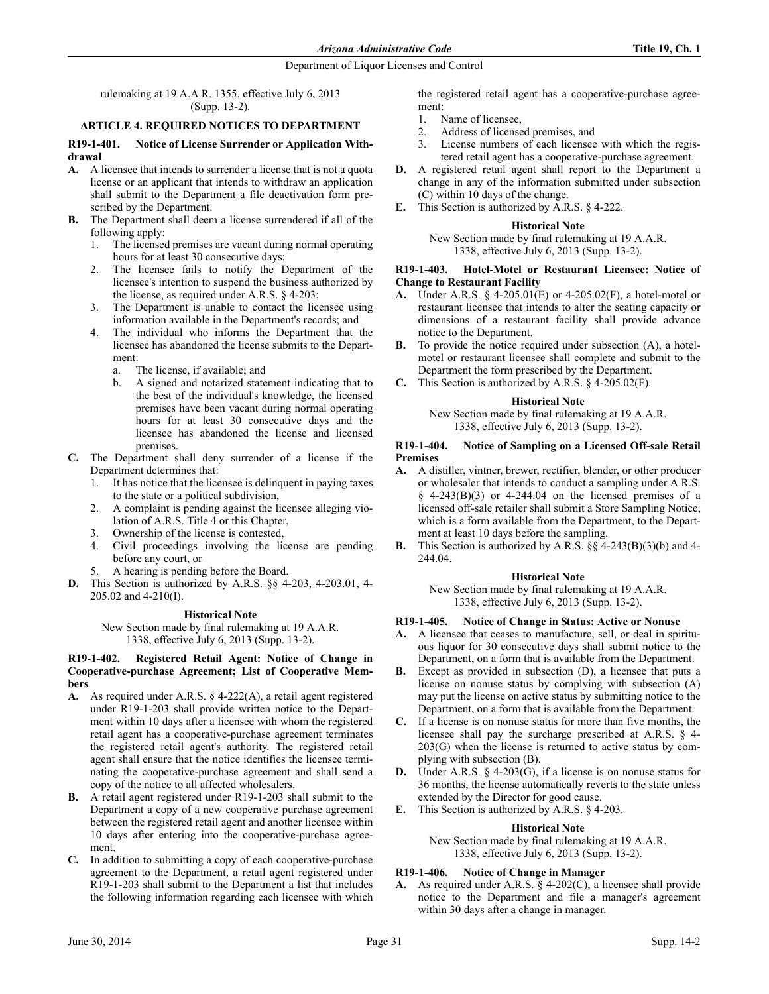rulemaking at 19 A.A.R. 1355, effective July 6, 2013 (Supp. 13-2).

## **ARTICLE 4. REQUIRED NOTICES TO DEPARTMENT**

## **R19-1-401. Notice of License Surrender or Application Withdrawal**

- **A.** A licensee that intends to surrender a license that is not a quota license or an applicant that intends to withdraw an application shall submit to the Department a file deactivation form prescribed by the Department.
- **B.** The Department shall deem a license surrendered if all of the following apply:
	- 1. The licensed premises are vacant during normal operating hours for at least 30 consecutive days;
	- 2. The licensee fails to notify the Department of the licensee's intention to suspend the business authorized by the license, as required under A.R.S. § 4-203;
	- 3. The Department is unable to contact the licensee using information available in the Department's records; and
	- 4. The individual who informs the Department that the licensee has abandoned the license submits to the Department:
		- a. The license, if available; and
		- b. A signed and notarized statement indicating that to the best of the individual's knowledge, the licensed premises have been vacant during normal operating hours for at least 30 consecutive days and the licensee has abandoned the license and licensed premises.
- **C.** The Department shall deny surrender of a license if the Department determines that:
	- 1. It has notice that the licensee is delinquent in paying taxes to the state or a political subdivision,
	- 2. A complaint is pending against the licensee alleging violation of A.R.S. Title 4 or this Chapter,
	- 3. Ownership of the license is contested,
	- 4. Civil proceedings involving the license are pending before any court, or
	- 5. A hearing is pending before the Board.
- **D.** This Section is authorized by A.R.S. §§ 4-203, 4-203.01, 4- 205.02 and 4-210(I).

## **Historical Note**

New Section made by final rulemaking at 19 A.A.R. 1338, effective July 6, 2013 (Supp. 13-2).

## **R19-1-402. Registered Retail Agent: Notice of Change in Cooperative-purchase Agreement; List of Cooperative Members**

- **A.** As required under A.R.S. § 4-222(A), a retail agent registered under R19-1-203 shall provide written notice to the Department within 10 days after a licensee with whom the registered retail agent has a cooperative-purchase agreement terminates the registered retail agent's authority. The registered retail agent shall ensure that the notice identifies the licensee terminating the cooperative-purchase agreement and shall send a copy of the notice to all affected wholesalers.
- **B.** A retail agent registered under R19-1-203 shall submit to the Department a copy of a new cooperative purchase agreement between the registered retail agent and another licensee within 10 days after entering into the cooperative-purchase agreement.
- **C.** In addition to submitting a copy of each cooperative-purchase agreement to the Department, a retail agent registered under R19-1-203 shall submit to the Department a list that includes the following information regarding each licensee with which

the registered retail agent has a cooperative-purchase agreement:

- 1. Name of licensee,
- 2. Address of licensed premises, and<br>3. License numbers of each licensee
- License numbers of each licensee with which the registered retail agent has a cooperative-purchase agreement.
- **D.** A registered retail agent shall report to the Department a change in any of the information submitted under subsection (C) within 10 days of the change.
- **E.** This Section is authorized by A.R.S. § 4-222.

## **Historical Note**

New Section made by final rulemaking at 19 A.A.R. 1338, effective July 6, 2013 (Supp. 13-2).

## **R19-1-403. Hotel-Motel or Restaurant Licensee: Notice of Change to Restaurant Facility**

- **A.** Under A.R.S. § 4-205.01(E) or 4-205.02(F), a hotel-motel or restaurant licensee that intends to alter the seating capacity or dimensions of a restaurant facility shall provide advance notice to the Department.
- **B.** To provide the notice required under subsection (A), a hotelmotel or restaurant licensee shall complete and submit to the Department the form prescribed by the Department.
- **C.** This Section is authorized by A.R.S. § 4-205.02(F).

# **Historical Note**

New Section made by final rulemaking at 19 A.A.R. 1338, effective July 6, 2013 (Supp. 13-2).

## **R19-1-404. Notice of Sampling on a Licensed Off-sale Retail Premises**

- **A.** A distiller, vintner, brewer, rectifier, blender, or other producer or wholesaler that intends to conduct a sampling under A.R.S.  $§$  4-243(B)(3) or 4-244.04 on the licensed premises of a licensed off-sale retailer shall submit a Store Sampling Notice, which is a form available from the Department, to the Department at least 10 days before the sampling.
- **B.** This Section is authorized by A.R.S. §§ 4-243(B)(3)(b) and 4- 244.04.

# **Historical Note**

New Section made by final rulemaking at 19 A.A.R. 1338, effective July 6, 2013 (Supp. 13-2).

# **R19-1-405. Notice of Change in Status: Active or Nonuse**

- **A.** A licensee that ceases to manufacture, sell, or deal in spirituous liquor for 30 consecutive days shall submit notice to the Department, on a form that is available from the Department.
- **B.** Except as provided in subsection (D), a licensee that puts a license on nonuse status by complying with subsection (A) may put the license on active status by submitting notice to the Department, on a form that is available from the Department.
- **C.** If a license is on nonuse status for more than five months, the licensee shall pay the surcharge prescribed at A.R.S. § 4-  $203(G)$  when the license is returned to active status by complying with subsection (B).
- **D.** Under A.R.S. § 4-203(G), if a license is on nonuse status for 36 months, the license automatically reverts to the state unless extended by the Director for good cause.
- **E.** This Section is authorized by A.R.S. § 4-203.

# **Historical Note**

New Section made by final rulemaking at 19 A.A.R. 1338, effective July 6, 2013 (Supp. 13-2).

# **R19-1-406. Notice of Change in Manager**

**A.** As required under A.R.S. § 4-202(C), a licensee shall provide notice to the Department and file a manager's agreement within 30 days after a change in manager.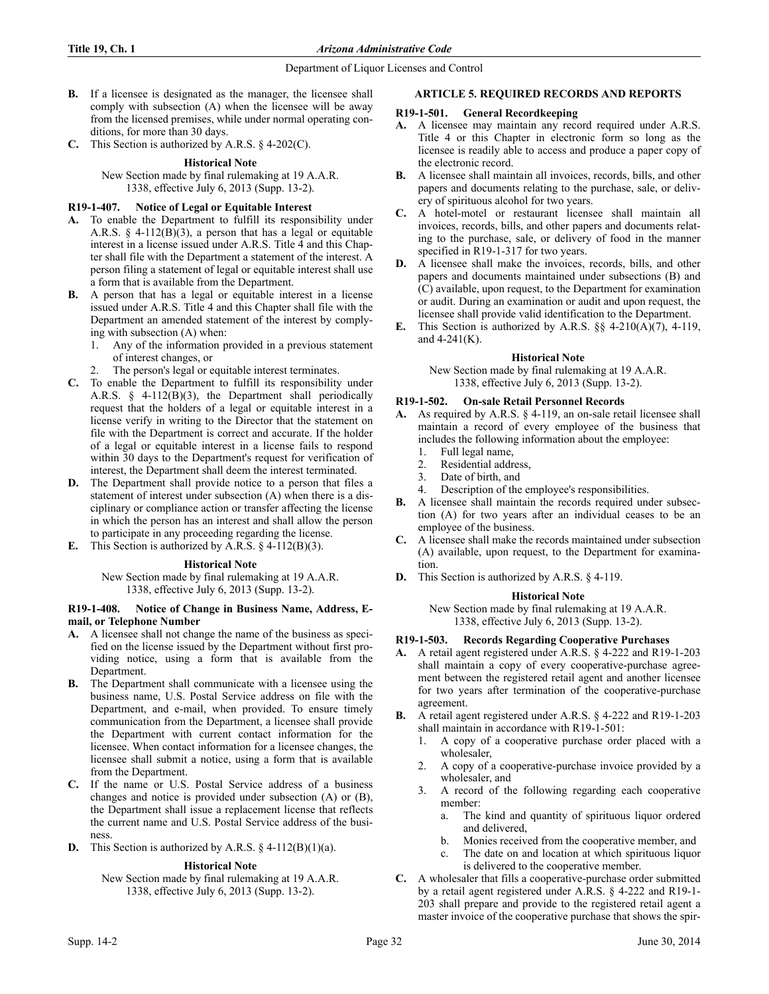- **B.** If a licensee is designated as the manager, the licensee shall comply with subsection (A) when the licensee will be away from the licensed premises, while under normal operating conditions, for more than 30 days.
- **C.** This Section is authorized by A.R.S. § 4-202(C).

## **Historical Note**

New Section made by final rulemaking at 19 A.A.R. 1338, effective July 6, 2013 (Supp. 13-2).

# **R19-1-407. Notice of Legal or Equitable Interest**

- **A.** To enable the Department to fulfill its responsibility under A.R.S.  $\S$  4-112(B)(3), a person that has a legal or equitable interest in a license issued under A.R.S. Title 4 and this Chapter shall file with the Department a statement of the interest. A person filing a statement of legal or equitable interest shall use a form that is available from the Department.
- **B.** A person that has a legal or equitable interest in a license issued under A.R.S. Title 4 and this Chapter shall file with the Department an amended statement of the interest by complying with subsection (A) when:
	- 1. Any of the information provided in a previous statement of interest changes, or
	- The person's legal or equitable interest terminates.
- **C.** To enable the Department to fulfill its responsibility under A.R.S. § 4-112(B)(3), the Department shall periodically request that the holders of a legal or equitable interest in a license verify in writing to the Director that the statement on file with the Department is correct and accurate. If the holder of a legal or equitable interest in a license fails to respond within 30 days to the Department's request for verification of interest, the Department shall deem the interest terminated.
- **D.** The Department shall provide notice to a person that files a statement of interest under subsection (A) when there is a disciplinary or compliance action or transfer affecting the license in which the person has an interest and shall allow the person to participate in any proceeding regarding the license.
- **E.** This Section is authorized by A.R.S. § 4-112(B)(3).

# **Historical Note**

New Section made by final rulemaking at 19 A.A.R. 1338, effective July 6, 2013 (Supp. 13-2).

## **R19-1-408. Notice of Change in Business Name, Address, Email, or Telephone Number**

- **A.** A licensee shall not change the name of the business as specified on the license issued by the Department without first providing notice, using a form that is available from the Department.
- **B.** The Department shall communicate with a licensee using the business name, U.S. Postal Service address on file with the Department, and e-mail, when provided. To ensure timely communication from the Department, a licensee shall provide the Department with current contact information for the licensee. When contact information for a licensee changes, the licensee shall submit a notice, using a form that is available from the Department.
- **C.** If the name or U.S. Postal Service address of a business changes and notice is provided under subsection (A) or (B), the Department shall issue a replacement license that reflects the current name and U.S. Postal Service address of the business.
- **D.** This Section is authorized by A.R.S. § 4-112(B)(1)(a).

# **Historical Note**

New Section made by final rulemaking at 19 A.A.R. 1338, effective July 6, 2013 (Supp. 13-2).

# **ARTICLE 5. REQUIRED RECORDS AND REPORTS**

## **R19-1-501. General Recordkeeping**

- **A.** A licensee may maintain any record required under A.R.S. Title 4 or this Chapter in electronic form so long as the licensee is readily able to access and produce a paper copy of the electronic record.
- **B.** A licensee shall maintain all invoices, records, bills, and other papers and documents relating to the purchase, sale, or delivery of spirituous alcohol for two years.
- **C.** A hotel-motel or restaurant licensee shall maintain all invoices, records, bills, and other papers and documents relating to the purchase, sale, or delivery of food in the manner specified in R19-1-317 for two years.
- **D.** A licensee shall make the invoices, records, bills, and other papers and documents maintained under subsections (B) and (C) available, upon request, to the Department for examination or audit. During an examination or audit and upon request, the licensee shall provide valid identification to the Department.
- **E.** This Section is authorized by A.R.S. §§ 4-210(A)(7), 4-119, and 4-241(K).

## **Historical Note**

New Section made by final rulemaking at 19 A.A.R. 1338, effective July 6, 2013 (Supp. 13-2).

## **R19-1-502. On-sale Retail Personnel Records**

- **A.** As required by A.R.S. § 4-119, an on-sale retail licensee shall maintain a record of every employee of the business that includes the following information about the employee:
	- 1. Full legal name,
	- 2. Residential address,
	- 3. Date of birth, and
	- 4. Description of the employee's responsibilities.
- **B.** A licensee shall maintain the records required under subsection (A) for two years after an individual ceases to be an employee of the business.
- **C.** A licensee shall make the records maintained under subsection (A) available, upon request, to the Department for examination.
- **D.** This Section is authorized by A.R.S. § 4-119.

# **Historical Note**

New Section made by final rulemaking at 19 A.A.R. 1338, effective July 6, 2013 (Supp. 13-2).

## **R19-1-503. Records Regarding Cooperative Purchases**

- **A.** A retail agent registered under A.R.S. § 4-222 and R19-1-203 shall maintain a copy of every cooperative-purchase agreement between the registered retail agent and another licensee for two years after termination of the cooperative-purchase agreement.
- **B.** A retail agent registered under A.R.S. § 4-222 and R19-1-203 shall maintain in accordance with R19-1-501:
	- 1. A copy of a cooperative purchase order placed with a wholesaler,
	- 2. A copy of a cooperative-purchase invoice provided by a wholesaler, and
	- 3. A record of the following regarding each cooperative member:
		- a. The kind and quantity of spirituous liquor ordered and delivered,
		- b. Monies received from the cooperative member, and
		- c. The date on and location at which spirituous liquor is delivered to the cooperative member.
- **C.** A wholesaler that fills a cooperative-purchase order submitted by a retail agent registered under A.R.S. § 4-222 and R19-1- 203 shall prepare and provide to the registered retail agent a master invoice of the cooperative purchase that shows the spir-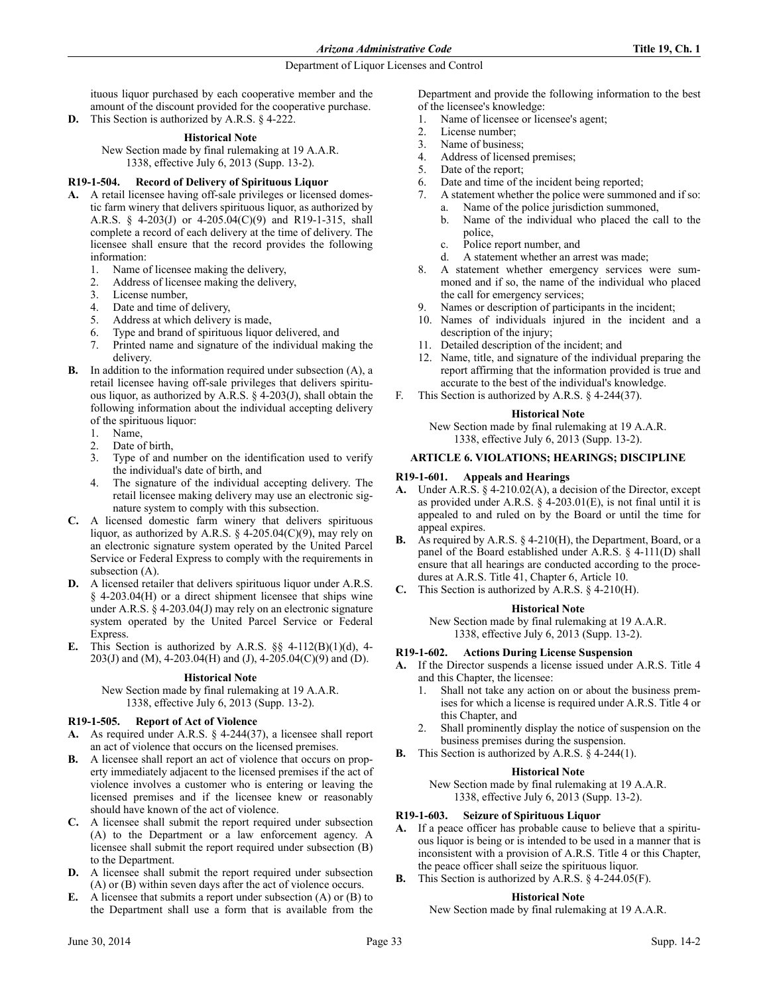ituous liquor purchased by each cooperative member and the amount of the discount provided for the cooperative purchase.

**D.** This Section is authorized by A.R.S. § 4-222.

## **Historical Note**

New Section made by final rulemaking at 19 A.A.R. 1338, effective July 6, 2013 (Supp. 13-2).

## **R19-1-504. Record of Delivery of Spirituous Liquor**

- **A.** A retail licensee having off-sale privileges or licensed domestic farm winery that delivers spirituous liquor, as authorized by A.R.S. § 4-203(J) or 4-205.04(C)(9) and R19-1-315, shall complete a record of each delivery at the time of delivery. The licensee shall ensure that the record provides the following information:
	- 1. Name of licensee making the delivery,
	- 2. Address of licensee making the delivery,
	- 3. License number,
	- 4. Date and time of delivery,
	- 5. Address at which delivery is made,
	- 6. Type and brand of spirituous liquor delivered, and
	- 7. Printed name and signature of the individual making the delivery.
- **B.** In addition to the information required under subsection (A), a retail licensee having off-sale privileges that delivers spirituous liquor, as authorized by A.R.S. § 4-203(J), shall obtain the following information about the individual accepting delivery of the spirituous liquor:
	- 1. Name,
	- 2. Date of birth,
	- 3. Type of and number on the identification used to verify the individual's date of birth, and
	- The signature of the individual accepting delivery. The retail licensee making delivery may use an electronic signature system to comply with this subsection.
- **C.** A licensed domestic farm winery that delivers spirituous liquor, as authorized by A.R.S.  $\S$  4-205.04(C)(9), may rely on an electronic signature system operated by the United Parcel Service or Federal Express to comply with the requirements in subsection (A).
- **D.** A licensed retailer that delivers spirituous liquor under A.R.S. § 4-203.04(H) or a direct shipment licensee that ships wine under A.R.S. § 4-203.04(J) may rely on an electronic signature system operated by the United Parcel Service or Federal Express.
- **E.** This Section is authorized by A.R.S. §§ 4-112(B)(1)(d), 4- 203(J) and (M), 4-203.04(H) and (J), 4-205.04(C)(9) and (D).

## **Historical Note**

New Section made by final rulemaking at 19 A.A.R. 1338, effective July 6, 2013 (Supp. 13-2).

## **R19-1-505. Report of Act of Violence**

- **A.** As required under A.R.S. § 4-244(37), a licensee shall report an act of violence that occurs on the licensed premises.
- **B.** A licensee shall report an act of violence that occurs on property immediately adjacent to the licensed premises if the act of violence involves a customer who is entering or leaving the licensed premises and if the licensee knew or reasonably should have known of the act of violence.
- **C.** A licensee shall submit the report required under subsection (A) to the Department or a law enforcement agency. A licensee shall submit the report required under subsection (B) to the Department.
- **D.** A licensee shall submit the report required under subsection (A) or (B) within seven days after the act of violence occurs.
- **E.** A licensee that submits a report under subsection (A) or (B) to the Department shall use a form that is available from the

Department and provide the following information to the best of the licensee's knowledge:

- 1. Name of licensee or licensee's agent;
- 2. License number;<br>3. Name of business
- Name of business;
- 4. Address of licensed premises;
- 5. Date of the report;
- 6. Date and time of the incident being reported;
- 7. A statement whether the police were summoned and if so:
	- a. Name of the police jurisdiction summoned,<br>b. Name of the individual who placed the ca Name of the individual who placed the call to the police,
	- c. Police report number, and
	- d. A statement whether an arrest was made;
- 8. A statement whether emergency services were summoned and if so, the name of the individual who placed the call for emergency services;
- 9. Names or description of participants in the incident;
- 10. Names of individuals injured in the incident and a description of the injury;
- 11. Detailed description of the incident; and
- 12. Name, title, and signature of the individual preparing the report affirming that the information provided is true and accurate to the best of the individual's knowledge.
- F. This Section is authorized by A.R.S. § 4-244(37).

## **Historical Note**

New Section made by final rulemaking at 19 A.A.R. 1338, effective July 6, 2013 (Supp. 13-2).

## **ARTICLE 6. VIOLATIONS; HEARINGS; DISCIPLINE**

## **R19-1-601. Appeals and Hearings**

- **A.** Under A.R.S. § 4-210.02(A), a decision of the Director, except as provided under A.R.S.  $\S$  4-203.01(E), is not final until it is appealed to and ruled on by the Board or until the time for appeal expires.
- **B.** As required by A.R.S. § 4-210(H), the Department, Board, or a panel of the Board established under A.R.S. § 4-111(D) shall ensure that all hearings are conducted according to the procedures at A.R.S. Title 41, Chapter 6, Article 10.
- **C.** This Section is authorized by A.R.S. § 4-210(H).

## **Historical Note**

New Section made by final rulemaking at 19 A.A.R. 1338, effective July 6, 2013 (Supp. 13-2).

## **R19-1-602. Actions During License Suspension**

- **A.** If the Director suspends a license issued under A.R.S. Title 4 and this Chapter, the licensee:
	- 1. Shall not take any action on or about the business premises for which a license is required under A.R.S. Title 4 or this Chapter, and
	- 2. Shall prominently display the notice of suspension on the business premises during the suspension.
- **B.** This Section is authorized by A.R.S. § 4-244(1).

## **Historical Note**

New Section made by final rulemaking at 19 A.A.R. 1338, effective July 6, 2013 (Supp. 13-2).

## **R19-1-603. Seizure of Spirituous Liquor**

- **A.** If a peace officer has probable cause to believe that a spirituous liquor is being or is intended to be used in a manner that is inconsistent with a provision of A.R.S. Title 4 or this Chapter, the peace officer shall seize the spirituous liquor.
- **B.** This Section is authorized by A.R.S. § 4-244.05(F).

## **Historical Note**

New Section made by final rulemaking at 19 A.A.R.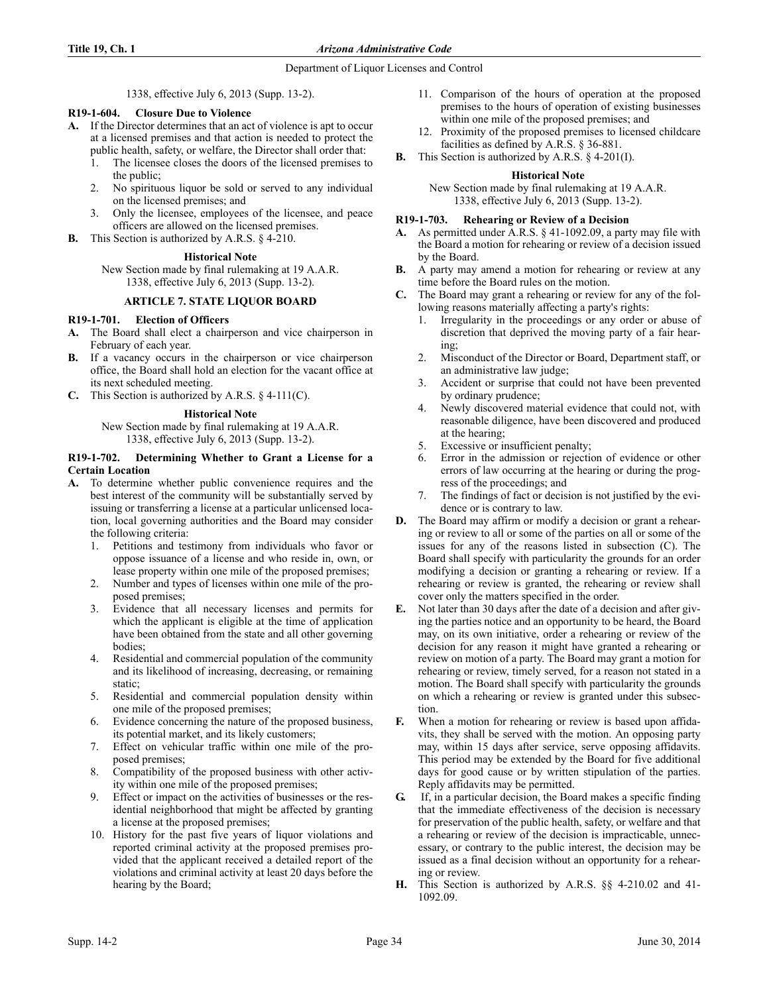1338, effective July 6, 2013 (Supp. 13-2).

## **R19-1-604. Closure Due to Violence**

- **A.** If the Director determines that an act of violence is apt to occur at a licensed premises and that action is needed to protect the public health, safety, or welfare, the Director shall order that:
	- 1. The licensee closes the doors of the licensed premises to the public;
	- 2. No spirituous liquor be sold or served to any individual on the licensed premises; and
	- 3. Only the licensee, employees of the licensee, and peace officers are allowed on the licensed premises.
- **B.** This Section is authorized by A.R.S. § 4-210.

## **Historical Note**

New Section made by final rulemaking at 19 A.A.R. 1338, effective July 6, 2013 (Supp. 13-2).

## **ARTICLE 7. STATE LIQUOR BOARD**

## **R19-1-701. Election of Officers**

- **A.** The Board shall elect a chairperson and vice chairperson in February of each year.
- **B.** If a vacancy occurs in the chairperson or vice chairperson office, the Board shall hold an election for the vacant office at its next scheduled meeting.
- **C.** This Section is authorized by A.R.S. § 4-111(C).

## **Historical Note**

New Section made by final rulemaking at 19 A.A.R. 1338, effective July 6, 2013 (Supp. 13-2).

## **R19-1-702. Determining Whether to Grant a License for a Certain Location**

- **A.** To determine whether public convenience requires and the best interest of the community will be substantially served by issuing or transferring a license at a particular unlicensed location, local governing authorities and the Board may consider the following criteria:
	- 1. Petitions and testimony from individuals who favor or oppose issuance of a license and who reside in, own, or lease property within one mile of the proposed premises;
	- 2. Number and types of licenses within one mile of the proposed premises;
	- Evidence that all necessary licenses and permits for which the applicant is eligible at the time of application have been obtained from the state and all other governing bodies;
	- 4. Residential and commercial population of the community and its likelihood of increasing, decreasing, or remaining static;
	- 5. Residential and commercial population density within one mile of the proposed premises;
	- Evidence concerning the nature of the proposed business, its potential market, and its likely customers;
	- 7. Effect on vehicular traffic within one mile of the proposed premises;
	- 8. Compatibility of the proposed business with other activity within one mile of the proposed premises;
	- 9. Effect or impact on the activities of businesses or the residential neighborhood that might be affected by granting a license at the proposed premises;
	- 10. History for the past five years of liquor violations and reported criminal activity at the proposed premises provided that the applicant received a detailed report of the violations and criminal activity at least 20 days before the hearing by the Board;
- 11. Comparison of the hours of operation at the proposed premises to the hours of operation of existing businesses within one mile of the proposed premises; and
- 12. Proximity of the proposed premises to licensed childcare facilities as defined by A.R.S. § 36-881.
- **B.** This Section is authorized by A.R.S. § 4-201(I).

## **Historical Note**

New Section made by final rulemaking at 19 A.A.R. 1338, effective July 6, 2013 (Supp. 13-2).

## **R19-1-703. Rehearing or Review of a Decision**

- **A.** As permitted under A.R.S. § 41-1092.09, a party may file with the Board a motion for rehearing or review of a decision issued by the Board.
- **B.** A party may amend a motion for rehearing or review at any time before the Board rules on the motion.
- **C.** The Board may grant a rehearing or review for any of the following reasons materially affecting a party's rights:
	- 1. Irregularity in the proceedings or any order or abuse of discretion that deprived the moving party of a fair hearing;
	- 2. Misconduct of the Director or Board, Department staff, or an administrative law judge;
	- 3. Accident or surprise that could not have been prevented by ordinary prudence;
	- 4. Newly discovered material evidence that could not, with reasonable diligence, have been discovered and produced at the hearing;
	- 5. Excessive or insufficient penalty;
	- 6. Error in the admission or rejection of evidence or other errors of law occurring at the hearing or during the progress of the proceedings; and
	- 7. The findings of fact or decision is not justified by the evidence or is contrary to law.
- **D.** The Board may affirm or modify a decision or grant a rehearing or review to all or some of the parties on all or some of the issues for any of the reasons listed in subsection (C). The Board shall specify with particularity the grounds for an order modifying a decision or granting a rehearing or review. If a rehearing or review is granted, the rehearing or review shall cover only the matters specified in the order.
- **E.** Not later than 30 days after the date of a decision and after giving the parties notice and an opportunity to be heard, the Board may, on its own initiative, order a rehearing or review of the decision for any reason it might have granted a rehearing or review on motion of a party. The Board may grant a motion for rehearing or review, timely served, for a reason not stated in a motion. The Board shall specify with particularity the grounds on which a rehearing or review is granted under this subsection.
- **F.** When a motion for rehearing or review is based upon affidavits, they shall be served with the motion. An opposing party may, within 15 days after service, serve opposing affidavits. This period may be extended by the Board for five additional days for good cause or by written stipulation of the parties. Reply affidavits may be permitted.
- **G.** If, in a particular decision, the Board makes a specific finding that the immediate effectiveness of the decision is necessary for preservation of the public health, safety, or welfare and that a rehearing or review of the decision is impracticable, unnecessary, or contrary to the public interest, the decision may be issued as a final decision without an opportunity for a rehearing or review.
- **H.** This Section is authorized by A.R.S. §§ 4-210.02 and 41- 1092.09.